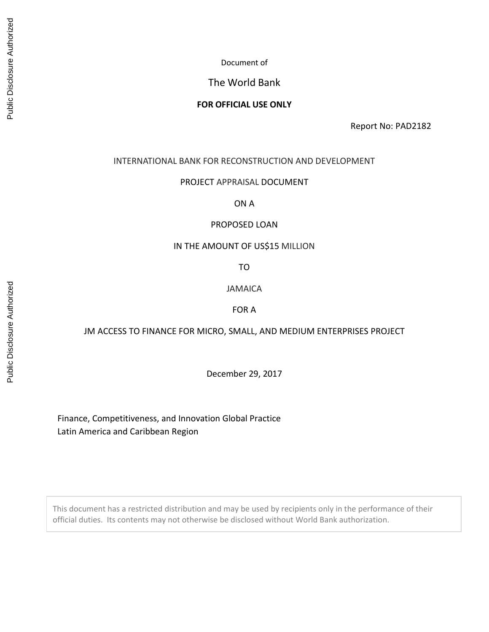# The World Bank

### **FOR OFFICIAL USE ONLY**

Report No: PAD2182

#### INTERNATIONAL BANK FOR RECONSTRUCTION AND DEVELOPMENT

#### PROJECT APPRAISAL DOCUMENT

ON A

#### PROPOSED LOAN

### IN THE AMOUNT OF US\$15 MILLION

TO

JAMAICA

FOR A

#### JM ACCESS TO FINANCE FOR MICRO, SMALL, AND MEDIUM ENTERPRISES PROJECT

December 29, 2017

Finance, Competitiveness, and Innovation Global Practice Latin America and Caribbean Region

This document has a restricted distribution and may be used by recipients only in the performance of their official duties. Its contents may not otherwise be disclosed without World Bank authorization.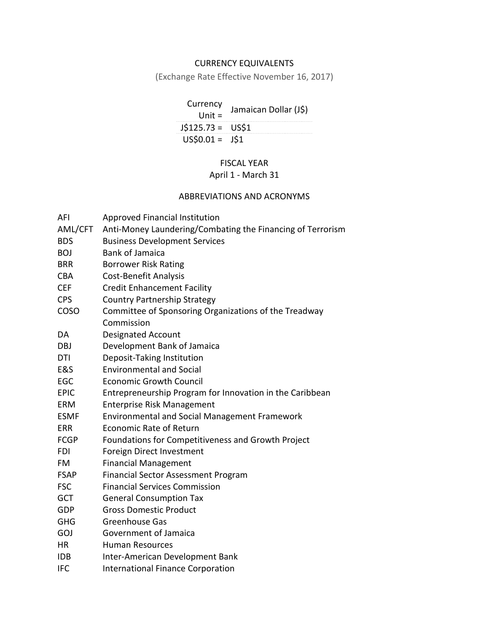# CURRENCY EQUIVALENTS

(Exchange Rate Effective November 16, 2017)

| Currency<br>Unit $=$ | Jamaican Dollar (J\$) |
|----------------------|-----------------------|
| $J$125.73 = US$1$    |                       |
| $US$0.01 = J$1$      |                       |

# FISCAL YEAR

# April 1 - March 31

### ABBREVIATIONS AND ACRONYMS

| AFI         | Approved Financial Institution                             |
|-------------|------------------------------------------------------------|
| AML/CFT     | Anti-Money Laundering/Combating the Financing of Terrorism |
| <b>BDS</b>  | <b>Business Development Services</b>                       |
| <b>BOJ</b>  | <b>Bank of Jamaica</b>                                     |
| <b>BRR</b>  | <b>Borrower Risk Rating</b>                                |
| <b>CBA</b>  | <b>Cost-Benefit Analysis</b>                               |
| <b>CEF</b>  | <b>Credit Enhancement Facility</b>                         |
| <b>CPS</b>  | <b>Country Partnership Strategy</b>                        |
| COSO        | Committee of Sponsoring Organizations of the Treadway      |
|             | Commission                                                 |
| DA          | <b>Designated Account</b>                                  |
| DBJ         | Development Bank of Jamaica                                |
| DTI         | Deposit-Taking Institution                                 |
| E&S         | <b>Environmental and Social</b>                            |
| <b>EGC</b>  | <b>Economic Growth Council</b>                             |
| <b>EPIC</b> | Entrepreneurship Program for Innovation in the Caribbean   |
| <b>ERM</b>  | Enterprise Risk Management                                 |
| <b>ESMF</b> | Environmental and Social Management Framework              |
| <b>ERR</b>  | <b>Economic Rate of Return</b>                             |
| <b>FCGP</b> | Foundations for Competitiveness and Growth Project         |
| <b>FDI</b>  | Foreign Direct Investment                                  |
| FM          | <b>Financial Management</b>                                |
| <b>FSAP</b> | <b>Financial Sector Assessment Program</b>                 |
| <b>FSC</b>  | <b>Financial Services Commission</b>                       |
| GCT         | <b>General Consumption Tax</b>                             |
| <b>GDP</b>  | <b>Gross Domestic Product</b>                              |
| <b>GHG</b>  | <b>Greenhouse Gas</b>                                      |
| GOJ         | Government of Jamaica                                      |
| <b>HR</b>   | <b>Human Resources</b>                                     |
| <b>IDB</b>  | Inter-American Development Bank                            |
| <b>IFC</b>  | <b>International Finance Corporation</b>                   |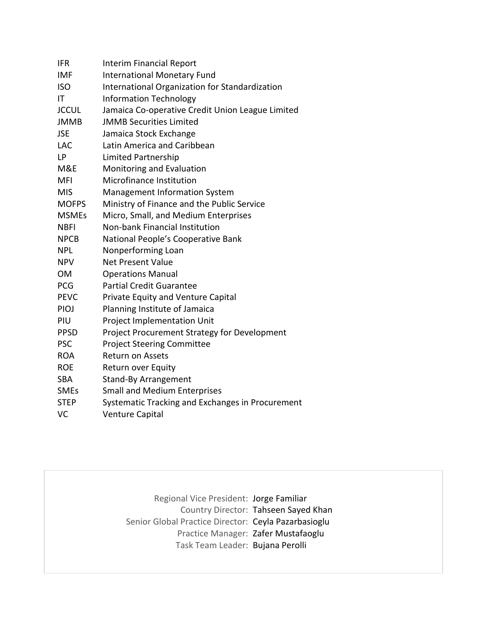| IFR          | Interim Financial Report                         |
|--------------|--------------------------------------------------|
| <b>IMF</b>   | <b>International Monetary Fund</b>               |
| <b>ISO</b>   | International Organization for Standardization   |
| IT           | <b>Information Technology</b>                    |
| <b>JCCUL</b> | Jamaica Co-operative Credit Union League Limited |
| <b>JMMB</b>  | <b>JMMB Securities Limited</b>                   |
| <b>JSE</b>   | Jamaica Stock Exchange                           |
| <b>LAC</b>   | Latin America and Caribbean                      |
| LP           | Limited Partnership                              |
| M&E          | Monitoring and Evaluation                        |
| <b>MFI</b>   | Microfinance Institution                         |
| <b>MIS</b>   | <b>Management Information System</b>             |
| <b>MOFPS</b> | Ministry of Finance and the Public Service       |
| <b>MSMEs</b> | Micro, Small, and Medium Enterprises             |
| <b>NBFI</b>  | Non-bank Financial Institution                   |
| <b>NPCB</b>  | National People's Cooperative Bank               |
| <b>NPL</b>   | Nonperforming Loan                               |
| <b>NPV</b>   | <b>Net Present Value</b>                         |
| <b>OM</b>    | <b>Operations Manual</b>                         |
| <b>PCG</b>   | <b>Partial Credit Guarantee</b>                  |
| <b>PEVC</b>  | Private Equity and Venture Capital               |
| <b>PIOJ</b>  | Planning Institute of Jamaica                    |
| PIU          | Project Implementation Unit                      |
| <b>PPSD</b>  | Project Procurement Strategy for Development     |
| <b>PSC</b>   | <b>Project Steering Committee</b>                |
| <b>ROA</b>   | <b>Return on Assets</b>                          |
| <b>ROE</b>   | Return over Equity                               |
| <b>SBA</b>   | <b>Stand-By Arrangement</b>                      |
| <b>SMEs</b>  | <b>Small and Medium Enterprises</b>              |
| <b>STEP</b>  | Systematic Tracking and Exchanges in Procurement |
| VC           | <b>Venture Capital</b>                           |

Regional Vice President: Jorge Familiar Country Director: Tahseen Sayed Khan Senior Global Practice Director: Ceyla Pazarbasioglu Practice Manager: Zafer Mustafaoglu Task Team Leader: Bujana Perolli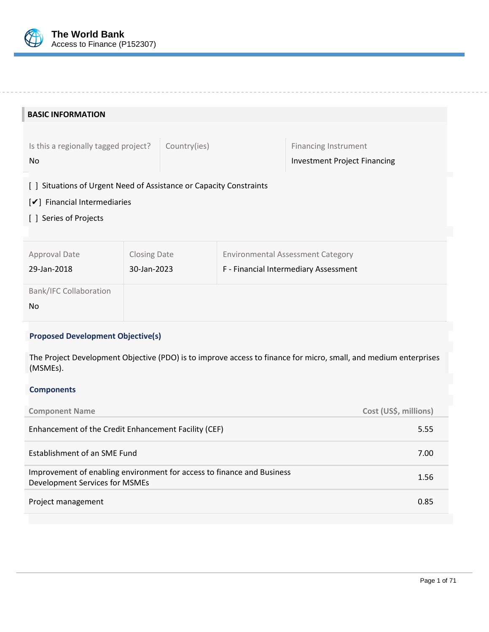

| <b>BASIC INFORMATION</b>                                                                                                                              |                                                      |              |  |                                          |
|-------------------------------------------------------------------------------------------------------------------------------------------------------|------------------------------------------------------|--------------|--|------------------------------------------|
|                                                                                                                                                       |                                                      |              |  |                                          |
| Is this a regionally tagged project?                                                                                                                  |                                                      | Country(ies) |  | <b>Financing Instrument</b>              |
| <b>No</b>                                                                                                                                             |                                                      |              |  | Investment Project Financing             |
| Situations of Urgent Need of Assistance or Capacity Constraints<br>$\perp$<br>$\mathcal{V}$ Financial Intermediaries<br>Series of Projects<br>$\perp$ |                                                      |              |  |                                          |
| Approval Date                                                                                                                                         | <b>Closing Date</b>                                  |              |  | <b>Environmental Assessment Category</b> |
| 29-Jan-2018                                                                                                                                           | 30-Jan-2023<br>F - Financial Intermediary Assessment |              |  |                                          |
| <b>Bank/IFC Collaboration</b>                                                                                                                         |                                                      |              |  |                                          |
| No                                                                                                                                                    |                                                      |              |  |                                          |
| <b>Proposed Development Objective(s)</b>                                                                                                              |                                                      |              |  |                                          |

The Project Development Objective (PDO) is to improve access to finance for micro, small, and medium enterprises (MSMEs).

### **Components**

| <b>Component Name</b>                                                                                    | Cost (US\$, millions) |
|----------------------------------------------------------------------------------------------------------|-----------------------|
| Enhancement of the Credit Enhancement Facility (CEF)                                                     | 5.55                  |
| Establishment of an SME Fund                                                                             | 7.00                  |
| Improvement of enabling environment for access to finance and Business<br>Development Services for MSMEs | 1.56                  |
| Project management                                                                                       | 0.85                  |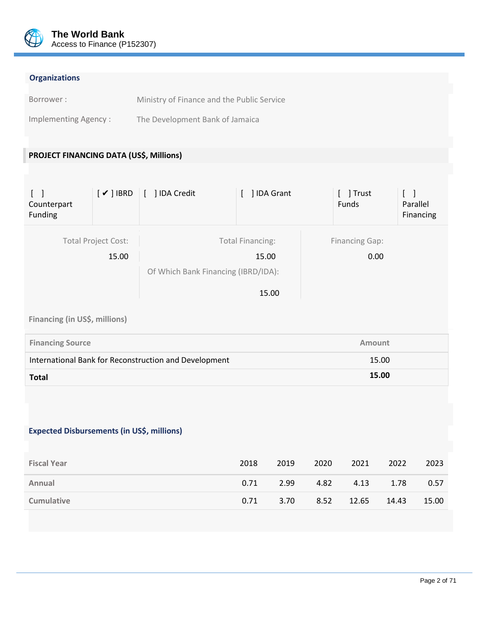

# **Organizations**

| Borrower:            | Ministry of Finance and the Public Service |
|----------------------|--------------------------------------------|
| Implementing Agency: | The Development Bank of Jamaica            |

# **PROJECT FINANCING DATA (US\$, Millions)**

| $\Box$<br>Counterpart<br>Funding | $[\checkmark]$ IBRD                 | [ ] IDA Credit                      | ] IDA Grant                               |                                                                | ] Trust<br>Funds              | Parallel<br>Financing |
|----------------------------------|-------------------------------------|-------------------------------------|-------------------------------------------|----------------------------------------------------------------|-------------------------------|-----------------------|
|                                  | <b>Total Project Cost:</b><br>15.00 | Of Which Bank Financing (IBRD/IDA): | <b>Total Financing:</b><br>15.00<br>15.00 |                                                                | <b>Financing Gap:</b><br>0.00 |                       |
| Financing (in US\$, millions)    |                                     |                                     |                                           |                                                                |                               |                       |
| <b>Financing Source</b>          |                                     |                                     |                                           |                                                                | <b>Amount</b>                 |                       |
|                                  |                                     |                                     |                                           | International Bank for Reconstruction and Development<br>15.00 |                               |                       |

# **Expected Disbursements (in US\$, millions)**

| <b>Fiscal Year</b> | 2018 | 2019 | 2020 | 2021  | 2022  | 2023  |
|--------------------|------|------|------|-------|-------|-------|
| Annual             | 0.71 | 2.99 | 4.82 | 4.13  | 1.78  | 0.57  |
| <b>Cumulative</b>  | 0.71 | 3.70 | 8.52 | 12.65 | 14.43 | 15.00 |

**Total 15.00**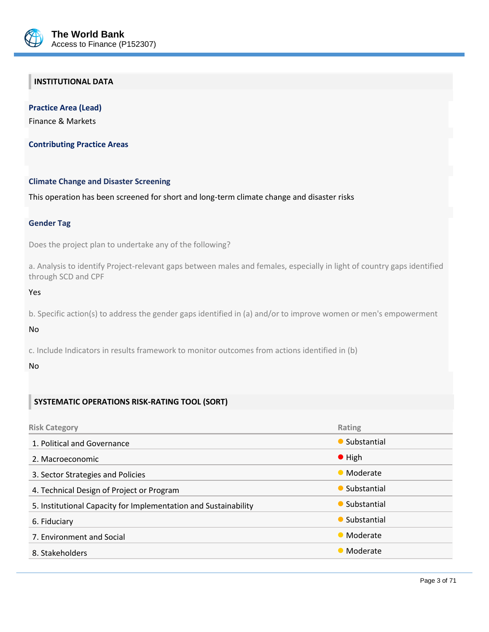

# **INSTITUTIONAL DATA**

**Practice Area (Lead)** Finance & Markets

**Contributing Practice Areas**

#### **Climate Change and Disaster Screening**

This operation has been screened for short and long-term climate change and disaster risks

#### **Gender Tag**

Does the project plan to undertake any of the following?

a. Analysis to identify Project-relevant gaps between males and females, especially in light of country gaps identified through SCD and CPF

Yes

b. Specific action(s) to address the gender gaps identified in (a) and/or to improve women or men's empowerment

No

c. Include Indicators in results framework to monitor outcomes from actions identified in (b)

#### No

### **SYSTEMATIC OPERATIONS RISK-RATING TOOL (SORT)**

| <b>Risk Category</b>                                            | Rating         |
|-----------------------------------------------------------------|----------------|
| 1. Political and Governance                                     | • Substantial  |
| 2. Macroeconomic                                                | $\bullet$ High |
| 3. Sector Strategies and Policies                               | • Moderate     |
| 4. Technical Design of Project or Program                       | • Substantial  |
| 5. Institutional Capacity for Implementation and Sustainability | • Substantial  |
| 6. Fiduciary                                                    | • Substantial  |
| 7. Environment and Social                                       | • Moderate     |
| 8. Stakeholders                                                 | • Moderate     |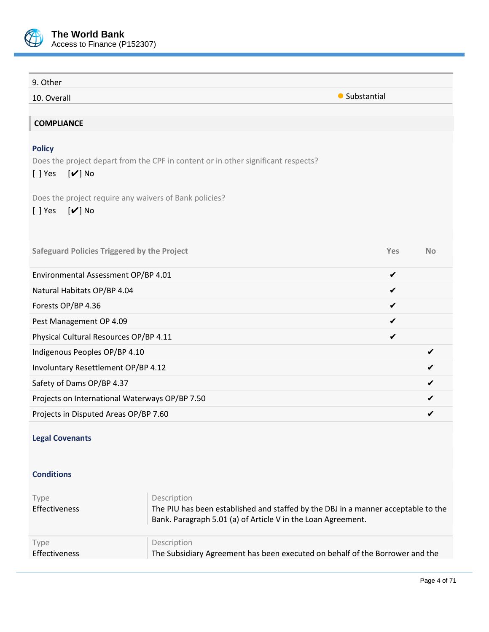

| 9. Other                                                                                                                                                                                       |               |           |
|------------------------------------------------------------------------------------------------------------------------------------------------------------------------------------------------|---------------|-----------|
| 10. Overall                                                                                                                                                                                    | • Substantial |           |
|                                                                                                                                                                                                |               |           |
| <b>COMPLIANCE</b>                                                                                                                                                                              |               |           |
| <b>Policy</b><br>Does the project depart from the CPF in content or in other significant respects?<br>$[\mathbf{v}]$ No<br>$[ ]$ Yes<br>Does the project require any waivers of Bank policies? |               |           |
| $[\mathbf{v}]$ No<br>$[ ]$ Yes                                                                                                                                                                 |               |           |
| <b>Safeguard Policies Triggered by the Project</b>                                                                                                                                             | Yes           | <b>No</b> |
| Environmental Assessment OP/BP 4.01                                                                                                                                                            | $\checkmark$  |           |
| Natural Habitats OP/BP 4.04                                                                                                                                                                    | ✔             |           |
| Forests OP/BP 4.36                                                                                                                                                                             | ✔             |           |
| Pest Management OP 4.09                                                                                                                                                                        | ✔             |           |
| Physical Cultural Resources OP/BP 4.11                                                                                                                                                         | ✔             |           |
| Indigenous Peoples OP/BP 4.10                                                                                                                                                                  |               | ✔         |
| Involuntary Resettlement OP/BP 4.12                                                                                                                                                            |               |           |
| Safety of Dams OP/BP 4.37                                                                                                                                                                      |               | ✔         |
| Projects on International Waterways OP/BP 7.50                                                                                                                                                 |               |           |
| Projects in Disputed Areas OP/BP 7.60                                                                                                                                                          |               |           |

# **Legal Covenants**

### **Conditions**

| Type<br>Effectiveness | Description<br>The PIU has been established and staffed by the DBJ in a manner acceptable to the<br>Bank. Paragraph 5.01 (a) of Article V in the Loan Agreement. |
|-----------------------|------------------------------------------------------------------------------------------------------------------------------------------------------------------|
| Type                  | Description                                                                                                                                                      |
| Effectiveness         | The Subsidiary Agreement has been executed on behalf of the Borrower and the                                                                                     |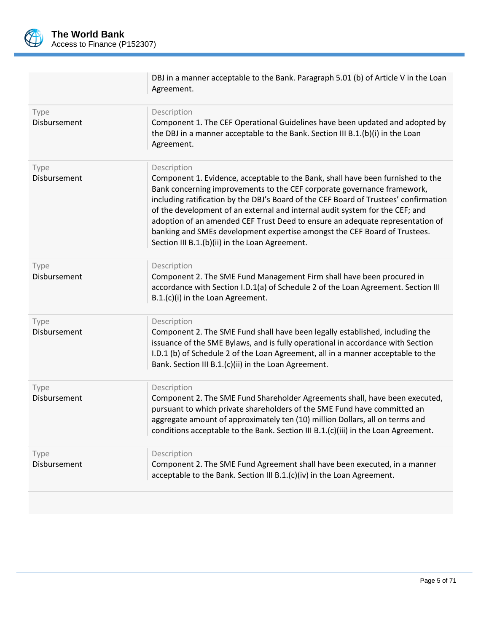

|                      | DBJ in a manner acceptable to the Bank. Paragraph 5.01 (b) of Article V in the Loan<br>Agreement.                                                                                                                                                                                                                                                                                                                                                                                                                                                                 |
|----------------------|-------------------------------------------------------------------------------------------------------------------------------------------------------------------------------------------------------------------------------------------------------------------------------------------------------------------------------------------------------------------------------------------------------------------------------------------------------------------------------------------------------------------------------------------------------------------|
| Type<br>Disbursement | Description<br>Component 1. The CEF Operational Guidelines have been updated and adopted by<br>the DBJ in a manner acceptable to the Bank. Section III B.1.(b)(i) in the Loan<br>Agreement.                                                                                                                                                                                                                                                                                                                                                                       |
| Type<br>Disbursement | Description<br>Component 1. Evidence, acceptable to the Bank, shall have been furnished to the<br>Bank concerning improvements to the CEF corporate governance framework,<br>including ratification by the DBJ's Board of the CEF Board of Trustees' confirmation<br>of the development of an external and internal audit system for the CEF; and<br>adoption of an amended CEF Trust Deed to ensure an adequate representation of<br>banking and SMEs development expertise amongst the CEF Board of Trustees.<br>Section III B.1.(b)(ii) in the Loan Agreement. |
| Type<br>Disbursement | Description<br>Component 2. The SME Fund Management Firm shall have been procured in<br>accordance with Section I.D.1(a) of Schedule 2 of the Loan Agreement. Section III<br>B.1.(c)(i) in the Loan Agreement.                                                                                                                                                                                                                                                                                                                                                    |
| Type<br>Disbursement | Description<br>Component 2. The SME Fund shall have been legally established, including the<br>issuance of the SME Bylaws, and is fully operational in accordance with Section<br>I.D.1 (b) of Schedule 2 of the Loan Agreement, all in a manner acceptable to the<br>Bank. Section III B.1.(c)(ii) in the Loan Agreement.                                                                                                                                                                                                                                        |
| Type<br>Disbursement | Description<br>Component 2. The SME Fund Shareholder Agreements shall, have been executed,<br>pursuant to which private shareholders of the SME Fund have committed an<br>aggregate amount of approximately ten (10) million Dollars, all on terms and<br>conditions acceptable to the Bank. Section III B.1.(c)(iii) in the Loan Agreement.                                                                                                                                                                                                                      |
| Type<br>Disbursement | Description<br>Component 2. The SME Fund Agreement shall have been executed, in a manner<br>acceptable to the Bank. Section III B.1.(c)(iv) in the Loan Agreement.                                                                                                                                                                                                                                                                                                                                                                                                |
|                      |                                                                                                                                                                                                                                                                                                                                                                                                                                                                                                                                                                   |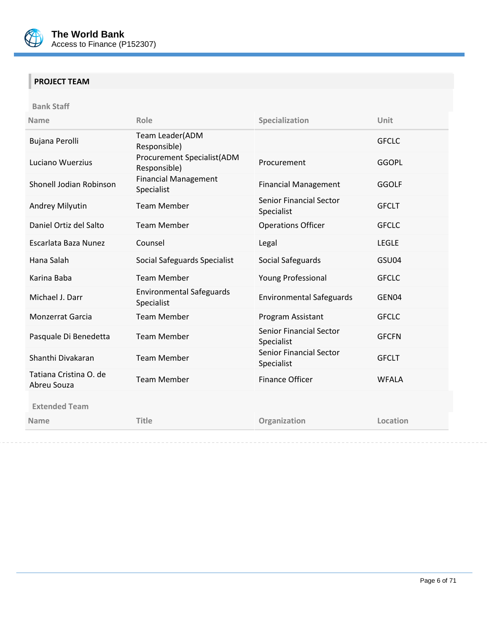

# **PROJECT TEAM**

**Bank Staff**

| <b>Name</b>                           | Role                                              | Specialization                               | Unit         |
|---------------------------------------|---------------------------------------------------|----------------------------------------------|--------------|
| Bujana Perolli                        | Team Leader(ADM<br>Responsible)                   |                                              | <b>GFCLC</b> |
| Luciano Wuerzius                      | <b>Procurement Specialist(ADM</b><br>Responsible) | Procurement                                  | <b>GGOPL</b> |
| Shonell Jodian Robinson               | <b>Financial Management</b><br>Specialist         | <b>Financial Management</b>                  | <b>GGOLF</b> |
| Andrey Milyutin                       | <b>Team Member</b>                                | <b>Senior Financial Sector</b><br>Specialist | <b>GFCLT</b> |
| Daniel Ortiz del Salto                | <b>Team Member</b>                                | <b>Operations Officer</b>                    | <b>GFCLC</b> |
| Escarlata Baza Nunez                  | Counsel                                           | Legal                                        | <b>LEGLE</b> |
| Hana Salah                            | Social Safeguards Specialist                      | Social Safeguards                            | GSU04        |
| Karina Baba                           | <b>Team Member</b>                                | Young Professional                           | <b>GFCLC</b> |
| Michael J. Darr                       | <b>Environmental Safeguards</b><br>Specialist     | <b>Environmental Safeguards</b>              | GEN04        |
| Monzerrat Garcia                      | <b>Team Member</b>                                | Program Assistant                            | <b>GFCLC</b> |
| Pasquale Di Benedetta                 | <b>Team Member</b>                                | <b>Senior Financial Sector</b><br>Specialist | <b>GFCFN</b> |
| Shanthi Divakaran                     | <b>Team Member</b>                                | <b>Senior Financial Sector</b><br>Specialist | <b>GFCLT</b> |
| Tatiana Cristina O. de<br>Abreu Souza | <b>Team Member</b>                                | Finance Officer                              | <b>WFALA</b> |
| <b>Extended Team</b>                  |                                                   |                                              |              |
| <b>Name</b>                           | <b>Title</b>                                      | Organization                                 | Location     |
|                                       |                                                   |                                              |              |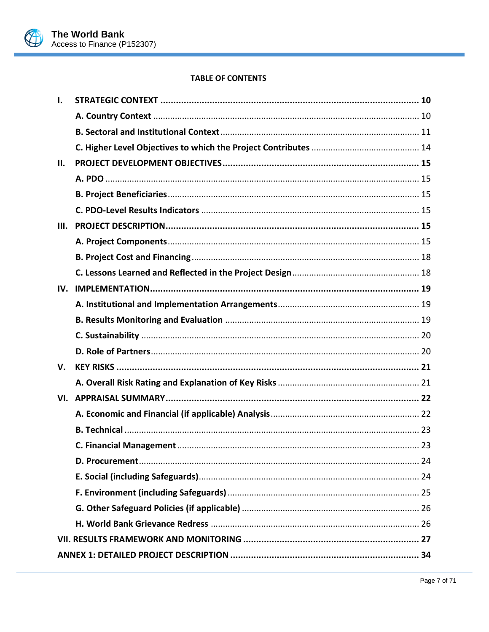

### **TABLE OF CONTENTS**

| ı.  |  |
|-----|--|
|     |  |
|     |  |
|     |  |
| П.  |  |
|     |  |
|     |  |
|     |  |
| Ш.  |  |
|     |  |
|     |  |
|     |  |
| IV. |  |
|     |  |
|     |  |
|     |  |
|     |  |
| V.  |  |
|     |  |
|     |  |
|     |  |
|     |  |
|     |  |
|     |  |
|     |  |
|     |  |
|     |  |
|     |  |
|     |  |
|     |  |
|     |  |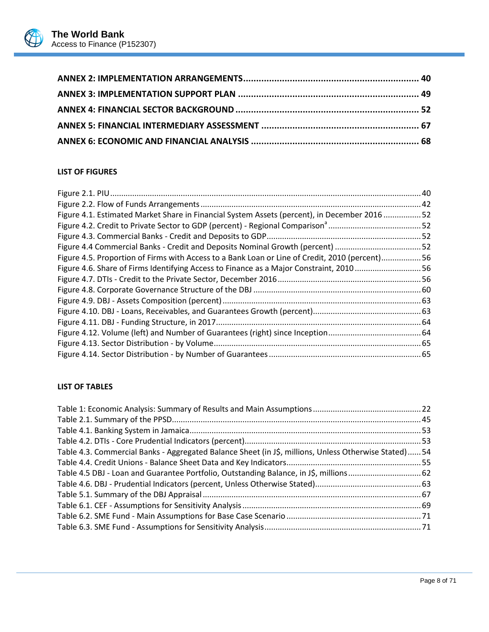

# **LIST OF FIGURES**

| Figure 4.1. Estimated Market Share in Financial System Assets (percent), in December 201652    |  |
|------------------------------------------------------------------------------------------------|--|
|                                                                                                |  |
|                                                                                                |  |
| Figure 4.4 Commercial Banks - Credit and Deposits Nominal Growth (percent) 52                  |  |
| Figure 4.5. Proportion of Firms with Access to a Bank Loan or Line of Credit, 2010 (percent)56 |  |
| Figure 4.6. Share of Firms Identifying Access to Finance as a Major Constraint, 201056         |  |
|                                                                                                |  |
|                                                                                                |  |
|                                                                                                |  |
|                                                                                                |  |
|                                                                                                |  |
|                                                                                                |  |
|                                                                                                |  |
|                                                                                                |  |

# **LIST OF TABLES**

| Table 4.3. Commercial Banks - Aggregated Balance Sheet (in J\$, millions, Unless Otherwise Stated) 54 |  |
|-------------------------------------------------------------------------------------------------------|--|
|                                                                                                       |  |
| Table 4.5 DBJ - Loan and Guarantee Portfolio, Outstanding Balance, in J\$, millions 62                |  |
|                                                                                                       |  |
|                                                                                                       |  |
|                                                                                                       |  |
|                                                                                                       |  |
|                                                                                                       |  |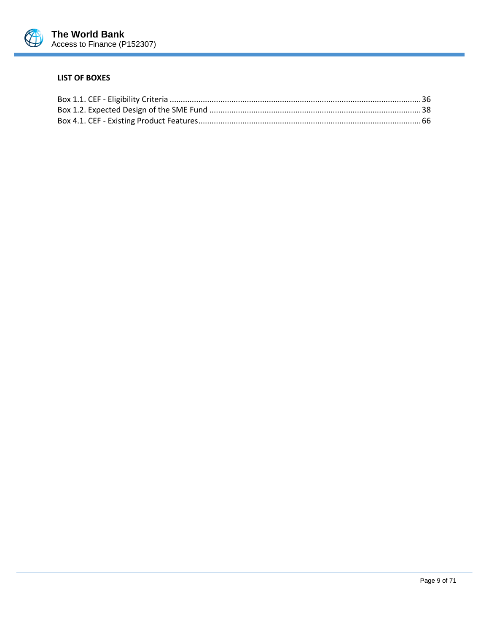

#### **LIST OF BOXES**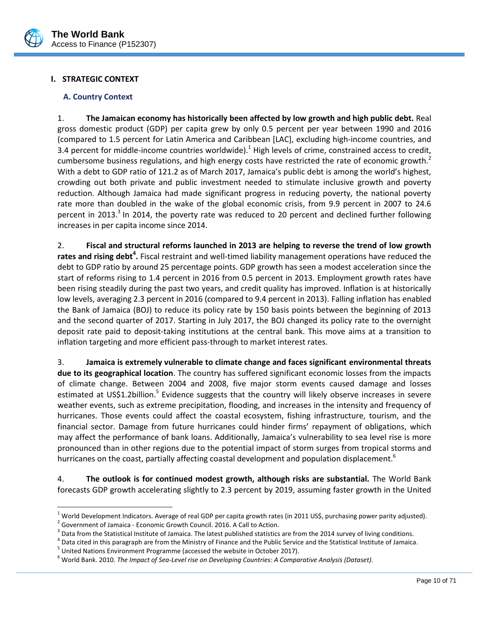

### <span id="page-12-1"></span><span id="page-12-0"></span>**I. STRATEGIC CONTEXT**

#### **A. Country Context**

1. **The Jamaican economy has historically been affected by low growth and high public debt.** Real gross domestic product (GDP) per capita grew by only 0.5 percent per year between 1990 and 2016 (compared to 1.5 percent for Latin America and Caribbean [LAC], excluding high-income countries, and 3.4 percent for middle-income countries worldwide).<sup>1</sup> High levels of crime, constrained access to credit, cumbersome business regulations, and high energy costs have restricted the rate of economic growth.<sup>2</sup> With a debt to GDP ratio of 121.2 as of March 2017, Jamaica's public debt is among the world's highest, crowding out both private and public investment needed to stimulate inclusive growth and poverty reduction. Although Jamaica had made significant progress in reducing poverty, the national poverty rate more than doubled in the wake of the global economic crisis, from 9.9 percent in 2007 to 24.6 percent in 2013.<sup>3</sup> In 2014, the poverty rate was reduced to 20 percent and declined further following increases in per capita income since 2014.

2. **Fiscal and structural reforms launched in 2013 are helping to reverse the trend of low growth rates and rising debt<sup>4</sup> .** Fiscal restraint and well-timed liability management operations have reduced the debt to GDP ratio by around 25 percentage points. GDP growth has seen a modest acceleration since the start of reforms rising to 1.4 percent in 2016 from 0.5 percent in 2013. Employment growth rates have been rising steadily during the past two years, and credit quality has improved. Inflation is at historically low levels, averaging 2.3 percent in 2016 (compared to 9.4 percent in 2013). Falling inflation has enabled the Bank of Jamaica (BOJ) to reduce its policy rate by 150 basis points between the beginning of 2013 and the second quarter of 2017. Starting in July 2017, the BOJ changed its policy rate to the overnight deposit rate paid to deposit‐taking institutions at the central bank. This move aims at a transition to inflation targeting and more efficient pass-through to market interest rates.

3. **Jamaica is extremely vulnerable to climate change and faces significant environmental threats due to its geographical location**. The country has suffered significant economic losses from the impacts of climate change. Between 2004 and 2008, five major storm events caused damage and losses estimated at US\$1.2billion.<sup>5</sup> Evidence suggests that the country will likely observe increases in severe weather events, such as extreme precipitation, flooding, and increases in the intensity and frequency of hurricanes. Those events could affect the coastal ecosystem, fishing infrastructure, tourism, and the financial sector. Damage from future hurricanes could hinder firms' repayment of obligations, which may affect the performance of bank loans. Additionally, Jamaica's vulnerability to sea level rise is more pronounced than in other regions due to the potential impact of storm surges from tropical storms and hurricanes on the coast, partially affecting coastal development and population displacement.<sup>6</sup>

4. **The outlook is for continued modest growth, although risks are substantial.** The World Bank forecasts GDP growth accelerating slightly to 2.3 percent by 2019, assuming faster growth in the United

 $\overline{a}$ 

 $1$  World Development Indicators. Average of real GDP per capita growth rates (in 2011 US\$, purchasing power parity adjusted).

 $2^{2}$  Government of Jamaica - Economic Growth Council. 2016. A Call to Action.

 $^3$  Data from the Statistical Institute of Jamaica. The latest published statistics are from the 2014 survey of living conditions.

<sup>&</sup>lt;sup>4</sup> Data cited in this paragraph are from the Ministry of Finance and the Public Service and the Statistical Institute of Jamaica.

 $^5$  United Nations Environment Programme (accessed the website in October 2017).

<sup>6</sup> World Bank. 2010. *The Impact of Sea-Level rise on Developing Countries: A Comparative Analysis (Dataset)*.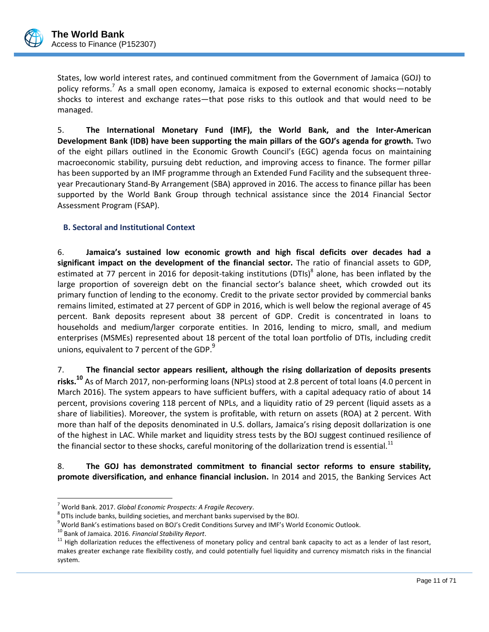

States, low world interest rates, and continued commitment from the Government of Jamaica (GOJ) to policy reforms.<sup>7</sup> As a small open economy, Jamaica is exposed to external economic shocks—notably shocks to interest and exchange rates—that pose risks to this outlook and that would need to be managed.

5. **The International Monetary Fund (IMF), the World Bank, and the Inter-American Development Bank (IDB) have been supporting the main pillars of the GOJ's agenda for growth.** Two of the eight pillars outlined in the Economic Growth Council's (EGC) agenda focus on maintaining macroeconomic stability, pursuing debt reduction, and improving access to finance. The former pillar has been supported by an IMF programme through an Extended Fund Facility and the subsequent threeyear Precautionary Stand-By Arrangement (SBA) approved in 2016. The access to finance pillar has been supported by the World Bank Group through technical assistance since the 2014 Financial Sector Assessment Program (FSAP).

### <span id="page-13-0"></span>**B. Sectoral and Institutional Context**

6. **Jamaica's sustained low economic growth and high fiscal deficits over decades had a significant impact on the development of the financial sector.** The ratio of financial assets to GDP, estimated at 77 percent in 2016 for deposit-taking institutions (DTIs)<sup>8</sup> alone, has been inflated by the large proportion of sovereign debt on the financial sector's balance sheet, which crowded out its primary function of lending to the economy. Credit to the private sector provided by commercial banks remains limited, estimated at 27 percent of GDP in 2016, which is well below the regional average of 45 percent. Bank deposits represent about 38 percent of GDP. Credit is concentrated in loans to households and medium/larger corporate entities. In 2016, lending to micro, small, and medium enterprises (MSMEs) represented about 18 percent of the total loan portfolio of DTIs, including credit unions, equivalent to 7 percent of the GDP.<sup>9</sup>

7. **The financial sector appears resilient, although the rising dollarization of deposits presents risks. <sup>10</sup>** As of March 2017, non-performing loans (NPLs) stood at 2.8 percent of total loans (4.0 percent in March 2016). The system appears to have sufficient buffers, with a capital adequacy ratio of about 14 percent, provisions covering 118 percent of NPLs, and a liquidity ratio of 29 percent (liquid assets as a share of liabilities). Moreover, the system is profitable, with return on assets (ROA) at 2 percent. With more than half of the deposits denominated in U.S. dollars, Jamaica's rising deposit dollarization is one of the highest in LAC. While market and liquidity stress tests by the BOJ suggest continued resilience of the financial sector to these shocks, careful monitoring of the dollarization trend is essential.<sup>11</sup>

8. **The GOJ has demonstrated commitment to financial sector reforms to ensure stability, promote diversification, and enhance financial inclusion.** In 2014 and 2015, the Banking Services Act

 $\overline{a}$ <sup>7</sup> World Bank. 2017. *Global Economic Prospects: A Fragile Recovery*.

 $^8$ DTIs include banks, building societies, and merchant banks supervised by the BOJ.

<sup>&</sup>lt;sup>9</sup> World Bank's estimations based on BOJ's Credit Conditions Survey and IMF's World Economic Outlook.

<sup>10</sup> Bank of Jamaica. 2016. *Financial Stability Report*.

 $11$  High dollarization reduces the effectiveness of monetary policy and central bank capacity to act as a lender of last resort, makes greater exchange rate flexibility costly, and could potentially fuel liquidity and currency mismatch risks in the financial system.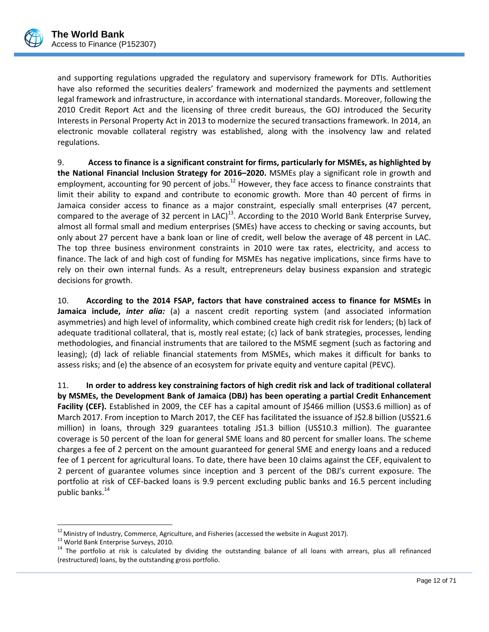

and supporting regulations upgraded the regulatory and supervisory framework for DTIs. Authorities have also reformed the securities dealers' framework and modernized the payments and settlement legal framework and infrastructure, in accordance with international standards. Moreover, following the 2010 Credit Report Act and the licensing of three credit bureaus, the GOJ introduced the Security Interests in Personal Property Act in 2013 to modernize the secured transactions framework. In 2014, an electronic movable collateral registry was established, along with the insolvency law and related regulations.

9. **Access to finance is a significant constraint for firms, particularly for MSMEs, as highlighted by the National Financial Inclusion Strategy for 2016–2020.** MSMEs play a significant role in growth and employment, accounting for 90 percent of jobs.<sup>12</sup> However, they face access to finance constraints that limit their ability to expand and contribute to economic growth. More than 40 percent of firms in Jamaica consider access to finance as a major constraint, especially small enterprises (47 percent, compared to the average of 32 percent in LAC)<sup>13</sup>. According to the 2010 World Bank Enterprise Survey, almost all formal small and medium enterprises (SMEs) have access to checking or saving accounts, but only about 27 percent have a bank loan or line of credit, well below the average of 48 percent in LAC. The top three business environment constraints in 2010 were tax rates, electricity, and access to finance. The lack of and high cost of funding for MSMEs has negative implications, since firms have to rely on their own internal funds. As a result, entrepreneurs delay business expansion and strategic decisions for growth.

10. **According to the 2014 FSAP, factors that have constrained access to finance for MSMEs in Jamaica include,** *inter alia:* (a) a nascent credit reporting system (and associated information asymmetries) and high level of informality, which combined create high credit risk for lenders; (b) lack of adequate traditional collateral, that is, mostly real estate; (c) lack of bank strategies, processes, lending methodologies, and financial instruments that are tailored to the MSME segment (such as factoring and leasing); (d) lack of reliable financial statements from MSMEs, which makes it difficult for banks to assess risks; and (e) the absence of an ecosystem for private equity and venture capital (PEVC).

11. **In order to address key constraining factors of high credit risk and lack of traditional collateral by MSMEs, the Development Bank of Jamaica (DBJ) has been operating a partial Credit Enhancement**  Facility (CEF). Established in 2009, the CEF has a capital amount of J\$466 million (US\$3.6 million) as of March 2017. From inception to March 2017, the CEF has facilitated the issuance of J\$2.8 billion (US\$21.6 million) in loans, through 329 guarantees totaling J\$1.3 billion (US\$10.3 million). The guarantee coverage is 50 percent of the loan for general SME loans and 80 percent for smaller loans. The scheme charges a fee of 2 percent on the amount guaranteed for general SME and energy loans and a reduced fee of 1 percent for agricultural loans. To date, there have been 10 claims against the CEF, equivalent to 2 percent of guarantee volumes since inception and 3 percent of the DBJ's current exposure. The portfolio at risk of CEF-backed loans is 9.9 percent excluding public banks and 16.5 percent including public banks.<sup>14</sup>

 $\overline{a}$ 

 $12$  Ministry of Industry, Commerce, Agriculture, and Fisheries (accessed the website in August 2017).

<sup>&</sup>lt;sup>13</sup> World Bank Enterprise Surveys, 2010.

<sup>&</sup>lt;sup>14</sup> The portfolio at risk is calculated by dividing the outstanding balance of all loans with arrears, plus all refinanced (restructured) loans, by the outstanding gross portfolio.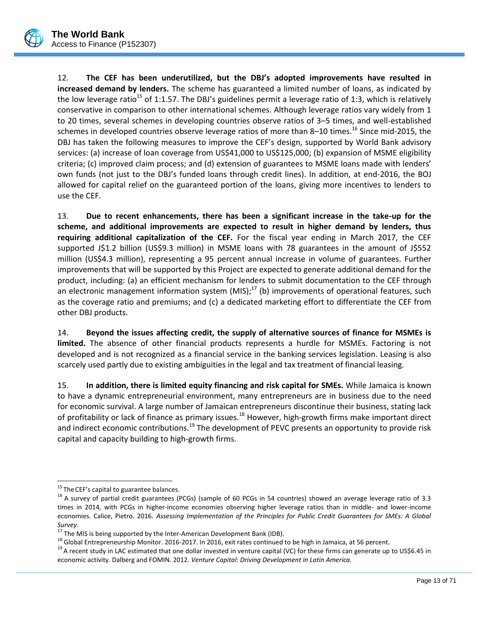

12. **The CEF has been underutilized, but the DBJ's adopted improvements have resulted in increased demand by lenders.** The scheme has guaranteed a limited number of loans, as indicated by the low leverage ratio<sup>15</sup> of 1:1.57. The DBJ's guidelines permit a leverage ratio of 1:3, which is relatively conservative in comparison to other international schemes. Although leverage ratios vary widely from 1 to 20 times, several schemes in developing countries observe ratios of 3–5 times, and well-established schemes in developed countries observe leverage ratios of more than 8–10 times.<sup>16</sup> Since mid-2015, the DBJ has taken the following measures to improve the CEF's design, supported by World Bank advisory services: (a) increase of loan coverage from US\$41,000 to US\$125,000; (b) expansion of MSME eligibility criteria; (c) improved claim process; and (d) extension of guarantees to MSME loans made with lenders' own funds (not just to the DBJ's funded loans through credit lines). In addition, at end-2016, the BOJ allowed for capital relief on the guaranteed portion of the loans, giving more incentives to lenders to use the CEF.

13. **Due to recent enhancements, there has been a significant increase in the take-up for the scheme, and additional improvements are expected to result in higher demand by lenders, thus requiring additional capitalization of the CEF.** For the fiscal year ending in March 2017, the CEF supported J\$1.2 billion (US\$9.3 million) in MSME loans with 78 guarantees in the amount of J\$552 million (US\$4.3 million), representing a 95 percent annual increase in volume of guarantees. Further improvements that will be supported by this Project are expected to generate additional demand for the product, including: (a) an efficient mechanism for lenders to submit documentation to the CEF through an electronic management information system  $(MIS);<sup>17</sup>$  (b) improvements of operational features, such as the coverage ratio and premiums; and (c) a dedicated marketing effort to differentiate the CEF from other DBJ products.

14. **Beyond the issues affecting credit, the supply of alternative sources of finance for MSMEs is limited.** The absence of other financial products represents a hurdle for MSMEs. Factoring is not developed and is not recognized as a financial service in the banking services legislation. Leasing is also scarcely used partly due to existing ambiguities in the legal and tax treatment of financial leasing.

15. **In addition, there is limited equity financing and risk capital for SMEs.** While Jamaica is known to have a dynamic entrepreneurial environment, many entrepreneurs are in business due to the need for economic survival. A large number of Jamaican entrepreneurs discontinue their business, stating lack of profitability or lack of finance as primary issues.<sup>18</sup> However, high-growth firms make important direct and indirect economic contributions.<sup>19</sup> The development of PEVC presents an opportunity to provide risk capital and capacity building to high-growth firms.

 $\overline{a}$ <sup>15</sup> The CEF's capital to guarantee balances.

 $16$  A survey of partial credit guarantees (PCGs) (sample of 60 PCGs in 54 countries) showed an average leverage ratio of 3.3 times in 2014, with PCGs in higher-income economies observing higher leverage ratios than in middle- and lower-income economies. Calice, Pietro. 2016. *Assessing Implementation of the Principles for Public Credit Guarantees for SMEs: A Global Survey*.

 $17$  The MIS is being supported by the Inter-American Development Bank (IDB).

 $18$  Global Entrepreneurship Monitor. 2016-2017. In 2016, exit rates continued to be high in Jamaica, at 56 percent.

<sup>&</sup>lt;sup>19</sup> A recent study in LAC estimated that one dollar invested in venture capital (VC) for these firms can generate up to US\$6.45 in economic activity. Dalberg and FOMIN. 2012. *Venture Capital: Driving Development in Latin America.*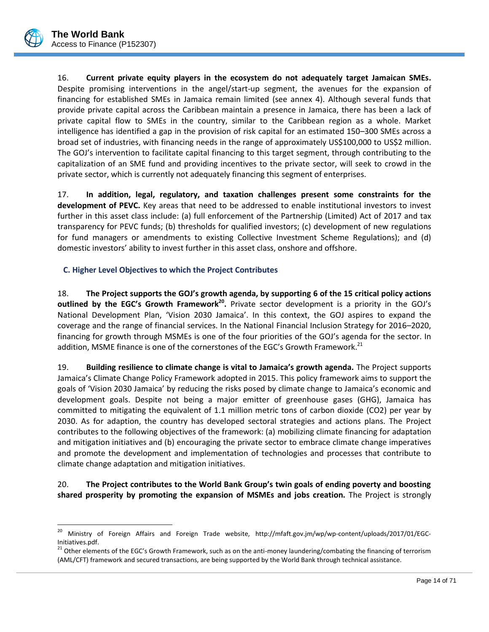

 $\overline{a}$ 

16. **Current private equity players in the ecosystem do not adequately target Jamaican SMEs.** Despite promising interventions in the angel/start-up segment, the avenues for the expansion of financing for established SMEs in Jamaica remain limited (see annex 4). Although several funds that provide private capital across the Caribbean maintain a presence in Jamaica, there has been a lack of private capital flow to SMEs in the country, similar to the Caribbean region as a whole. Market intelligence has identified a gap in the provision of risk capital for an estimated 150–300 SMEs across a broad set of industries, with financing needs in the range of approximately US\$100,000 to US\$2 million. The GOJ's intervention to facilitate capital financing to this target segment, through contributing to the capitalization of an SME fund and providing incentives to the private sector, will seek to crowd in the private sector, which is currently not adequately financing this segment of enterprises.

17. **In addition, legal, regulatory, and taxation challenges present some constraints for the development of PEVC.** Key areas that need to be addressed to enable institutional investors to invest further in this asset class include: (a) full enforcement of the Partnership (Limited) Act of 2017 and tax transparency for PEVC funds; (b) thresholds for qualified investors; (c) development of new regulations for fund managers or amendments to existing Collective Investment Scheme Regulations); and (d) domestic investors' ability to invest further in this asset class, onshore and offshore.

# <span id="page-16-0"></span>**C. Higher Level Objectives to which the Project Contributes**

18. **The Project supports the GOJ's growth agenda, by supporting 6 of the 15 critical policy actions outlined by the EGC's Growth Framework<sup>20</sup> .** Private sector development is a priority in the GOJ's National Development Plan, 'Vision 2030 Jamaica'. In this context, the GOJ aspires to expand the coverage and the range of financial services. In the National Financial Inclusion Strategy for 2016–2020, financing for growth through MSMEs is one of the four priorities of the GOJ's agenda for the sector. In addition, MSME finance is one of the cornerstones of the EGC's Growth Framework.<sup>21</sup>

19. **Building resilience to climate change is vital to Jamaica's growth agenda.** The Project supports Jamaica's Climate Change Policy Framework adopted in 2015. This policy framework aims to support the goals of 'Vision 2030 Jamaica' by reducing the risks posed by climate change to Jamaica's economic and development goals. Despite not being a major emitter of greenhouse gases (GHG), Jamaica has committed to mitigating the equivalent of 1.1 million metric tons of carbon dioxide (CO2) per year by 2030. As for adaption, the country has developed sectoral strategies and actions plans. The Project contributes to the following objectives of the framework: (a) mobilizing climate financing for adaptation and mitigation initiatives and (b) encouraging the private sector to embrace climate change imperatives and promote the development and implementation of technologies and processes that contribute to climate change adaptation and mitigation initiatives.

20. **The Project contributes to the World Bank Group's twin goals of ending poverty and boosting shared prosperity by promoting the expansion of MSMEs and jobs creation.** The Project is strongly

<sup>&</sup>lt;sup>20</sup> Ministry of Foreign Affairs and Foreign Trade website, http://mfaft.gov.jm/wp/wp-content/uploads/2017/01/EGC-Initiatives.pdf.

<sup>&</sup>lt;sup>21</sup> Other elements of the EGC's Growth Framework, such as on the anti-money laundering/combating the financing of terrorism (AML/CFT) framework and secured transactions, are being supported by the World Bank through technical assistance.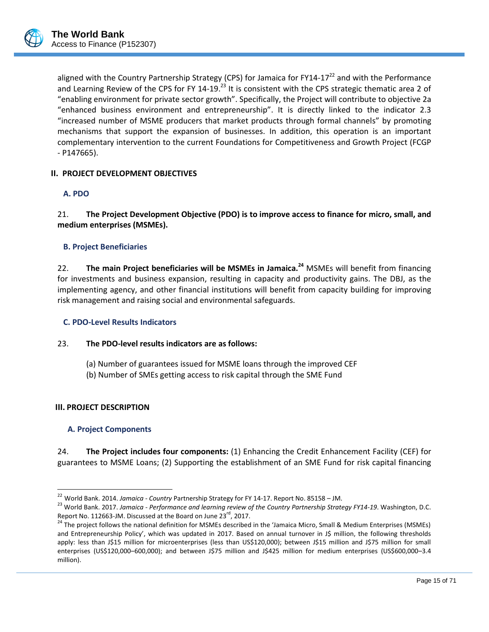

aligned with the Country Partnership Strategy (CPS) for Jamaica for FY14-17<sup>22</sup> and with the Performance and Learning Review of the CPS for FY 14-19.<sup>23</sup> It is consistent with the CPS strategic thematic area 2 of "enabling environment for private sector growth". Specifically, the Project will contribute to objective 2a "enhanced business environment and entrepreneurship". It is directly linked to the indicator 2.3 "increased number of MSME producers that market products through formal channels" by promoting mechanisms that support the expansion of businesses. In addition, this operation is an important complementary intervention to the current Foundations for Competitiveness and Growth Project (FCGP - P147665).

### <span id="page-17-1"></span><span id="page-17-0"></span>**II. PROJECT DEVELOPMENT OBJECTIVES**

### **A. PDO**

21. **The Project Development Objective (PDO) is to improve access to finance for micro, small, and medium enterprises (MSMEs).**

### <span id="page-17-2"></span>**B. Project Beneficiaries**

22. **The main Project beneficiaries will be MSMEs in Jamaica.<sup>24</sup>** MSMEs will benefit from financing for investments and business expansion, resulting in capacity and productivity gains. The DBJ, as the implementing agency, and other financial institutions will benefit from capacity building for improving risk management and raising social and environmental safeguards.

### <span id="page-17-3"></span>**C. PDO-Level Results Indicators**

### 23. **The PDO-level results indicators are as follows:**

(a) Number of guarantees issued for MSME loans through the improved CEF (b) Number of SMEs getting access to risk capital through the SME Fund

#### <span id="page-17-5"></span><span id="page-17-4"></span>**III. PROJECT DESCRIPTION**

 $\overline{a}$ 

#### **A. Project Components**

24. **The Project includes four components:** (1) Enhancing the Credit Enhancement Facility (CEF) for guarantees to MSME Loans; (2) Supporting the establishment of an SME Fund for risk capital financing

<sup>22</sup> World Bank. 2014. *Jamaica - Country* Partnership Strategy for FY 14-17. Report No. 85158 – JM.

<sup>23</sup> World Bank. 2017. *Jamaica - Performance and learning review of the Country Partnership Strategy FY14-19*. Washington, D.C. Report No. 112663-JM. Discussed at the Board on June  $23<sup>rd</sup>$ , 2017.

<sup>&</sup>lt;sup>24</sup> The project follows the national definition for MSMEs described in the 'Jamaica Micro, Small & Medium Enterprises (MSMEs) and Entrepreneurship Policy', which was updated in 2017. Based on annual turnover in J\$ million, the following thresholds apply: less than J\$15 million for microenterprises (less than US\$120,000); between J\$15 million and J\$75 million for small enterprises (US\$120,000–600,000); and between J\$75 million and J\$425 million for medium enterprises (US\$600,000–3.4 million).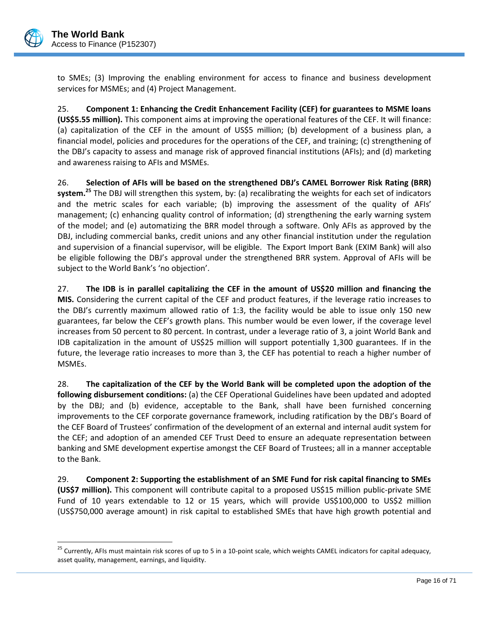

 $\overline{a}$ 

to SMEs; (3) Improving the enabling environment for access to finance and business development services for MSMEs; and (4) Project Management.

25. **Component 1: Enhancing the Credit Enhancement Facility (CEF) for guarantees to MSME loans (US\$5.55 million).** This component aims at improving the operational features of the CEF. It will finance: (a) capitalization of the CEF in the amount of US\$5 million; (b) development of a business plan, a financial model, policies and procedures for the operations of the CEF, and training; (c) strengthening of the DBJ's capacity to assess and manage risk of approved financial institutions (AFIs); and (d) marketing and awareness raising to AFIs and MSMEs.

26. **Selection of AFIs will be based on the strengthened DBJ's CAMEL Borrower Risk Rating (BRR) system.<sup>25</sup>** The DBJ will strengthen this system, by: (a) recalibrating the weights for each set of indicators and the metric scales for each variable; (b) improving the assessment of the quality of AFIs' management; (c) enhancing quality control of information; (d) strengthening the early warning system of the model; and (e) automatizing the BRR model through a software. Only AFIs as approved by the DBJ, including commercial banks, credit unions and any other financial institution under the regulation and supervision of a financial supervisor, will be eligible. The Export Import Bank (EXIM Bank) will also be eligible following the DBJ's approval under the strengthened BRR system. Approval of AFIs will be subject to the World Bank's 'no objection'.

27. **The IDB is in parallel capitalizing the CEF in the amount of US\$20 million and financing the MIS.** Considering the current capital of the CEF and product features, if the leverage ratio increases to the DBJ's currently maximum allowed ratio of 1:3, the facility would be able to issue only 150 new guarantees, far below the CEF's growth plans. This number would be even lower, if the coverage level increases from 50 percent to 80 percent. In contrast, under a leverage ratio of 3, a joint World Bank and IDB capitalization in the amount of US\$25 million will support potentially 1,300 guarantees. If in the future, the leverage ratio increases to more than 3, the CEF has potential to reach a higher number of MSMEs.

28. **The capitalization of the CEF by the World Bank will be completed upon the adoption of the following disbursement conditions:** (a) the CEF Operational Guidelines have been updated and adopted by the DBJ; and (b) evidence, acceptable to the Bank, shall have been furnished concerning improvements to the CEF corporate governance framework, including ratification by the DBJ's Board of the CEF Board of Trustees' confirmation of the development of an external and internal audit system for the CEF; and adoption of an amended CEF Trust Deed to ensure an adequate representation between banking and SME development expertise amongst the CEF Board of Trustees; all in a manner acceptable to the Bank.

29. **Component 2: Supporting the establishment of an SME Fund for risk capital financing to SMEs (US\$7 million).** This component will contribute capital to a proposed US\$15 million public-private SME Fund of 10 years extendable to 12 or 15 years, which will provide US\$100,000 to US\$2 million (US\$750,000 average amount) in risk capital to established SMEs that have high growth potential and

<sup>&</sup>lt;sup>25</sup> Currently, AFIs must maintain risk scores of up to 5 in a 10-point scale, which weights CAMEL indicators for capital adequacy, asset quality, management, earnings, and liquidity.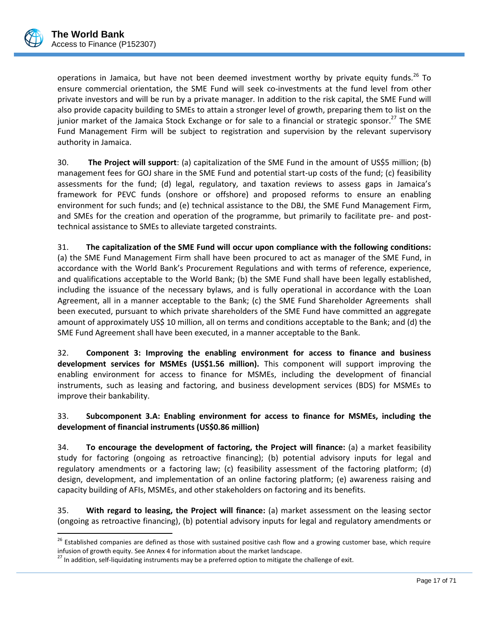

 $\overline{a}$ 

operations in Jamaica, but have not been deemed investment worthy by private equity funds.<sup>26</sup> To ensure commercial orientation, the SME Fund will seek co-investments at the fund level from other private investors and will be run by a private manager. In addition to the risk capital, the SME Fund will also provide capacity building to SMEs to attain a stronger level of growth, preparing them to list on the junior market of the Jamaica Stock Exchange or for sale to a financial or strategic sponsor.<sup>27</sup> The SME Fund Management Firm will be subject to registration and supervision by the relevant supervisory authority in Jamaica.

30. **The Project will support**: (a) capitalization of the SME Fund in the amount of US\$5 million; (b) management fees for GOJ share in the SME Fund and potential start-up costs of the fund; (c) feasibility assessments for the fund; (d) legal, regulatory, and taxation reviews to assess gaps in Jamaica's framework for PEVC funds (onshore or offshore) and proposed reforms to ensure an enabling environment for such funds; and (e) technical assistance to the DBJ, the SME Fund Management Firm, and SMEs for the creation and operation of the programme, but primarily to facilitate pre- and posttechnical assistance to SMEs to alleviate targeted constraints.

31. **The capitalization of the SME Fund will occur upon compliance with the following conditions:** (a) the SME Fund Management Firm shall have been procured to act as manager of the SME Fund, in accordance with the World Bank's Procurement Regulations and with terms of reference, experience, and qualifications acceptable to the World Bank; (b) the SME Fund shall have been legally established, including the issuance of the necessary bylaws, and is fully operational in accordance with the Loan Agreement, all in a manner acceptable to the Bank; (c) the SME Fund Shareholder Agreements shall been executed, pursuant to which private shareholders of the SME Fund have committed an aggregate amount of approximately US\$ 10 million, all on terms and conditions acceptable to the Bank; and (d) the SME Fund Agreement shall have been executed, in a manner acceptable to the Bank.

32. **Component 3: Improving the enabling environment for access to finance and business development services for MSMEs (US\$1.56 million).** This component will support improving the enabling environment for access to finance for MSMEs, including the development of financial instruments, such as leasing and factoring, and business development services (BDS) for MSMEs to improve their bankability.

### 33. **Subcomponent 3.A: Enabling environment for access to finance for MSMEs, including the development of financial instruments (US\$0.86 million)**

34. **To encourage the development of factoring, the Project will finance:** (a) a market feasibility study for factoring (ongoing as retroactive financing); (b) potential advisory inputs for legal and regulatory amendments or a factoring law; (c) feasibility assessment of the factoring platform; (d) design, development, and implementation of an online factoring platform; (e) awareness raising and capacity building of AFIs, MSMEs, and other stakeholders on factoring and its benefits.

35. **With regard to leasing, the Project will finance:** (a) market assessment on the leasing sector (ongoing as retroactive financing), (b) potential advisory inputs for legal and regulatory amendments or

<sup>&</sup>lt;sup>26</sup> Established companies are defined as those with sustained positive cash flow and a growing customer base, which require infusion of growth equity. See Annex 4 for information about the market landscape.

<sup>&</sup>lt;sup>27</sup> In addition, self-liquidating instruments may be a preferred option to mitigate the challenge of exit.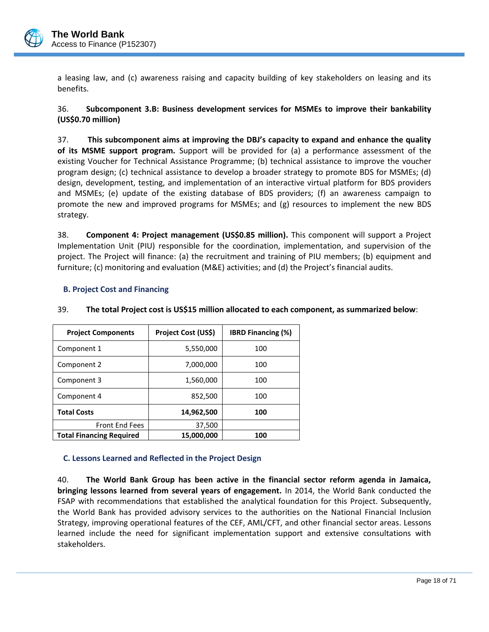

a leasing law, and (c) awareness raising and capacity building of key stakeholders on leasing and its benefits.

36. **Subcomponent 3.B: Business development services for MSMEs to improve their bankability (US\$0.70 million)**

37. **This subcomponent aims at improving the DBJ's capacity to expand and enhance the quality of its MSME support program.** Support will be provided for (a) a performance assessment of the existing Voucher for Technical Assistance Programme; (b) technical assistance to improve the voucher program design; (c) technical assistance to develop a broader strategy to promote BDS for MSMEs; (d) design, development, testing, and implementation of an interactive virtual platform for BDS providers and MSMEs; (e) update of the existing database of BDS providers; (f) an awareness campaign to promote the new and improved programs for MSMEs; and (g) resources to implement the new BDS strategy.

38. **Component 4: Project management (US\$0.85 million).** This component will support a Project Implementation Unit (PIU) responsible for the coordination, implementation, and supervision of the project. The Project will finance: (a) the recruitment and training of PIU members; (b) equipment and furniture; (c) monitoring and evaluation (M&E) activities; and (d) the Project's financial audits.

### <span id="page-20-0"></span>**B. Project Cost and Financing**

### 39. **The total Project cost is US\$15 million allocated to each component, as summarized below**:

| <b>Project Components</b>       | Project Cost (US\$) | <b>IBRD Financing (%)</b> |
|---------------------------------|---------------------|---------------------------|
| Component 1                     | 5,550,000           | 100                       |
| Component 2                     | 7,000,000           | 100                       |
| Component 3                     | 1,560,000           | 100                       |
| Component 4                     | 852,500             | 100                       |
| <b>Total Costs</b>              | 14,962,500          | 100                       |
| <b>Front End Fees</b>           | 37,500              |                           |
| <b>Total Financing Required</b> | 15,000,000          | 100                       |

### <span id="page-20-1"></span>**C. Lessons Learned and Reflected in the Project Design**

40. **The World Bank Group has been active in the financial sector reform agenda in Jamaica, bringing lessons learned from several years of engagement.** In 2014, the World Bank conducted the FSAP with recommendations that established the analytical foundation for this Project. Subsequently, the World Bank has provided advisory services to the authorities on the National Financial Inclusion Strategy, improving operational features of the CEF, AML/CFT, and other financial sector areas. Lessons learned include the need for significant implementation support and extensive consultations with stakeholders.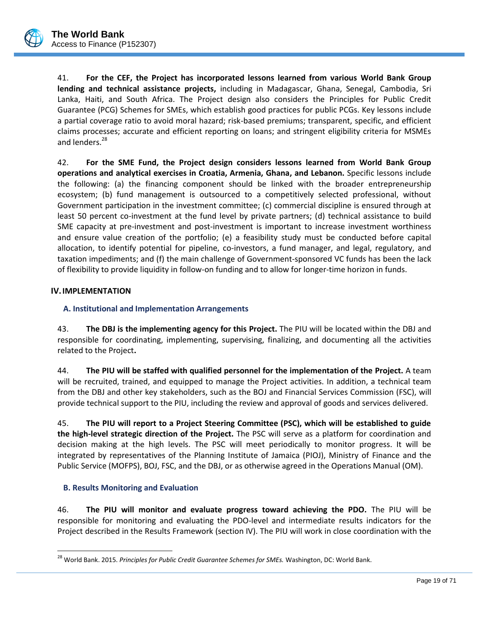

41. **For the CEF, the Project has incorporated lessons learned from various World Bank Group lending and technical assistance projects,** including in Madagascar, Ghana, Senegal, Cambodia, Sri Lanka, Haiti, and South Africa. The Project design also considers the Principles for Public Credit Guarantee (PCG) Schemes for SMEs, which establish good practices for public PCGs. Key lessons include a partial coverage ratio to avoid moral hazard; risk-based premiums; transparent, specific, and efficient claims processes; accurate and efficient reporting on loans; and stringent eligibility criteria for MSMEs and lenders.<sup>28</sup>

42. **For the SME Fund, the Project design considers lessons learned from World Bank Group operations and analytical exercises in Croatia, Armenia, Ghana, and Lebanon.** Specific lessons include the following: (a) the financing component should be linked with the broader entrepreneurship ecosystem; (b) fund management is outsourced to a competitively selected professional, without Government participation in the investment committee; (c) commercial discipline is ensured through at least 50 percent co-investment at the fund level by private partners; (d) technical assistance to build SME capacity at pre-investment and post-investment is important to increase investment worthiness and ensure value creation of the portfolio; (e) a feasibility study must be conducted before capital allocation, to identify potential for pipeline, co-investors, a fund manager, and legal, regulatory, and taxation impediments; and (f) the main challenge of Government-sponsored VC funds has been the lack of flexibility to provide liquidity in follow-on funding and to allow for longer-time horizon in funds.

### <span id="page-21-1"></span><span id="page-21-0"></span>**IV.IMPLEMENTATION**

### **A. Institutional and Implementation Arrangements**

43. **The DBJ is the implementing agency for this Project.** The PIU will be located within the DBJ and responsible for coordinating, implementing, supervising, finalizing, and documenting all the activities related to the Project**.**

44. **The PIU will be staffed with qualified personnel for the implementation of the Project.** A team will be recruited, trained, and equipped to manage the Project activities. In addition, a technical team from the DBJ and other key stakeholders, such as the BOJ and Financial Services Commission (FSC), will provide technical support to the PIU, including the review and approval of goods and services delivered.

45. **The PIU will report to a Project Steering Committee (PSC), which will be established to guide the high-level strategic direction of the Project.** The PSC will serve as a platform for coordination and decision making at the high levels. The PSC will meet periodically to monitor progress. It will be integrated by representatives of the Planning Institute of Jamaica (PIOJ), Ministry of Finance and the Public Service (MOFPS), BOJ, FSC, and the DBJ, or as otherwise agreed in the Operations Manual (OM).

### <span id="page-21-2"></span>**B. Results Monitoring and Evaluation**

 $\overline{a}$ 

46. **The PIU will monitor and evaluate progress toward achieving the PDO.** The PIU will be responsible for monitoring and evaluating the PDO-level and intermediate results indicators for the Project described in the Results Framework (section IV). The PIU will work in close coordination with the

<sup>28</sup> World Bank. 2015. *Principles for Public Credit Guarantee Schemes for SMEs.* Washington, DC: World Bank.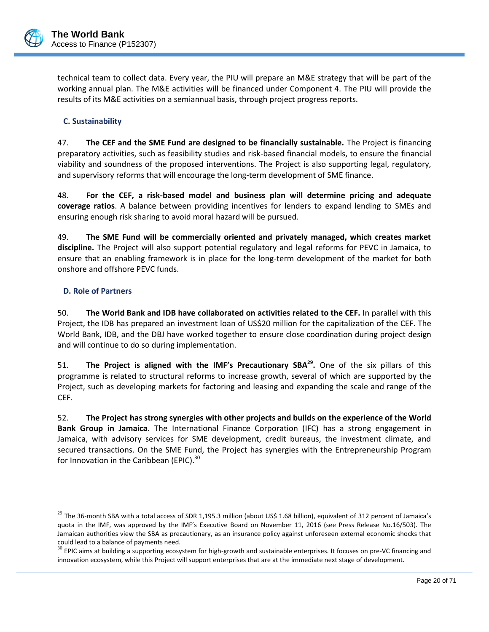

technical team to collect data. Every year, the PIU will prepare an M&E strategy that will be part of the working annual plan. The M&E activities will be financed under Component 4. The PIU will provide the results of its M&E activities on a semiannual basis, through project progress reports.

### <span id="page-22-0"></span>**C. Sustainability**

47. **The CEF and the SME Fund are designed to be financially sustainable.** The Project is financing preparatory activities, such as feasibility studies and risk-based financial models, to ensure the financial viability and soundness of the proposed interventions. The Project is also supporting legal, regulatory, and supervisory reforms that will encourage the long-term development of SME finance.

48. **For the CEF, a risk-based model and business plan will determine pricing and adequate coverage ratios**. A balance between providing incentives for lenders to expand lending to SMEs and ensuring enough risk sharing to avoid moral hazard will be pursued.

49. **The SME Fund will be commercially oriented and privately managed, which creates market discipline.** The Project will also support potential regulatory and legal reforms for PEVC in Jamaica, to ensure that an enabling framework is in place for the long-term development of the market for both onshore and offshore PEVC funds.

### <span id="page-22-1"></span>**D. Role of Partners**

 $\overline{a}$ 

50. **The World Bank and IDB have collaborated on activities related to the CEF.** In parallel with this Project, the IDB has prepared an investment loan of US\$20 million for the capitalization of the CEF. The World Bank, IDB, and the DBJ have worked together to ensure close coordination during project design and will continue to do so during implementation.

51. **The Project is aligned with the IMF's Precautionary SBA<sup>29</sup> .** One of the six pillars of this programme is related to structural reforms to increase growth, several of which are supported by the Project, such as developing markets for factoring and leasing and expanding the scale and range of the CEF.

52. **The Project has strong synergies with other projects and builds on the experience of the World Bank Group in Jamaica.** The International Finance Corporation (IFC) has a strong engagement in Jamaica, with advisory services for SME development, credit bureaus, the investment climate, and secured transactions. On the SME Fund, the Project has synergies with the Entrepreneurship Program for Innovation in the Caribbean (EPIC).<sup>30</sup>

<sup>&</sup>lt;sup>29</sup> The 36-month SBA with a total access of SDR 1,195.3 million (about US\$ 1.68 billion), equivalent of 312 percent of Jamaica's quota in the IMF, was approved by the IMF's Executive Board on November 11, 2016 (see Press Release No.16/503). The Jamaican authorities view the SBA as precautionary, as an insurance policy against unforeseen external economic shocks that could lead to a balance of payments need.

<sup>&</sup>lt;sup>30</sup> EPIC aims at building a supporting ecosystem for high-growth and sustainable enterprises. It focuses on pre-VC financing and innovation ecosystem, while this Project will support enterprises that are at the immediate next stage of development.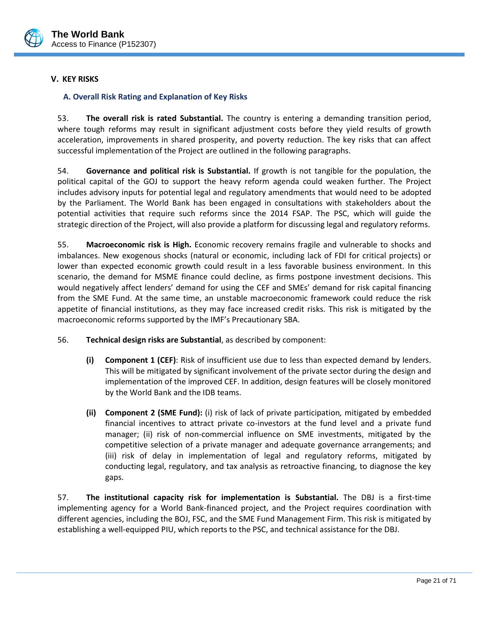

# <span id="page-23-1"></span><span id="page-23-0"></span>**V. KEY RISKS**

### **A. Overall Risk Rating and Explanation of Key Risks**

53. **The overall risk is rated Substantial.** The country is entering a demanding transition period, where tough reforms may result in significant adjustment costs before they yield results of growth acceleration, improvements in shared prosperity, and poverty reduction. The key risks that can affect successful implementation of the Project are outlined in the following paragraphs.

54. **Governance and political risk is Substantial.** If growth is not tangible for the population, the political capital of the GOJ to support the heavy reform agenda could weaken further. The Project includes advisory inputs for potential legal and regulatory amendments that would need to be adopted by the Parliament. The World Bank has been engaged in consultations with stakeholders about the potential activities that require such reforms since the 2014 FSAP. The PSC, which will guide the strategic direction of the Project, will also provide a platform for discussing legal and regulatory reforms.

55. **Macroeconomic risk is High.** Economic recovery remains fragile and vulnerable to shocks and imbalances. New exogenous shocks (natural or economic, including lack of FDI for critical projects) or lower than expected economic growth could result in a less favorable business environment. In this scenario, the demand for MSME finance could decline, as firms postpone investment decisions. This would negatively affect lenders' demand for using the CEF and SMEs' demand for risk capital financing from the SME Fund. At the same time, an unstable macroeconomic framework could reduce the risk appetite of financial institutions, as they may face increased credit risks. This risk is mitigated by the macroeconomic reforms supported by the IMF's Precautionary SBA.

### 56. **Technical design risks are Substantial**, as described by component:

- **(i) Component 1 (CEF)**: Risk of insufficient use due to less than expected demand by lenders. This will be mitigated by significant involvement of the private sector during the design and implementation of the improved CEF. In addition, design features will be closely monitored by the World Bank and the IDB teams.
- **(ii) Component 2 (SME Fund):** (i) risk of lack of private participation*,* mitigated by embedded financial incentives to attract private co-investors at the fund level and a private fund manager; (ii) risk of non-commercial influence on SME investments, mitigated by the competitive selection of a private manager and adequate governance arrangements; and (iii) risk of delay in implementation of legal and regulatory reforms, mitigated by conducting legal, regulatory, and tax analysis as retroactive financing, to diagnose the key gaps.

57. **The institutional capacity risk for implementation is Substantial.** The DBJ is a first-time implementing agency for a World Bank-financed project, and the Project requires coordination with different agencies, including the BOJ, FSC, and the SME Fund Management Firm. This risk is mitigated by establishing a well-equipped PIU, which reports to the PSC, and technical assistance for the DBJ.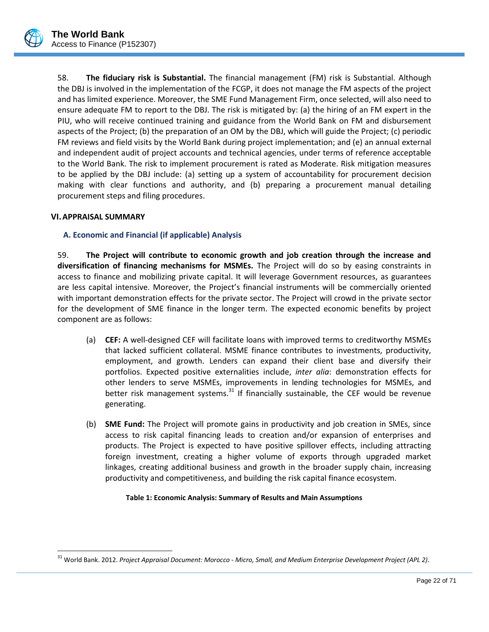

58. **The fiduciary risk is Substantial.** The financial management (FM) risk is Substantial. Although the DBJ is involved in the implementation of the FCGP, it does not manage the FM aspects of the project and has limited experience. Moreover, the SME Fund Management Firm, once selected, will also need to ensure adequate FM to report to the DBJ. The risk is mitigated by: (a) the hiring of an FM expert in the PIU, who will receive continued training and guidance from the World Bank on FM and disbursement aspects of the Project; (b) the preparation of an OM by the DBJ, which will guide the Project; (c) periodic FM reviews and field visits by the World Bank during project implementation; and (e) an annual external and independent audit of project accounts and technical agencies, under terms of reference acceptable to the World Bank. The risk to implement procurement is rated as Moderate. Risk mitigation measures to be applied by the DBJ include: (a) setting up a system of accountability for procurement decision making with clear functions and authority, and (b) preparing a procurement manual detailing procurement steps and filing procedures.

### <span id="page-24-1"></span><span id="page-24-0"></span>**VI.APPRAISAL SUMMARY**

<span id="page-24-2"></span> $\overline{a}$ 

### **A. Economic and Financial (if applicable) Analysis**

59. **The Project will contribute to economic growth and job creation through the increase and diversification of financing mechanisms for MSMEs.** The Project will do so by easing constraints in access to finance and mobilizing private capital. It will leverage Government resources, as guarantees are less capital intensive. Moreover, the Project's financial instruments will be commercially oriented with important demonstration effects for the private sector. The Project will crowd in the private sector for the development of SME finance in the longer term. The expected economic benefits by project component are as follows:

- (a) **CEF:** A well-designed CEF will facilitate loans with improved terms to creditworthy MSMEs that lacked sufficient collateral. MSME finance contributes to investments, productivity, employment, and growth. Lenders can expand their client base and diversify their portfolios. Expected positive externalities include, *inter alia*: demonstration effects for other lenders to serve MSMEs, improvements in lending technologies for MSMEs, and better risk management systems. $31$  If financially sustainable, the CEF would be revenue generating.
- (b) **SME Fund:** The Project will promote gains in productivity and job creation in SMEs, since access to risk capital financing leads to creation and/or expansion of enterprises and products. The Project is expected to have positive spillover effects, including attracting foreign investment, creating a higher volume of exports through upgraded market linkages, creating additional business and growth in the broader supply chain, increasing productivity and competitiveness, and building the risk capital finance ecosystem.

#### **Table 1: Economic Analysis: Summary of Results and Main Assumptions**

<sup>31</sup> World Bank. 2012. *Project Appraisal Document: Morocco - Micro, Small, and Medium Enterprise Development Project (APL 2)*.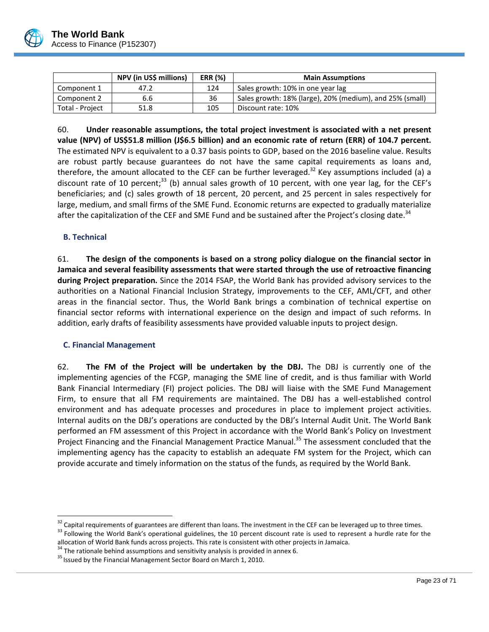

|                 | NPV (in US\$ millions) | <b>ERR (%)</b> | <b>Main Assumptions</b>                                  |  |  |
|-----------------|------------------------|----------------|----------------------------------------------------------|--|--|
| Component 1     | 47.2                   | 124            | Sales growth: 10% in one year lag                        |  |  |
| Component 2     | 6.6                    | 36             | Sales growth: 18% (large), 20% (medium), and 25% (small) |  |  |
| Total - Project | 51.8                   | 105            | Discount rate: 10%                                       |  |  |

60. **Under reasonable assumptions, the total project investment is associated with a net present value (NPV) of US\$51.8 million (J\$6.5 billion) and an economic rate of return (ERR) of 104.7 percent.** The estimated NPV is equivalent to a 0.37 basis points to GDP, based on the 2016 baseline value. Results are robust partly because guarantees do not have the same capital requirements as loans and, therefore, the amount allocated to the CEF can be further leveraged.<sup>32</sup> Key assumptions included (a) a discount rate of 10 percent;<sup>33</sup> (b) annual sales growth of 10 percent, with one year lag, for the CEF's beneficiaries; and (c) sales growth of 18 percent, 20 percent, and 25 percent in sales respectively for large, medium, and small firms of the SME Fund. Economic returns are expected to gradually materialize after the capitalization of the CEF and SME Fund and be sustained after the Project's closing date.<sup>34</sup>

### <span id="page-25-0"></span>**B. Technical**

 $\overline{a}$ 

61. **The design of the components is based on a strong policy dialogue on the financial sector in Jamaica and several feasibility assessments that were started through the use of retroactive financing during Project preparation.** Since the 2014 FSAP, the World Bank has provided advisory services to the authorities on a National Financial Inclusion Strategy, improvements to the CEF, AML/CFT, and other areas in the financial sector. Thus, the World Bank brings a combination of technical expertise on financial sector reforms with international experience on the design and impact of such reforms. In addition, early drafts of feasibility assessments have provided valuable inputs to project design.

### <span id="page-25-1"></span>**C. Financial Management**

62. **The FM of the Project will be undertaken by the DBJ.** The DBJ is currently one of the implementing agencies of the FCGP, managing the SME line of credit, and is thus familiar with World Bank Financial Intermediary (FI) project policies. The DBJ will liaise with the SME Fund Management Firm, to ensure that all FM requirements are maintained. The DBJ has a well-established control environment and has adequate processes and procedures in place to implement project activities. Internal audits on the DBJ's operations are conducted by the DBJ's Internal Audit Unit. The World Bank performed an FM assessment of this Project in accordance with the World Bank's Policy on Investment Project Financing and the Financial Management Practice Manual.<sup>35</sup> The assessment concluded that the implementing agency has the capacity to establish an adequate FM system for the Project, which can provide accurate and timely information on the status of the funds, as required by the World Bank.

 $32$  Capital requirements of guarantees are different than loans. The investment in the CEF can be leveraged up to three times. <sup>33</sup> Following the World Bank's operational guidelines, the 10 percent discount rate is used to represent a hurdle rate for the

allocation of World Bank funds across projects. This rate is consistent with other projects in Jamaica.

 $34$  The rationale behind assumptions and sensitivity analysis is provided in annex 6.

<sup>&</sup>lt;sup>35</sup> Issued by the Financial Management Sector Board on March 1, 2010.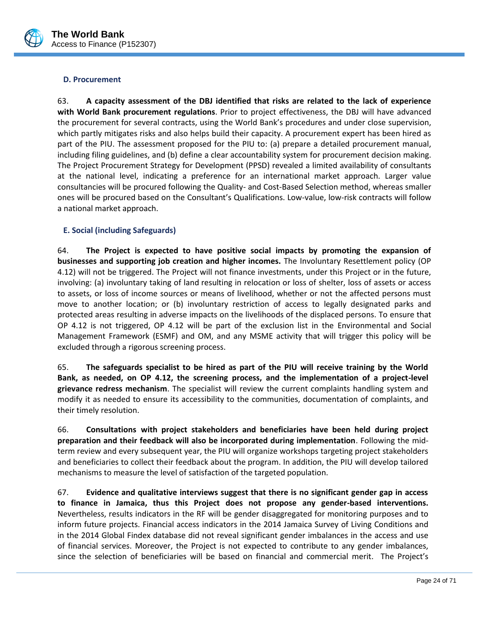

### <span id="page-26-0"></span>**D. Procurement**

63. **A capacity assessment of the DBJ identified that risks are related to the lack of experience with World Bank procurement regulations**. Prior to project effectiveness, the DBJ will have advanced the procurement for several contracts, using the World Bank's procedures and under close supervision, which partly mitigates risks and also helps build their capacity. A procurement expert has been hired as part of the PIU. The assessment proposed for the PIU to: (a) prepare a detailed procurement manual, including filing guidelines, and (b) define a clear accountability system for procurement decision making. The Project Procurement Strategy for Development (PPSD) revealed a limited availability of consultants at the national level, indicating a preference for an international market approach. Larger value consultancies will be procured following the Quality- and Cost-Based Selection method, whereas smaller ones will be procured based on the Consultant's Qualifications. Low-value, low-risk contracts will follow a national market approach.

### <span id="page-26-1"></span>**E. Social (including Safeguards)**

64. **The Project is expected to have positive social impacts by promoting the expansion of businesses and supporting job creation and higher incomes.** The Involuntary Resettlement policy (OP 4.12) will not be triggered. The Project will not finance investments, under this Project or in the future, involving: (a) involuntary taking of land resulting in relocation or loss of shelter, loss of assets or access to assets, or loss of income sources or means of livelihood, whether or not the affected persons must move to another location; or (b) involuntary restriction of access to legally designated parks and protected areas resulting in adverse impacts on the livelihoods of the displaced persons. To ensure that OP 4.12 is not triggered, OP 4.12 will be part of the exclusion list in the Environmental and Social Management Framework (ESMF) and OM, and any MSME activity that will trigger this policy will be excluded through a rigorous screening process.

65. **The safeguards specialist to be hired as part of the PIU will receive training by the World Bank, as needed, on OP 4.12, the screening process, and the implementation of a project-level grievance redress mechanism**. The specialist will review the current complaints handling system and modify it as needed to ensure its accessibility to the communities, documentation of complaints, and their timely resolution.

66. **Consultations with project stakeholders and beneficiaries have been held during project preparation and their feedback will also be incorporated during implementation**. Following the midterm review and every subsequent year, the PIU will organize workshops targeting project stakeholders and beneficiaries to collect their feedback about the program. In addition, the PIU will develop tailored mechanisms to measure the level of satisfaction of the targeted population.

67. **Evidence and qualitative interviews suggest that there is no significant gender gap in access to finance in Jamaica, thus this Project does not propose any gender-based interventions.**  Nevertheless, results indicators in the RF will be gender disaggregated for monitoring purposes and to inform future projects. Financial access indicators in the 2014 Jamaica Survey of Living Conditions and in the 2014 Global Findex database did not reveal significant gender imbalances in the access and use of financial services. Moreover, the Project is not expected to contribute to any gender imbalances, since the selection of beneficiaries will be based on financial and commercial merit. The Project's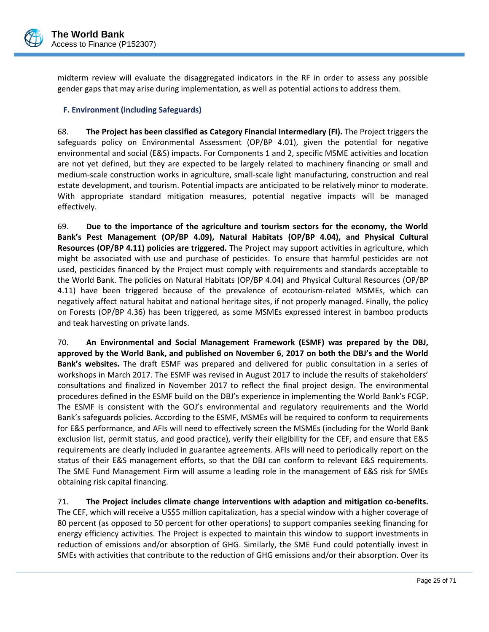

midterm review will evaluate the disaggregated indicators in the RF in order to assess any possible gender gaps that may arise during implementation, as well as potential actions to address them.

### <span id="page-27-0"></span>**F. Environment (including Safeguards)**

68. **The Project has been classified as Category Financial Intermediary (FI).** The Project triggers the safeguards policy on Environmental Assessment (OP/BP 4.01), given the potential for negative environmental and social (E&S) impacts. For Components 1 and 2, specific MSME activities and location are not yet defined, but they are expected to be largely related to machinery financing or small and medium-scale construction works in agriculture, small-scale light manufacturing, construction and real estate development, and tourism. Potential impacts are anticipated to be relatively minor to moderate. With appropriate standard mitigation measures, potential negative impacts will be managed effectively.

69. **Due to the importance of the agriculture and tourism sectors for the economy, the World Bank's Pest Management (OP/BP 4.09), Natural Habitats (OP/BP 4.04), and Physical Cultural Resources (OP/BP 4.11) policies are triggered.** The Project may support activities in agriculture, which might be associated with use and purchase of pesticides. To ensure that harmful pesticides are not used, pesticides financed by the Project must comply with requirements and standards acceptable to the World Bank. The policies on Natural Habitats (OP/BP 4.04) and Physical Cultural Resources (OP/BP 4.11) have been triggered because of the prevalence of ecotourism-related MSMEs, which can negatively affect natural habitat and national heritage sites, if not properly managed. Finally, the policy on Forests (OP/BP 4.36) has been triggered, as some MSMEs expressed interest in bamboo products and teak harvesting on private lands.

70. **An Environmental and Social Management Framework (ESMF) was prepared by the DBJ, approved by the World Bank, and published on November 6, 2017 on both the DBJ's and the World Bank's websites.** The draft ESMF was prepared and delivered for public consultation in a series of workshops in March 2017. The ESMF was revised in August 2017 to include the results of stakeholders' consultations and finalized in November 2017 to reflect the final project design. The environmental procedures defined in the ESMF build on the DBJ's experience in implementing the World Bank's FCGP. The ESMF is consistent with the GOJ's environmental and regulatory requirements and the World Bank's safeguards policies. According to the ESMF, MSMEs will be required to conform to requirements for E&S performance, and AFIs will need to effectively screen the MSMEs (including for the World Bank exclusion list, permit status, and good practice), verify their eligibility for the CEF, and ensure that E&S requirements are clearly included in guarantee agreements. AFIs will need to periodically report on the status of their E&S management efforts, so that the DBJ can conform to relevant E&S requirements. The SME Fund Management Firm will assume a leading role in the management of E&S risk for SMEs obtaining risk capital financing.

71. **The Project includes climate change interventions with adaption and mitigation co-benefits.** The CEF, which will receive a US\$5 million capitalization, has a special window with a higher coverage of 80 percent (as opposed to 50 percent for other operations) to support companies seeking financing for energy efficiency activities. The Project is expected to maintain this window to support investments in reduction of emissions and/or absorption of GHG. Similarly, the SME Fund could potentially invest in SMEs with activities that contribute to the reduction of GHG emissions and/or their absorption. Over its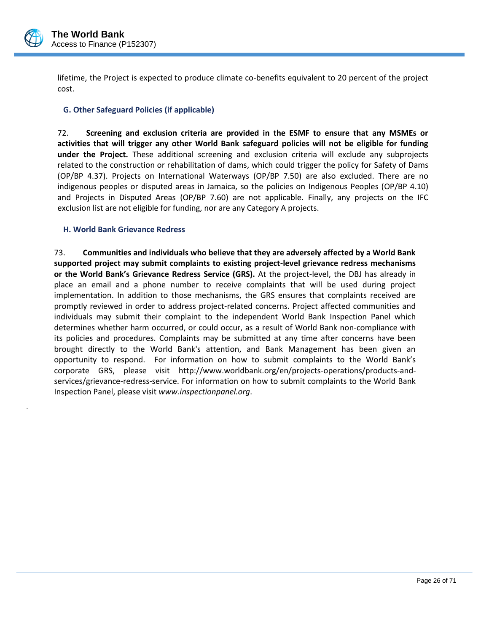

.

lifetime, the Project is expected to produce climate co-benefits equivalent to 20 percent of the project cost.

### <span id="page-28-0"></span>**G. Other Safeguard Policies (if applicable)**

72. **Screening and exclusion criteria are provided in the ESMF to ensure that any MSMEs or activities that will trigger any other World Bank safeguard policies will not be eligible for funding under the Project.** These additional screening and exclusion criteria will exclude any subprojects related to the construction or rehabilitation of dams, which could trigger the policy for Safety of Dams (OP/BP 4.37). Projects on International Waterways (OP/BP 7.50) are also excluded. There are no indigenous peoples or disputed areas in Jamaica, so the policies on Indigenous Peoples (OP/BP 4.10) and Projects in Disputed Areas (OP/BP 7.60) are not applicable. Finally, any projects on the IFC exclusion list are not eligible for funding, nor are any Category A projects.

### <span id="page-28-1"></span>**H. World Bank Grievance Redress**

73. **Communities and individuals who believe that they are adversely affected by a World Bank supported project may submit complaints to existing project-level grievance redress mechanisms or the World Bank's Grievance Redress Service (GRS).** At the project-level, the DBJ has already in place an email and a phone number to receive complaints that will be used during project implementation. In addition to those mechanisms, the GRS ensures that complaints received are promptly reviewed in order to address project-related concerns. Project affected communities and individuals may submit their complaint to the independent World Bank Inspection Panel which determines whether harm occurred, or could occur, as a result of World Bank non-compliance with its policies and procedures. Complaints may be submitted at any time after concerns have been brought directly to the World Bank's attention, and Bank Management has been given an opportunity to respond. For information on how to submit complaints to the World Bank's corporate GRS, please visit http://www.worldbank.org/en/projects-operations/products-andservices/grievance-redress-service. For information on how to submit complaints to the World Bank Inspection Panel, please visit *[www.inspectionpanel.org](http://www.inspectionpanel.org/)*.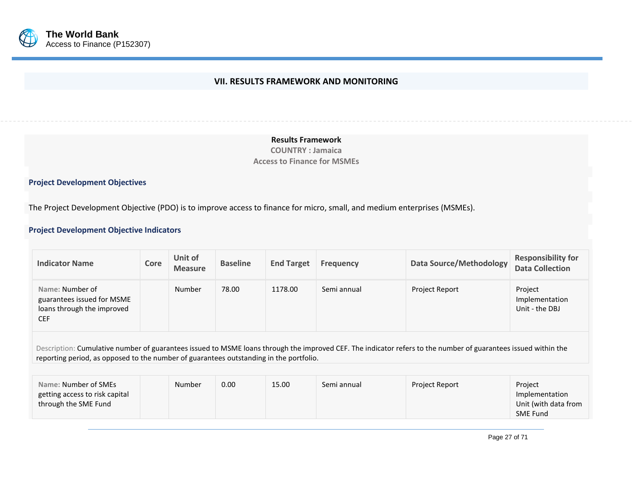

### **VII. RESULTS FRAMEWORK AND MONITORING**

**Results Framework COUNTRY : Jamaica Access to Finance for MSMEs**

### **Project Development Objectives**

The Project Development Objective (PDO) is to improve access to finance for micro, small, and medium enterprises (MSMEs).

### <span id="page-29-0"></span>**Project Development Objective Indicators**

| <b>Indicator Name</b>                                                                     | Core | Unit of<br><b>Measure</b> | <b>Baseline</b> | <b>End Target</b> | <b>Frequency</b> | <b>Data Source/Methodology</b>                                                                                                                                 | <b>Responsibility for</b><br><b>Data Collection</b> |
|-------------------------------------------------------------------------------------------|------|---------------------------|-----------------|-------------------|------------------|----------------------------------------------------------------------------------------------------------------------------------------------------------------|-----------------------------------------------------|
| Name: Number of<br>guarantees issued for MSME<br>loans through the improved<br><b>CEF</b> |      | Number                    | 78.00           | 1178.00           | Semi annual      | <b>Project Report</b>                                                                                                                                          | Project<br>Implementation<br>Unit - the DBJ         |
|                                                                                           |      |                           |                 |                   |                  | Description: Cumulative number of guarantees issued to MSME loans through the improved CEE. The indicator refers to the number of guarantees issued within the |                                                     |

Description: Cumulative number of guarantees issued to MSME loans through the improved CEF. The indicator refers to the number of guarantees reporting period, as opposed to the number of guarantees outstanding in the portfolio.

| Name: Number of SMEs<br>getting access to risk capital<br>through the SME Fund | Number | 0.00 | 15.00 | Semi annual | <b>Project Report</b> | Project<br>Implementation<br>Unit (with data from<br><b>SME Fund</b> |
|--------------------------------------------------------------------------------|--------|------|-------|-------------|-----------------------|----------------------------------------------------------------------|
|--------------------------------------------------------------------------------|--------|------|-------|-------------|-----------------------|----------------------------------------------------------------------|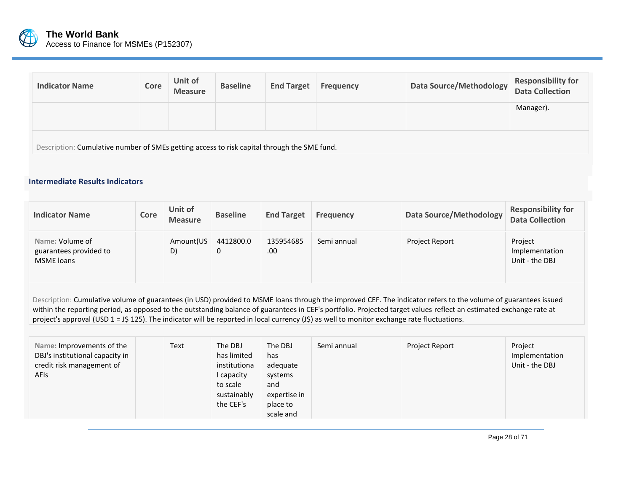

| <b>Indicator Name</b>                                                                       | Core | Unit of<br><b>Measure</b> | <b>Baseline</b> | <b>End Target</b> | <b>Frequency</b> | Data Source/Methodology | <b>Responsibility for</b><br><b>Data Collection</b> |  |
|---------------------------------------------------------------------------------------------|------|---------------------------|-----------------|-------------------|------------------|-------------------------|-----------------------------------------------------|--|
|                                                                                             |      |                           |                 |                   |                  |                         | Manager).                                           |  |
| Description: Cumulative number of SMEs getting access to risk capital through the SME fund. |      |                           |                 |                   |                  |                         |                                                     |  |

### **Intermediate Results Indicators**

| <b>Indicator Name</b>                                          | Core | Unit of<br><b>Measure</b> | <b>Baseline</b> | <b>End Target</b> | <b>Frequency</b> | Data Source/Methodology | <b>Responsibility for</b><br><b>Data Collection</b> |
|----------------------------------------------------------------|------|---------------------------|-----------------|-------------------|------------------|-------------------------|-----------------------------------------------------|
| Name: Volume of<br>guarantees provided to<br><b>MSME</b> loans |      | Amount(US<br>D)           | 4412800.0<br>0  | 135954685<br>.00  | Semi annual      | Project Report          | Project<br>Implementation<br>Unit - the DBJ         |

Description: Cumulative volume of guarantees (in USD) provided to MSME loans through the improved CEF. The indicator refers to the volume of guarantees issued within the reporting period, as opposed to the outstanding balance of guarantees in CEF's portfolio. Projected target values reflect an estimated exchange rate at project's approval (USD 1 = J\$ 125). The indicator will be reported in local currency (J\$) as well to monitor exchange rate fluctuations.

| Text<br>Name: Improvements of the<br>DBJ's institutional capacity in<br>credit risk management of<br><b>AFIs</b> | The DBJ<br>has limited<br>institutiona<br>I capacity<br>to scale<br>sustainably<br>the CEF's | The DBJ<br>has<br>adequate<br>systems<br>and<br>expertise in<br>place to<br>scale and | Semi annual | Project Report | Project<br>Implementation<br>Unit - the DBJ |
|------------------------------------------------------------------------------------------------------------------|----------------------------------------------------------------------------------------------|---------------------------------------------------------------------------------------|-------------|----------------|---------------------------------------------|
|------------------------------------------------------------------------------------------------------------------|----------------------------------------------------------------------------------------------|---------------------------------------------------------------------------------------|-------------|----------------|---------------------------------------------|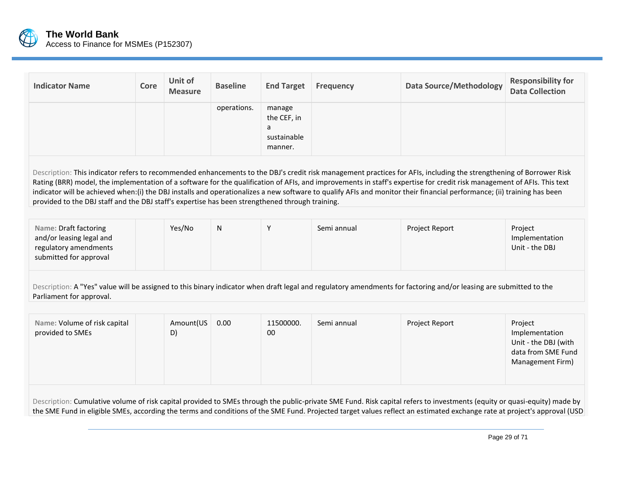

| <b>Indicator Name</b>                                                                                                                                                                                                                                                                                                                                                                                                                                                                                                                                                                                                        | Core | Unit of<br><b>Measure</b> | <b>Baseline</b> | <b>End Target</b>                                    | <b>Frequency</b> | <b>Data Source/Methodology</b>                                                                                                                                                                                                                                                                                                                        | <b>Responsibility for</b><br><b>Data Collection</b>                                         |  |  |
|------------------------------------------------------------------------------------------------------------------------------------------------------------------------------------------------------------------------------------------------------------------------------------------------------------------------------------------------------------------------------------------------------------------------------------------------------------------------------------------------------------------------------------------------------------------------------------------------------------------------------|------|---------------------------|-----------------|------------------------------------------------------|------------------|-------------------------------------------------------------------------------------------------------------------------------------------------------------------------------------------------------------------------------------------------------------------------------------------------------------------------------------------------------|---------------------------------------------------------------------------------------------|--|--|
|                                                                                                                                                                                                                                                                                                                                                                                                                                                                                                                                                                                                                              |      |                           | operations.     | manage<br>the CEF, in<br>a<br>sustainable<br>manner. |                  |                                                                                                                                                                                                                                                                                                                                                       |                                                                                             |  |  |
| Description: This indicator refers to recommended enhancements to the DBJ's credit risk management practices for AFIs, including the strengthening of Borrower Risk<br>Rating (BRR) model, the implementation of a software for the qualification of AFIs, and improvements in staff's expertise for credit risk management of AFIs. This text<br>indicator will be achieved when:(i) the DBJ installs and operationalizes a new software to qualify AFIs and monitor their financial performance; (ii) training has been<br>provided to the DBJ staff and the DBJ staff's expertise has been strengthened through training. |      |                           |                 |                                                      |                  |                                                                                                                                                                                                                                                                                                                                                       |                                                                                             |  |  |
| Name: Draft factoring<br>and/or leasing legal and<br>regulatory amendments<br>submitted for approval                                                                                                                                                                                                                                                                                                                                                                                                                                                                                                                         |      | Yes/No                    | N               | Υ                                                    | Semi annual      | Project Report                                                                                                                                                                                                                                                                                                                                        | Project<br>Implementation<br>Unit - the DBJ                                                 |  |  |
| Description: A "Yes" value will be assigned to this binary indicator when draft legal and regulatory amendments for factoring and/or leasing are submitted to the<br>Parliament for approval.                                                                                                                                                                                                                                                                                                                                                                                                                                |      |                           |                 |                                                      |                  |                                                                                                                                                                                                                                                                                                                                                       |                                                                                             |  |  |
| Name: Volume of risk capital<br>provided to SMEs                                                                                                                                                                                                                                                                                                                                                                                                                                                                                                                                                                             |      | Amount(US<br>D)           | 0.00            | 11500000.<br>00                                      | Semi annual      | Project Report                                                                                                                                                                                                                                                                                                                                        | Project<br>Implementation<br>Unit - the DBJ (with<br>data from SME Fund<br>Management Firm) |  |  |
|                                                                                                                                                                                                                                                                                                                                                                                                                                                                                                                                                                                                                              |      |                           |                 |                                                      |                  | Description: Cumulative volume of risk capital provided to SMEs through the public-private SME Fund. Risk capital refers to investments (equity or quasi-equity) made by<br>the SME Fund in eligible SMEs, according the terms and conditions of the SME Fund. Projected target values reflect an estimated exchange rate at project's approval (USD) |                                                                                             |  |  |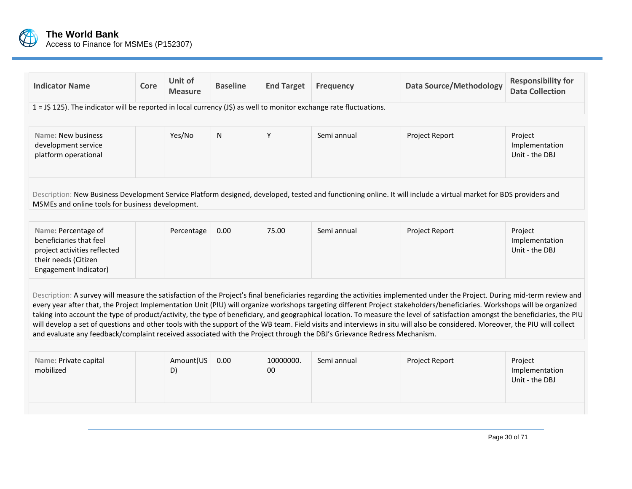

| <b>Indicator Name</b>                                                                                                                                                                                                                                                                                                                                                                                                                                                                                                                                                                                                                                                                                                                                                                                                                               | Core | Unit of<br><b>Measure</b> | <b>Baseline</b> | <b>End Target</b> | <b>Frequency</b> | <b>Data Source/Methodology</b> | <b>Responsibility for</b><br><b>Data Collection</b> |  |  |  |
|-----------------------------------------------------------------------------------------------------------------------------------------------------------------------------------------------------------------------------------------------------------------------------------------------------------------------------------------------------------------------------------------------------------------------------------------------------------------------------------------------------------------------------------------------------------------------------------------------------------------------------------------------------------------------------------------------------------------------------------------------------------------------------------------------------------------------------------------------------|------|---------------------------|-----------------|-------------------|------------------|--------------------------------|-----------------------------------------------------|--|--|--|
| $1 = 15$ 125). The indicator will be reported in local currency ( $15$ ) as well to monitor exchange rate fluctuations.                                                                                                                                                                                                                                                                                                                                                                                                                                                                                                                                                                                                                                                                                                                             |      |                           |                 |                   |                  |                                |                                                     |  |  |  |
|                                                                                                                                                                                                                                                                                                                                                                                                                                                                                                                                                                                                                                                                                                                                                                                                                                                     |      |                           |                 |                   |                  |                                |                                                     |  |  |  |
| Name: New business<br>development service<br>platform operational                                                                                                                                                                                                                                                                                                                                                                                                                                                                                                                                                                                                                                                                                                                                                                                   |      | Yes/No                    | N               | Y                 | Semi annual      | Project Report                 | Project<br>Implementation<br>Unit - the DBJ         |  |  |  |
| Description: New Business Development Service Platform designed, developed, tested and functioning online. It will include a virtual market for BDS providers and<br>MSMEs and online tools for business development.                                                                                                                                                                                                                                                                                                                                                                                                                                                                                                                                                                                                                               |      |                           |                 |                   |                  |                                |                                                     |  |  |  |
|                                                                                                                                                                                                                                                                                                                                                                                                                                                                                                                                                                                                                                                                                                                                                                                                                                                     |      |                           |                 |                   |                  |                                |                                                     |  |  |  |
| Name: Percentage of<br>beneficiaries that feel<br>project activities reflected<br>their needs (Citizen<br>Engagement Indicator)                                                                                                                                                                                                                                                                                                                                                                                                                                                                                                                                                                                                                                                                                                                     |      | Percentage                | 0.00            | 75.00             | Semi annual      | Project Report                 | Project<br>Implementation<br>Unit - the DBJ         |  |  |  |
| Description: A survey will measure the satisfaction of the Project's final beneficiaries regarding the activities implemented under the Project. During mid-term review and<br>every year after that, the Project Implementation Unit (PIU) will organize workshops targeting different Project stakeholders/beneficiaries. Workshops will be organized<br>taking into account the type of product/activity, the type of beneficiary, and geographical location. To measure the level of satisfaction amongst the beneficiaries, the PIU<br>will develop a set of questions and other tools with the support of the WB team. Field visits and interviews in situ will also be considered. Moreover, the PIU will collect<br>and evaluate any feedback/complaint received associated with the Project through the DBJ's Grievance Redress Mechanism. |      |                           |                 |                   |                  |                                |                                                     |  |  |  |
|                                                                                                                                                                                                                                                                                                                                                                                                                                                                                                                                                                                                                                                                                                                                                                                                                                                     |      |                           |                 |                   |                  |                                |                                                     |  |  |  |
| Name: Private capital<br>mobilized                                                                                                                                                                                                                                                                                                                                                                                                                                                                                                                                                                                                                                                                                                                                                                                                                  |      | Amount(US<br>D)           | 0.00            | 10000000.<br>00   | Semi annual      | Project Report                 | Project<br>Implementation<br>Unit - the DBJ         |  |  |  |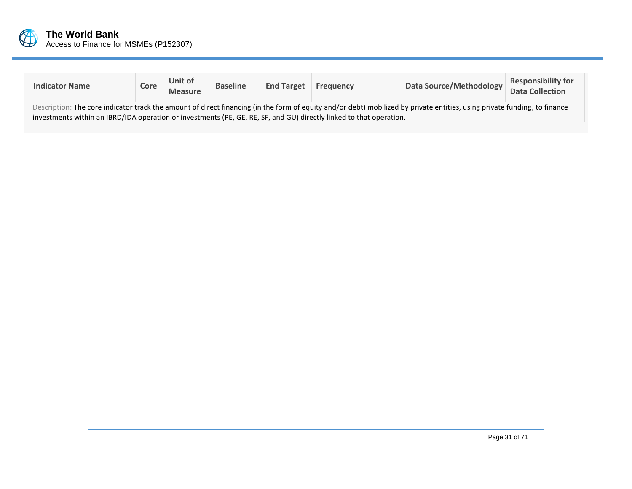

| <b>Indicator Name</b>                                                                                                                                                                                                                                                                            | Core | Unit of<br><b>Measure</b> | <b>Baseline</b> | <b>End Target</b> | Frequency | Data Source/Methodology | <b>Responsibility for</b><br><b>Data Collection</b> |  |  |
|--------------------------------------------------------------------------------------------------------------------------------------------------------------------------------------------------------------------------------------------------------------------------------------------------|------|---------------------------|-----------------|-------------------|-----------|-------------------------|-----------------------------------------------------|--|--|
| Description: The core indicator track the amount of direct financing (in the form of equity and/or debt) mobilized by private entities, using private funding, to finance<br>investments within an IBRD/IDA operation or investments (PE, GE, RE, SF, and GU) directly linked to that operation. |      |                           |                 |                   |           |                         |                                                     |  |  |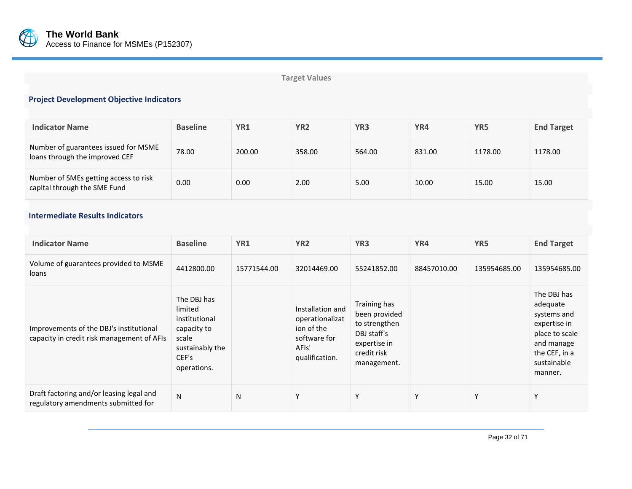

# **Target Values**

# **Project Development Objective Indicators**

| <b>Indicator Name</b>                                                  | <b>Baseline</b> | YR1    | YR <sub>2</sub> | YR <sub>3</sub> | YR4    | YR5     | <b>End Target</b> |
|------------------------------------------------------------------------|-----------------|--------|-----------------|-----------------|--------|---------|-------------------|
| Number of guarantees issued for MSME<br>loans through the improved CEF | 78.00           | 200.00 | 358.00          | 564.00          | 831.00 | 1178.00 | 1178.00           |
| Number of SMEs getting access to risk<br>capital through the SME Fund  | 0.00            | 0.00   | 2.00            | 5.00            | 10.00  | 15.00   | 15.00             |

# **Intermediate Results Indicators**

| <b>Indicator Name</b>                                                                 | <b>Baseline</b>                                                                                            | YR1         | YR <sub>2</sub>                                                                              | YR <sub>3</sub>                                                                                             | YR4         | YR5          | <b>End Target</b>                                                                                                                 |
|---------------------------------------------------------------------------------------|------------------------------------------------------------------------------------------------------------|-------------|----------------------------------------------------------------------------------------------|-------------------------------------------------------------------------------------------------------------|-------------|--------------|-----------------------------------------------------------------------------------------------------------------------------------|
| Volume of guarantees provided to MSME<br>loans                                        | 4412800.00                                                                                                 | 15771544.00 | 32014469.00                                                                                  | 55241852.00                                                                                                 | 88457010.00 | 135954685.00 | 135954685.00                                                                                                                      |
| Improvements of the DBJ's institutional<br>capacity in credit risk management of AFIs | The DBJ has<br>limited<br>institutional<br>capacity to<br>scale<br>sustainably the<br>CEF's<br>operations. |             | Installation and<br>operationalizat<br>ion of the<br>software for<br>AFIs'<br>qualification. | Training has<br>been provided<br>to strengthen<br>DBJ staff's<br>expertise in<br>credit risk<br>management. |             |              | The DBJ has<br>adequate<br>systems and<br>expertise in<br>place to scale<br>and manage<br>the CEF, in a<br>sustainable<br>manner. |
| Draft factoring and/or leasing legal and<br>regulatory amendments submitted for       | N                                                                                                          | N           | Y                                                                                            | Υ                                                                                                           | γ           | Υ            | Y                                                                                                                                 |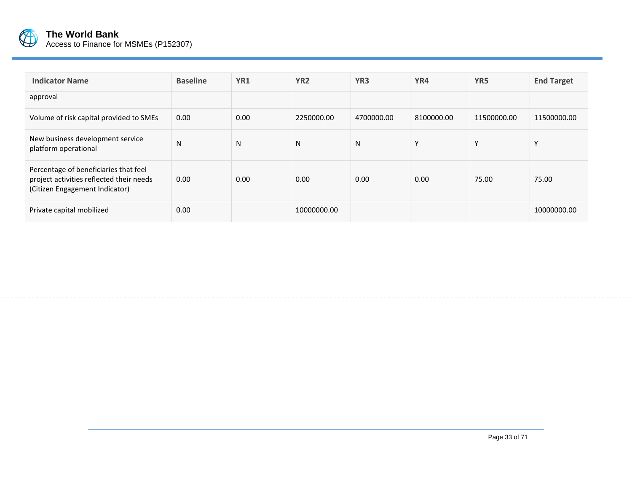

| <b>Indicator Name</b>                                                                                               | <b>Baseline</b> | YR1  | YR <sub>2</sub> | YR <sub>3</sub> | YR4          | YR <sub>5</sub> | <b>End Target</b> |
|---------------------------------------------------------------------------------------------------------------------|-----------------|------|-----------------|-----------------|--------------|-----------------|-------------------|
| approval                                                                                                            |                 |      |                 |                 |              |                 |                   |
| Volume of risk capital provided to SMEs                                                                             | 0.00            | 0.00 | 2250000.00      | 4700000.00      | 8100000.00   | 11500000.00     | 11500000.00       |
| New business development service<br>platform operational                                                            | N               | N    | N               | N               | $\mathbf{v}$ | $\checkmark$    | $\mathsf{v}$      |
| Percentage of beneficiaries that feel<br>project activities reflected their needs<br>(Citizen Engagement Indicator) | 0.00            | 0.00 | 0.00            | 0.00            | 0.00         | 75.00           | 75.00             |
| Private capital mobilized                                                                                           | 0.00            |      | 10000000.00     |                 |              |                 | 10000000.00       |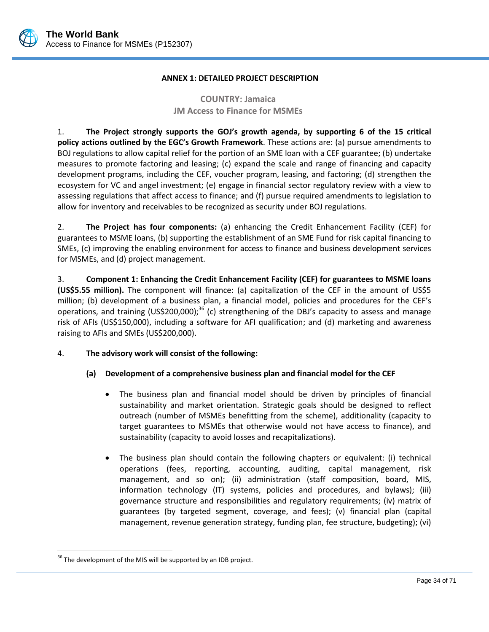

### **ANNEX 1: DETAILED PROJECT DESCRIPTION**

# **COUNTRY: Jamaica JM Access to Finance for MSMEs**

1. **The Project strongly supports the GOJ's growth agenda, by supporting 6 of the 15 critical policy actions outlined by the EGC's Growth Framework**. These actions are: (a) pursue amendments to BOJ regulations to allow capital relief for the portion of an SME loan with a CEF guarantee; (b) undertake measures to promote factoring and leasing; (c) expand the scale and range of financing and capacity development programs, including the CEF, voucher program, leasing, and factoring; (d) strengthen the ecosystem for VC and angel investment; (e) engage in financial sector regulatory review with a view to assessing regulations that affect access to finance; and (f) pursue required amendments to legislation to allow for inventory and receivables to be recognized as security under BOJ regulations.

2. **The Project has four components:** (a) enhancing the Credit Enhancement Facility (CEF) for guarantees to MSME loans, (b) supporting the establishment of an SME Fund for risk capital financing to SMEs, (c) improving the enabling environment for access to finance and business development services for MSMEs, and (d) project management.

3. **Component 1: Enhancing the Credit Enhancement Facility (CEF) for guarantees to MSME loans (US\$5.55 million).** The component will finance: (a) capitalization of the CEF in the amount of US\$5 million; (b) development of a business plan, a financial model, policies and procedures for the CEF's operations, and training (US\$200,000);<sup>36</sup> (c) strengthening of the DBJ's capacity to assess and manage risk of AFIs (US\$150,000), including a software for AFI qualification; and (d) marketing and awareness raising to AFIs and SMEs (US\$200,000).

# 4. **The advisory work will consist of the following:**

## **(a) Development of a comprehensive business plan and financial model for the CEF**

- The business plan and financial model should be driven by principles of financial sustainability and market orientation. Strategic goals should be designed to reflect outreach (number of MSMEs benefitting from the scheme), additionality (capacity to target guarantees to MSMEs that otherwise would not have access to finance), and sustainability (capacity to avoid losses and recapitalizations).
- The business plan should contain the following chapters or equivalent: (i) technical operations (fees, reporting, accounting, auditing, capital management, risk management, and so on); (ii) administration (staff composition, board, MIS, information technology (IT) systems, policies and procedures, and bylaws); (iii) governance structure and responsibilities and regulatory requirements; (iv) matrix of guarantees (by targeted segment, coverage, and fees); (v) financial plan (capital management, revenue generation strategy, funding plan, fee structure, budgeting); (vi)

 $\overline{a}$ 

 $36$  The development of the MIS will be supported by an IDB project.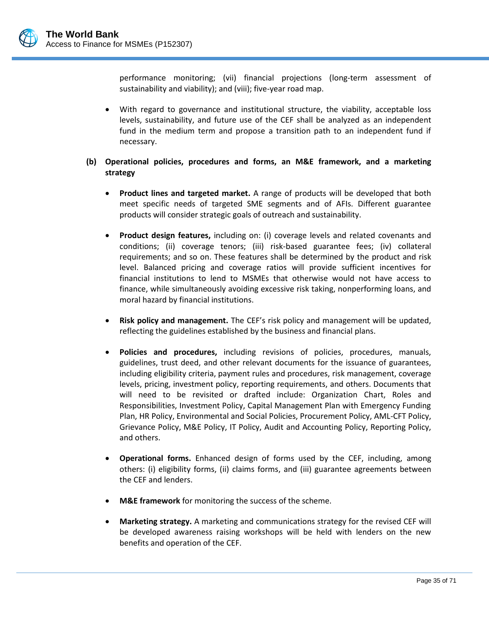performance monitoring; (vii) financial projections (long-term assessment of sustainability and viability); and (viii); five-year road map.

- With regard to governance and institutional structure, the viability, acceptable loss levels, sustainability, and future use of the CEF shall be analyzed as an independent fund in the medium term and propose a transition path to an independent fund if necessary.
- **(b) Operational policies, procedures and forms, an M&E framework, and a marketing strategy**
	- **Product lines and targeted market.** A range of products will be developed that both meet specific needs of targeted SME segments and of AFIs. Different guarantee products will consider strategic goals of outreach and sustainability.
	- **Product design features,** including on: (i) coverage levels and related covenants and conditions; (ii) coverage tenors; (iii) risk-based guarantee fees; (iv) collateral requirements; and so on. These features shall be determined by the product and risk level. Balanced pricing and coverage ratios will provide sufficient incentives for financial institutions to lend to MSMEs that otherwise would not have access to finance, while simultaneously avoiding excessive risk taking, nonperforming loans, and moral hazard by financial institutions.
	- **Risk policy and management.** The CEF's risk policy and management will be updated, reflecting the guidelines established by the business and financial plans.
	- **Policies and procedures,** including revisions of policies, procedures, manuals, guidelines, trust deed, and other relevant documents for the issuance of guarantees, including eligibility criteria, payment rules and procedures, risk management, coverage levels, pricing, investment policy, reporting requirements, and others. Documents that will need to be revisited or drafted include: Organization Chart, Roles and Responsibilities, Investment Policy, Capital Management Plan with Emergency Funding Plan, HR Policy, Environmental and Social Policies, Procurement Policy, AML-CFT Policy, Grievance Policy, M&E Policy, IT Policy, Audit and Accounting Policy, Reporting Policy, and others.
	- **Operational forms.** Enhanced design of forms used by the CEF, including, among others: (i) eligibility forms, (ii) claims forms, and (iii) guarantee agreements between the CEF and lenders.
	- **M&E framework** for monitoring the success of the scheme.
	- **Marketing strategy.** A marketing and communications strategy for the revised CEF will be developed awareness raising workshops will be held with lenders on the new benefits and operation of the CEF.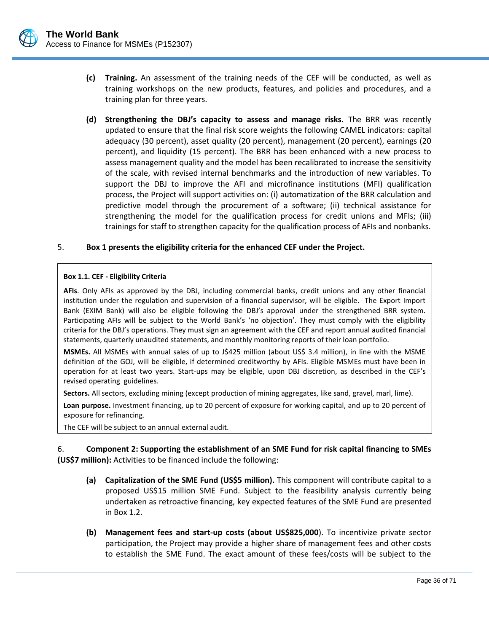- **(c) Training.** An assessment of the training needs of the CEF will be conducted, as well as training workshops on the new products, features, and policies and procedures, and a training plan for three years.
- **(d) Strengthening the DBJ's capacity to assess and manage risks.** The BRR was recently updated to ensure that the final risk score weights the following CAMEL indicators: capital adequacy (30 percent), asset quality (20 percent), management (20 percent), earnings (20 percent), and liquidity (15 percent). The BRR has been enhanced with a new process to assess management quality and the model has been recalibrated to increase the sensitivity of the scale, with revised internal benchmarks and the introduction of new variables. To support the DBJ to improve the AFI and microfinance institutions (MFI) qualification process, the Project will support activities on: (i) automatization of the BRR calculation and predictive model through the procurement of a software; (ii) technical assistance for strengthening the model for the qualification process for credit unions and MFIs; (iii) trainings for staff to strengthen capacity for the qualification process of AFIs and nonbanks.

#### 5. **Box 1 presents the eligibility criteria for the enhanced CEF under the Project.**

#### **Box 1.1. CEF - Eligibility Criteria**

**AFIs**. Only AFIs as approved by the DBJ, including commercial banks, credit unions and any other financial institution under the regulation and supervision of a financial supervisor, will be eligible. The Export Import Bank (EXIM Bank) will also be eligible following the DBJ's approval under the strengthened BRR system. Participating AFIs will be subject to the World Bank's 'no objection'. They must comply with the eligibility criteria for the DBJ's operations. They must sign an agreement with the CEF and report annual audited financial statements, quarterly unaudited statements, and monthly monitoring reports of their loan portfolio.

**MSMEs.** All MSMEs with annual sales of up to J\$425 million (about US\$ 3.4 million), in line with the MSME definition of the GOJ, will be eligible, if determined creditworthy by AFIs. Eligible MSMEs must have been in operation for at least two years. Start-ups may be eligible, upon DBJ discretion, as described in the CEF's revised operating guidelines.

**Sectors.** All sectors, excluding mining (except production of mining aggregates, like sand, gravel, marl, lime).

**Loan purpose.** Investment financing, up to 20 percent of exposure for working capital, and up to 20 percent of exposure for refinancing.

The CEF will be subject to an annual external audit.

6. **Component 2: Supporting the establishment of an SME Fund for risk capital financing to SMEs (US\$7 million):** Activities to be financed include the following:

- **(a) Capitalization of the SME Fund (US\$5 million).** This component will contribute capital to a proposed US\$15 million SME Fund. Subject to the feasibility analysis currently being undertaken as retroactive financing, key expected features of the SME Fund are presented i[n Box 1.2.](#page-40-0)
- **(b) Management fees and start-up costs (about US\$825,000**). To incentivize private sector participation, the Project may provide a higher share of management fees and other costs to establish the SME Fund. The exact amount of these fees/costs will be subject to the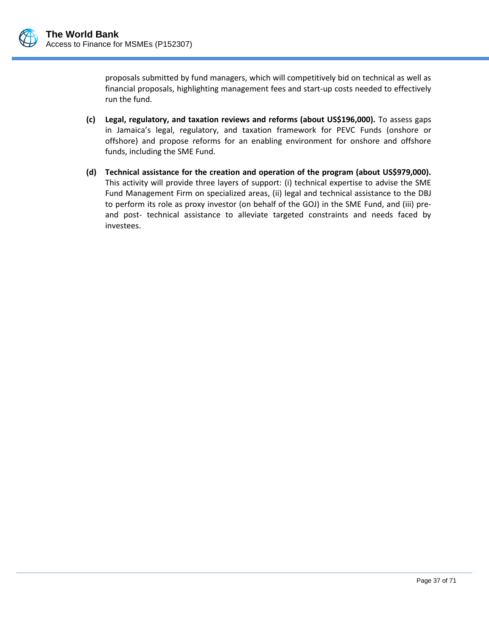

proposals submitted by fund managers, which will competitively bid on technical as well as financial proposals, highlighting management fees and start-up costs needed to effectively run the fund.

- **(c) Legal, regulatory, and taxation reviews and reforms (about US\$196,000).** To assess gaps in Jamaica's legal, regulatory, and taxation framework for PEVC Funds (onshore or offshore) and propose reforms for an enabling environment for onshore and offshore funds, including the SME Fund.
- **(d) Technical assistance for the creation and operation of the program (about US\$979,000).**  This activity will provide three layers of support: (i) technical expertise to advise the SME Fund Management Firm on specialized areas, (ii) legal and technical assistance to the DBJ to perform its role as proxy investor (on behalf of the GOJ) in the SME Fund, and (iii) preand post- technical assistance to alleviate targeted constraints and needs faced by investees.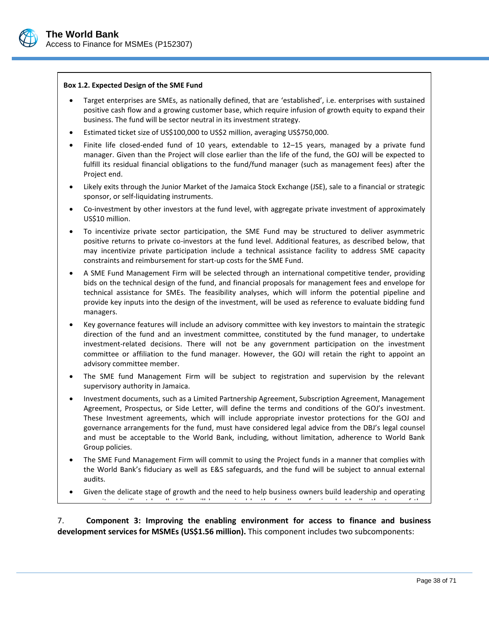

#### <span id="page-40-0"></span>**Box 1.2. Expected Design of the SME Fund**

- Target enterprises are SMEs, as nationally defined, that are 'established', i.e. enterprises with sustained positive cash flow and a growing customer base, which require infusion of growth equity to expand their business. The fund will be sector neutral in its investment strategy.
- Estimated ticket size of US\$100,000 to US\$2 million, averaging US\$750,000.
- Finite life closed-ended fund of 10 years, extendable to 12–15 years, managed by a private fund manager. Given than the Project will close earlier than the life of the fund, the GOJ will be expected to fulfill its residual financial obligations to the fund/fund manager (such as management fees) after the Project end.
- Likely exits through the Junior Market of the Jamaica Stock Exchange (JSE), sale to a financial or strategic sponsor, or self-liquidating instruments.
- Co-investment by other investors at the fund level, with aggregate private investment of approximately US\$10 million.
- To incentivize private sector participation, the SME Fund may be structured to deliver asymmetric positive returns to private co-investors at the fund level. Additional features, as described below, that may incentivize private participation include a technical assistance facility to address SME capacity constraints and reimbursement for start-up costs for the SME Fund.
- A SME Fund Management Firm will be selected through an international competitive tender, providing bids on the technical design of the fund, and financial proposals for management fees and envelope for technical assistance for SMEs. The feasibility analyses, which will inform the potential pipeline and provide key inputs into the design of the investment, will be used as reference to evaluate bidding fund managers.
- Key governance features will include an advisory committee with key investors to maintain the strategic direction of the fund and an investment committee, constituted by the fund manager, to undertake investment-related decisions. There will not be any government participation on the investment committee or affiliation to the fund manager. However, the GOJ will retain the right to appoint an advisory committee member.
- The SME fund Management Firm will be subject to registration and supervision by the relevant supervisory authority in Jamaica.
- Investment documents, such as a Limited Partnership Agreement, Subscription Agreement, Management Agreement, Prospectus, or Side Letter, will define the terms and conditions of the GOJ's investment. These Investment agreements, which will include appropriate investor protections for the GOJ and governance arrangements for the fund, must have considered legal advice from the DBJ's legal counsel and must be acceptable to the World Bank, including, without limitation, adherence to World Bank Group policies.
- The SME Fund Management Firm will commit to using the Project funds in a manner that complies with the World Bank's fiduciary as well as E&S safeguards, and the fund will be subject to annual external audits.
- Given the delicate stage of growth and the need to help business owners build leadership and operating capacity, significant handholding will be required by the fund's professionals. Ideally, the team of the

7. Component 3: Improving the enabling environment for access to finance and business development services for MSMEs (US\$1.56 million). This component includes two subcomponents: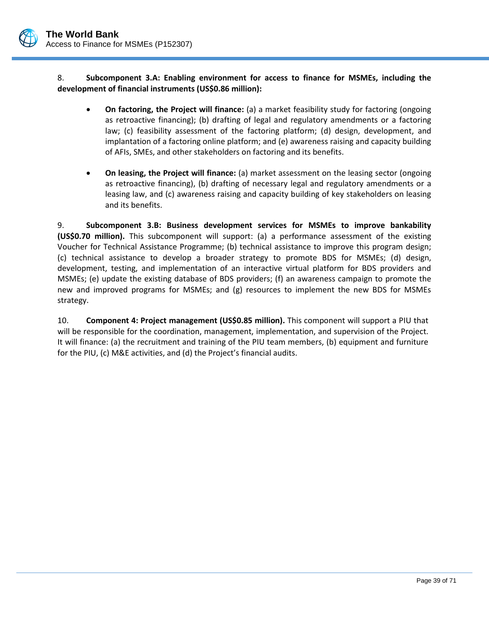

8. **Subcomponent 3.A: Enabling environment for access to finance for MSMEs, including the development of financial instruments (US\$0.86 million):**

- **On factoring, the Project will finance:** (a) a market feasibility study for factoring (ongoing as retroactive financing); (b) drafting of legal and regulatory amendments or a factoring law; (c) feasibility assessment of the factoring platform; (d) design, development, and implantation of a factoring online platform; and (e) awareness raising and capacity building of AFIs, SMEs, and other stakeholders on factoring and its benefits.
- **On leasing, the Project will finance:** (a) market assessment on the leasing sector (ongoing as retroactive financing), (b) drafting of necessary legal and regulatory amendments or a leasing law, and (c) awareness raising and capacity building of key stakeholders on leasing and its benefits.

9. **Subcomponent 3.B: Business development services for MSMEs to improve bankability (US\$0.70 million).** This subcomponent will support: (a) a performance assessment of the existing Voucher for Technical Assistance Programme; (b) technical assistance to improve this program design; (c) technical assistance to develop a broader strategy to promote BDS for MSMEs; (d) design, development, testing, and implementation of an interactive virtual platform for BDS providers and MSMEs; (e) update the existing database of BDS providers; (f) an awareness campaign to promote the new and improved programs for MSMEs; and (g) resources to implement the new BDS for MSMEs strategy.

10. **Component 4: Project management (US\$0.85 million).** This component will support a PIU that will be responsible for the coordination, management, implementation, and supervision of the Project. It will finance: (a) the recruitment and training of the PIU team members, (b) equipment and furniture for the PIU, (c) M&E activities, and (d) the Project's financial audits.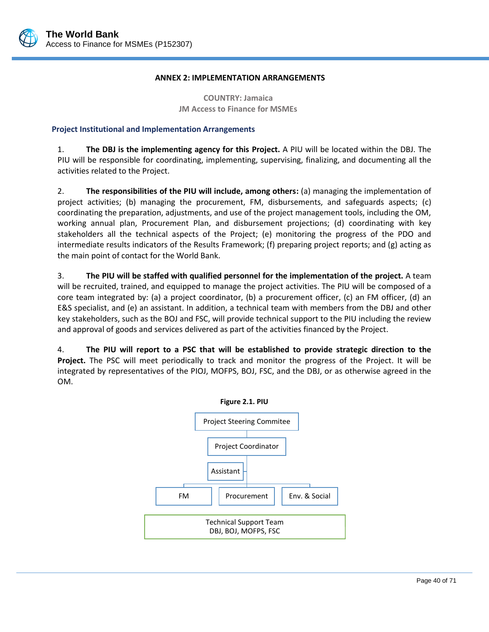

#### **ANNEX 2: IMPLEMENTATION ARRANGEMENTS**

**COUNTRY: Jamaica JM Access to Finance for MSMEs**

## **Project Institutional and Implementation Arrangements**

1. **The DBJ is the implementing agency for this Project.** A PIU will be located within the DBJ. The PIU will be responsible for coordinating, implementing, supervising, finalizing, and documenting all the activities related to the Project.

2. **The responsibilities of the PIU will include, among others:** (a) managing the implementation of project activities; (b) managing the procurement, FM, disbursements, and safeguards aspects; (c) coordinating the preparation, adjustments, and use of the project management tools, including the OM, working annual plan, Procurement Plan, and disbursement projections; (d) coordinating with key stakeholders all the technical aspects of the Project; (e) monitoring the progress of the PDO and intermediate results indicators of the Results Framework; (f) preparing project reports; and (g) acting as the main point of contact for the World Bank.

3. **The PIU will be staffed with qualified personnel for the implementation of the project.** A team will be recruited, trained, and equipped to manage the project activities. The PIU will be composed of a core team integrated by: (a) a project coordinator, (b) a procurement officer, (c) an FM officer, (d) an E&S specialist, and (e) an assistant. In addition, a technical team with members from the DBJ and other key stakeholders, such as the BOJ and FSC, will provide technical support to the PIU including the review and approval of goods and services delivered as part of the activities financed by the Project.

4. **The PIU will report to a PSC that will be established to provide strategic direction to the Project.** The PSC will meet periodically to track and monitor the progress of the Project. It will be integrated by representatives of the PIOJ, MOFPS, BOJ, FSC, and the DBJ, or as otherwise agreed in the OM.

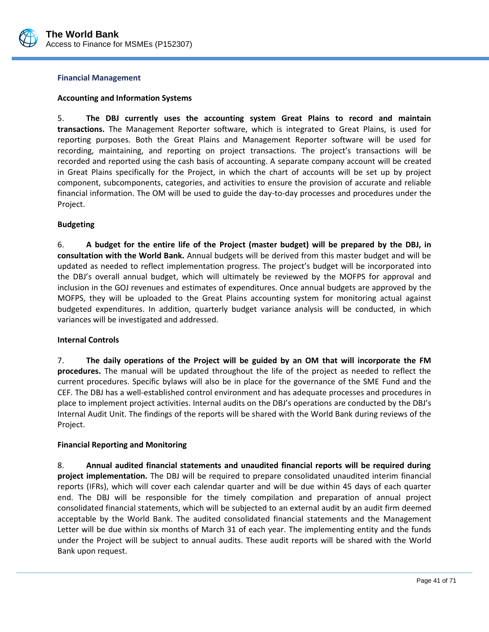

#### **Financial Management**

### **Accounting and Information Systems**

5. **The DBJ currently uses the accounting system Great Plains to record and maintain transactions.** The Management Reporter software, which is integrated to Great Plains, is used for reporting purposes. Both the Great Plains and Management Reporter software will be used for recording, maintaining, and reporting on project transactions. The project's transactions will be recorded and reported using the cash basis of accounting. A separate company account will be created in Great Plains specifically for the Project, in which the chart of accounts will be set up by project component, subcomponents, categories, and activities to ensure the provision of accurate and reliable financial information. The OM will be used to guide the day-to-day processes and procedures under the Project.

#### **Budgeting**

6. **A budget for the entire life of the Project (master budget) will be prepared by the DBJ, in consultation with the World Bank.** Annual budgets will be derived from this master budget and will be updated as needed to reflect implementation progress. The project's budget will be incorporated into the DBJ's overall annual budget, which will ultimately be reviewed by the MOFPS for approval and inclusion in the GOJ revenues and estimates of expenditures. Once annual budgets are approved by the MOFPS, they will be uploaded to the Great Plains accounting system for monitoring actual against budgeted expenditures. In addition, quarterly budget variance analysis will be conducted, in which variances will be investigated and addressed.

## **Internal Controls**

7. **The daily operations of the Project will be guided by an OM that will incorporate the FM procedures.** The manual will be updated throughout the life of the project as needed to reflect the current procedures. Specific bylaws will also be in place for the governance of the SME Fund and the CEF. The DBJ has a well-established control environment and has adequate processes and procedures in place to implement project activities. Internal audits on the DBJ's operations are conducted by the DBJ's Internal Audit Unit. The findings of the reports will be shared with the World Bank during reviews of the Project.

## **Financial Reporting and Monitoring**

8. **Annual audited financial statements and unaudited financial reports will be required during project implementation.** The DBJ will be required to prepare consolidated unaudited interim financial reports (IFRs), which will cover each calendar quarter and will be due within 45 days of each quarter end. The DBJ will be responsible for the timely compilation and preparation of annual project consolidated financial statements, which will be subjected to an external audit by an audit firm deemed acceptable by the World Bank. The audited consolidated financial statements and the Management Letter will be due within six months of March 31 of each year. The implementing entity and the funds under the Project will be subject to annual audits. These audit reports will be shared with the World Bank upon request.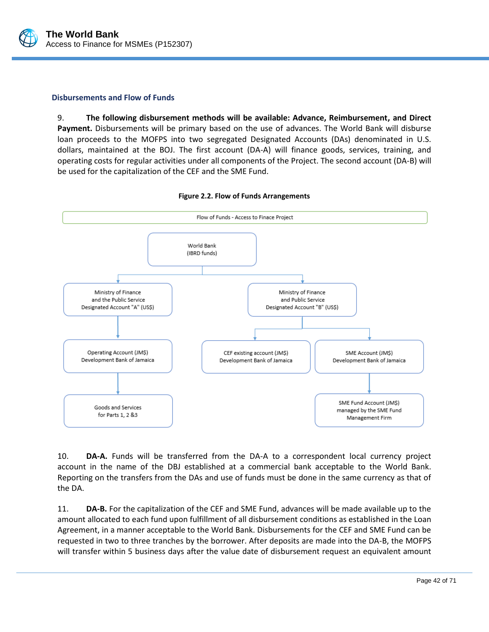

#### **Disbursements and Flow of Funds**

9. **The following disbursement methods will be available: Advance, Reimbursement, and Direct Payment.** Disbursements will be primary based on the use of advances. The World Bank will disburse loan proceeds to the MOFPS into two segregated Designated Accounts (DAs) denominated in U.S. dollars, maintained at the BOJ. The first account (DA-A) will finance goods, services, training, and operating costs for regular activities under all components of the Project. The second account (DA-B) will be used for the capitalization of the CEF and the SME Fund.



#### **Figure 2.2. Flow of Funds Arrangements**

10. **DA-A.** Funds will be transferred from the DA-A to a correspondent local currency project account in the name of the DBJ established at a commercial bank acceptable to the World Bank. Reporting on the transfers from the DAs and use of funds must be done in the same currency as that of the DA.

11. **DA-B.** For the capitalization of the CEF and SME Fund, advances will be made available up to the amount allocated to each fund upon fulfillment of all disbursement conditions as established in the Loan Agreement, in a manner acceptable to the World Bank. Disbursements for the CEF and SME Fund can be requested in two to three tranches by the borrower. After deposits are made into the DA-B, the MOFPS will transfer within 5 business days after the value date of disbursement request an equivalent amount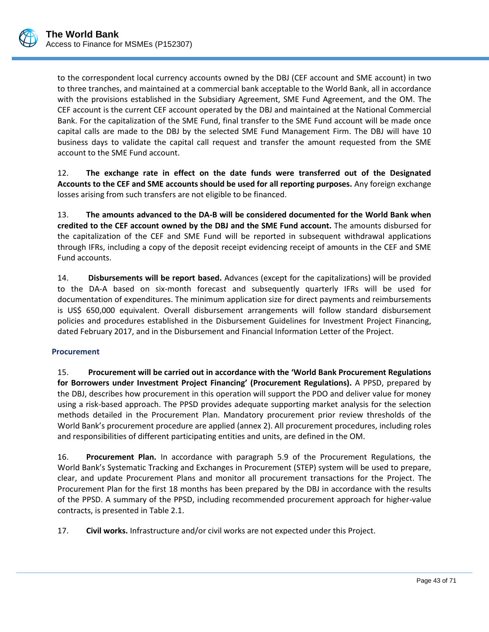to the correspondent local currency accounts owned by the DBJ (CEF account and SME account) in two to three tranches, and maintained at a commercial bank acceptable to the World Bank, all in accordance with the provisions established in the Subsidiary Agreement, SME Fund Agreement, and the OM. The CEF account is the current CEF account operated by the DBJ and maintained at the National Commercial Bank. For the capitalization of the SME Fund, final transfer to the SME Fund account will be made once capital calls are made to the DBJ by the selected SME Fund Management Firm. The DBJ will have 10 business days to validate the capital call request and transfer the amount requested from the SME account to the SME Fund account.

12. **The exchange rate in effect on the date funds were transferred out of the Designated Accounts to the CEF and SME accounts should be used for all reporting purposes.** Any foreign exchange losses arising from such transfers are not eligible to be financed.

13. **The amounts advanced to the DA-B will be considered documented for the World Bank when credited to the CEF account owned by the DBJ and the SME Fund account.** The amounts disbursed for the capitalization of the CEF and SME Fund will be reported in subsequent withdrawal applications through IFRs, including a copy of the deposit receipt evidencing receipt of amounts in the CEF and SME Fund accounts.

14. **Disbursements will be report based.** Advances (except for the capitalizations) will be provided to the DA-A based on six-month forecast and subsequently quarterly IFRs will be used for documentation of expenditures. The minimum application size for direct payments and reimbursements is US\$ 650,000 equivalent. Overall disbursement arrangements will follow standard disbursement policies and procedures established in the Disbursement Guidelines for Investment Project Financing, dated February 2017, and in the Disbursement and Financial Information Letter of the Project.

# **Procurement**

15. **Procurement will be carried out in accordance with the 'World Bank Procurement Regulations for Borrowers under Investment Project Financing' (Procurement Regulations).** A PPSD, prepared by the DBJ, describes how procurement in this operation will support the PDO and deliver value for money using a risk-based approach. The PPSD provides adequate supporting market analysis for the selection methods detailed in the Procurement Plan. Mandatory procurement prior review thresholds of the World Bank's procurement procedure are applied (annex 2). All procurement procedures, including roles and responsibilities of different participating entities and units, are defined in the OM.

16. **Procurement Plan.** In accordance with paragraph 5.9 of the Procurement Regulations, the World Bank's Systematic Tracking and Exchanges in Procurement (STEP) system will be used to prepare, clear, and update Procurement Plans and monitor all procurement transactions for the Project. The Procurement Plan for the first 18 months has been prepared by the DBJ in accordance with the results of the PPSD. A summary of the PPSD, including recommended procurement approach for higher-value contracts, is presented in [Table 2.1.](#page-47-0)

17. **Civil works.** Infrastructure and/or civil works are not expected under this Project.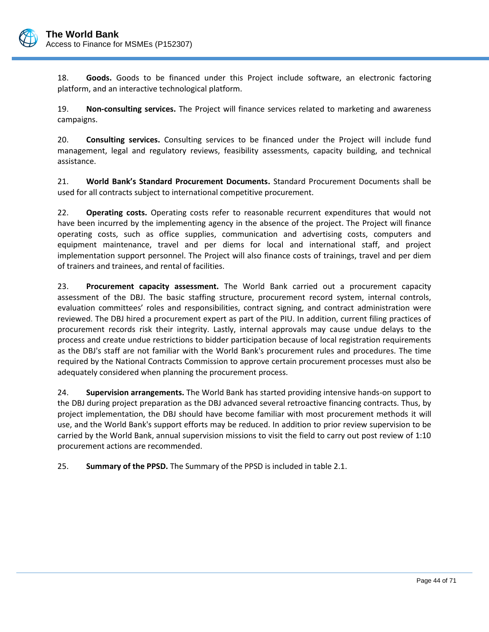

18. **Goods.** Goods to be financed under this Project include software, an electronic factoring platform, and an interactive technological platform.

19. **Non-consulting services.** The Project will finance services related to marketing and awareness campaigns.

20. **Consulting services.** Consulting services to be financed under the Project will include fund management, legal and regulatory reviews, feasibility assessments, capacity building, and technical assistance.

21. **World Bank's Standard Procurement Documents.** Standard Procurement Documents shall be used for all contracts subject to international competitive procurement.

22. **Operating costs.** Operating costs refer to reasonable recurrent expenditures that would not have been incurred by the implementing agency in the absence of the project. The Project will finance operating costs, such as office supplies, communication and advertising costs, computers and equipment maintenance, travel and per diems for local and international staff, and project implementation support personnel. The Project will also finance costs of trainings, travel and per diem of trainers and trainees, and rental of facilities.

23. **Procurement capacity assessment.** The World Bank carried out a procurement capacity assessment of the DBJ. The basic staffing structure, procurement record system, internal controls, evaluation committees' roles and responsibilities, contract signing, and contract administration were reviewed. The DBJ hired a procurement expert as part of the PIU. In addition, current filing practices of procurement records risk their integrity. Lastly, internal approvals may cause undue delays to the process and create undue restrictions to bidder participation because of local registration requirements as the DBJ's staff are not familiar with the World Bank's procurement rules and procedures. The time required by the National Contracts Commission to approve certain procurement processes must also be adequately considered when planning the procurement process.

24. **Supervision arrangements.** The World Bank has started providing intensive hands-on support to the DBJ during project preparation as the DBJ advanced several retroactive financing contracts. Thus, by project implementation, the DBJ should have become familiar with most procurement methods it will use, and the World Bank's support efforts may be reduced. In addition to prior review supervision to be carried by the World Bank, annual supervision missions to visit the field to carry out post review of 1:10 procurement actions are recommended.

25. **Summary of the PPSD.** The Summary of the PPSD is included in table 2.1.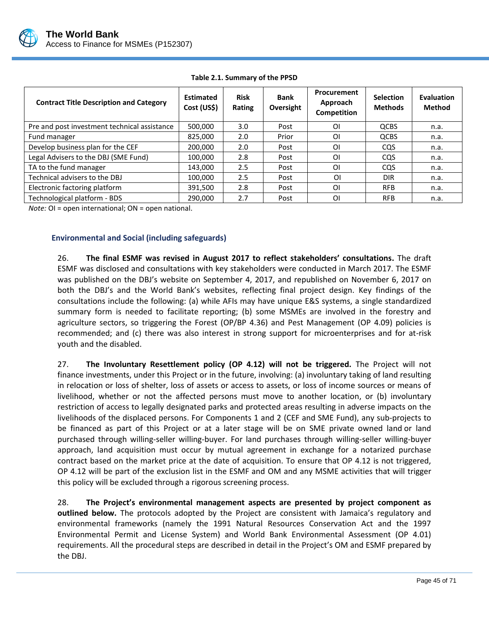

<span id="page-47-0"></span>

| <b>Contract Title Description and Category</b> | <b>Estimated</b><br>Cost (US\$) | <b>Risk</b><br>Rating | <b>Bank</b><br>Oversight | Procurement<br>Approach<br>Competition | <b>Selection</b><br><b>Methods</b> | <b>Evaluation</b><br><b>Method</b> |
|------------------------------------------------|---------------------------------|-----------------------|--------------------------|----------------------------------------|------------------------------------|------------------------------------|
| Pre and post investment technical assistance   | 500,000                         | 3.0                   | Post                     | ΟI                                     | <b>QCBS</b>                        | n.a.                               |
| Fund manager                                   | 825.000                         | 2.0                   | Prior                    | ΟI                                     | <b>QCBS</b>                        | n.a.                               |
| Develop business plan for the CEF              | 200,000                         | 2.0                   | Post                     | ΟI                                     | <b>COS</b>                         | n.a.                               |
| Legal Advisers to the DBJ (SME Fund)           | 100,000                         | 2.8                   | Post                     | ΟI                                     | <b>CQS</b>                         | n.a.                               |
| TA to the fund manager                         | 143,000                         | 2.5                   | Post                     | ΟI                                     | <b>COS</b>                         | n.a.                               |
| Technical advisers to the DBJ                  | 100,000                         | 2.5                   | Post                     | ΟI                                     | <b>DIR</b>                         | n.a.                               |
| Electronic factoring platform                  | 391,500                         | 2.8                   | Post                     | ΟI                                     | <b>RFB</b>                         | n.a.                               |
| Technological platform - BDS                   | 290.000                         | 2.7                   | Post                     | ΟI                                     | <b>RFB</b>                         | n.a.                               |

**Table 2.1. Summary of the PPSD**

*Note:* OI = open international; ON = open national.

## **Environmental and Social (including safeguards)**

26. **The final ESMF was revised in August 2017 to reflect stakeholders' consultations.** The draft ESMF was disclosed and consultations with key stakeholders were conducted in March 2017. The ESMF was published on the DBJ's website on September 4, 2017, and republished on November 6, 2017 on both the DBJ's and the World Bank's websites, reflecting final project design. Key findings of the consultations include the following: (a) while AFIs may have unique E&S systems, a single standardized summary form is needed to facilitate reporting; (b) some MSMEs are involved in the forestry and agriculture sectors, so triggering the Forest (OP/BP 4.36) and Pest Management (OP 4.09) policies is recommended; and (c) there was also interest in strong support for microenterprises and for at-risk youth and the disabled.

27. **The Involuntary Resettlement policy (OP 4.12) will not be triggered.** The Project will not finance investments, under this Project or in the future, involving: (a) involuntary taking of land resulting in relocation or loss of shelter, loss of assets or access to assets, or loss of income sources or means of livelihood, whether or not the affected persons must move to another location, or (b) involuntary restriction of access to legally designated parks and protected areas resulting in adverse impacts on the livelihoods of the displaced persons. For Components 1 and 2 (CEF and SME Fund), any sub-projects to be financed as part of this Project or at a later stage will be on SME private owned land or land purchased through willing-seller willing-buyer. For land purchases through willing-seller willing-buyer approach, land acquisition must occur by mutual agreement in exchange for a notarized purchase contract based on the market price at the date of acquisition. To ensure that OP 4.12 is not triggered, OP 4.12 will be part of the exclusion list in the ESMF and OM and any MSME activities that will trigger this policy will be excluded through a rigorous screening process.

28. **The Project's environmental management aspects are presented by project component as outlined below.** The protocols adopted by the Project are consistent with Jamaica's regulatory and environmental frameworks (namely the 1991 Natural Resources Conservation Act and the 1997 Environmental Permit and License System) and World Bank Environmental Assessment (OP 4.01) requirements. All the procedural steps are described in detail in the Project's OM and ESMF prepared by the DBJ.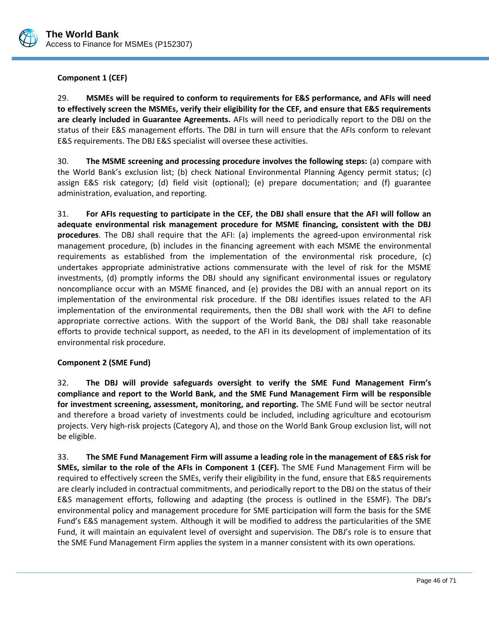

**Component 1 (CEF)**

29. **MSMEs will be required to conform to requirements for E&S performance, and AFIs will need to effectively screen the MSMEs, verify their eligibility for the CEF, and ensure that E&S requirements are clearly included in Guarantee Agreements.** AFIs will need to periodically report to the DBJ on the status of their E&S management efforts. The DBJ in turn will ensure that the AFIs conform to relevant E&S requirements. The DBJ E&S specialist will oversee these activities.

30. **The MSME screening and processing procedure involves the following steps:** (a) compare with the World Bank's exclusion list; (b) check National Environmental Planning Agency permit status; (c) assign E&S risk category; (d) field visit (optional); (e) prepare documentation; and (f) guarantee administration, evaluation, and reporting.

31. **For AFIs requesting to participate in the CEF, the DBJ shall ensure that the AFI will follow an adequate environmental risk management procedure for MSME financing, consistent with the DBJ procedures**. The DBJ shall require that the AFI: (a) implements the agreed-upon environmental risk management procedure, (b) includes in the financing agreement with each MSME the environmental requirements as established from the implementation of the environmental risk procedure, (c) undertakes appropriate administrative actions commensurate with the level of risk for the MSME investments, (d) promptly informs the DBJ should any significant environmental issues or regulatory noncompliance occur with an MSME financed, and (e) provides the DBJ with an annual report on its implementation of the environmental risk procedure. If the DBJ identifies issues related to the AFI implementation of the environmental requirements, then the DBJ shall work with the AFI to define appropriate corrective actions. With the support of the World Bank, the DBJ shall take reasonable efforts to provide technical support, as needed, to the AFI in its development of implementation of its environmental risk procedure.

## **Component 2 (SME Fund)**

32. **The DBJ will provide safeguards oversight to verify the SME Fund Management Firm's compliance and report to the World Bank, and the SME Fund Management Firm will be responsible for investment screening, assessment, monitoring, and reporting.** The SME Fund will be sector neutral and therefore a broad variety of investments could be included, including agriculture and ecotourism projects. Very high-risk projects (Category A), and those on the World Bank Group exclusion list, will not be eligible.

33. **The SME Fund Management Firm will assume a leading role in the management of E&S risk for SMEs, similar to the role of the AFIs in Component 1 (CEF).** The SME Fund Management Firm will be required to effectively screen the SMEs, verify their eligibility in the fund, ensure that E&S requirements are clearly included in contractual commitments, and periodically report to the DBJ on the status of their E&S management efforts, following and adapting (the process is outlined in the ESMF). The DBJ's environmental policy and management procedure for SME participation will form the basis for the SME Fund's E&S management system. Although it will be modified to address the particularities of the SME Fund, it will maintain an equivalent level of oversight and supervision. The DBJ's role is to ensure that the SME Fund Management Firm applies the system in a manner consistent with its own operations.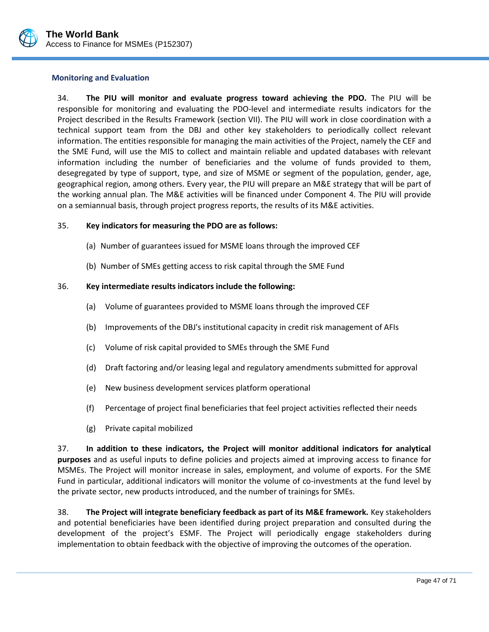

### **Monitoring and Evaluation**

34. **The PIU will monitor and evaluate progress toward achieving the PDO.** The PIU will be responsible for monitoring and evaluating the PDO-level and intermediate results indicators for the Project described in the Results Framework (section VII). The PIU will work in close coordination with a technical support team from the DBJ and other key stakeholders to periodically collect relevant information. The entities responsible for managing the main activities of the Project, namely the CEF and the SME Fund, will use the MIS to collect and maintain reliable and updated databases with relevant information including the number of beneficiaries and the volume of funds provided to them, desegregated by type of support, type, and size of MSME or segment of the population, gender, age, geographical region, among others. Every year, the PIU will prepare an M&E strategy that will be part of the working annual plan. The M&E activities will be financed under Component 4. The PIU will provide on a semiannual basis, through project progress reports, the results of its M&E activities.

## 35. **Key indicators for measuring the PDO are as follows:**

- (a) Number of guarantees issued for MSME loans through the improved CEF
- (b) Number of SMEs getting access to risk capital through the SME Fund

## 36. **Key intermediate results indicators include the following:**

- (a) Volume of guarantees provided to MSME loans through the improved CEF
- (b) Improvements of the DBJ's institutional capacity in credit risk management of AFIs
- (c) Volume of risk capital provided to SMEs through the SME Fund
- (d) Draft factoring and/or leasing legal and regulatory amendments submitted for approval
- (e) New business development services platform operational
- (f) Percentage of project final beneficiaries that feel project activities reflected their needs
- (g) Private capital mobilized

37. **In addition to these indicators, the Project will monitor additional indicators for analytical purposes** and as useful inputs to define policies and projects aimed at improving access to finance for MSMEs. The Project will monitor increase in sales, employment, and volume of exports. For the SME Fund in particular, additional indicators will monitor the volume of co-investments at the fund level by the private sector, new products introduced, and the number of trainings for SMEs.

38. **The Project will integrate beneficiary feedback as part of its M&E framework.** Key stakeholders and potential beneficiaries have been identified during project preparation and consulted during the development of the project's ESMF. The Project will periodically engage stakeholders during implementation to obtain feedback with the objective of improving the outcomes of the operation.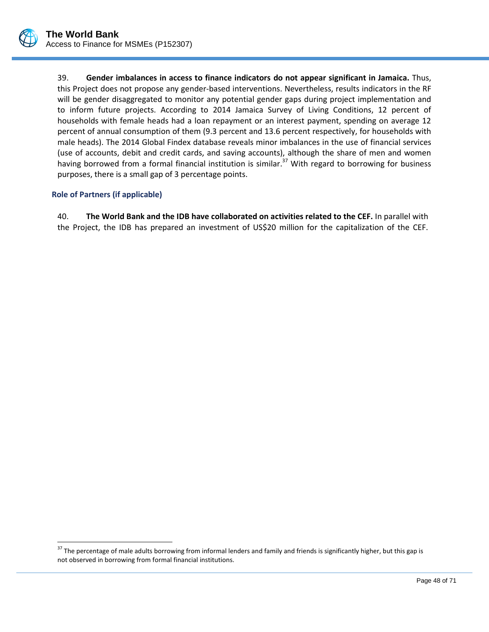

39. **Gender imbalances in access to finance indicators do not appear significant in Jamaica.** Thus, this Project does not propose any gender-based interventions. Nevertheless, results indicators in the RF will be gender disaggregated to monitor any potential gender gaps during project implementation and to inform future projects. According to 2014 Jamaica Survey of Living Conditions, 12 percent of households with female heads had a loan repayment or an interest payment, spending on average 12 percent of annual consumption of them (9.3 percent and 13.6 percent respectively, for households with male heads). The 2014 Global Findex database reveals minor imbalances in the use of financial services (use of accounts, debit and credit cards, and saving accounts), although the share of men and women having borrowed from a formal financial institution is similar.<sup>37</sup> With regard to borrowing for business purposes, there is a small gap of 3 percentage points.

## **Role of Partners (if applicable)**

 $\overline{a}$ 

40. **The World Bank and the IDB have collaborated on activities related to the CEF.** In parallel with the Project, the IDB has prepared an investment of US\$20 million for the capitalization of the CEF.

<sup>&</sup>lt;sup>37</sup> The percentage of male adults borrowing from informal lenders and family and friends is significantly higher, but this gap is not observed in borrowing from formal financial institutions.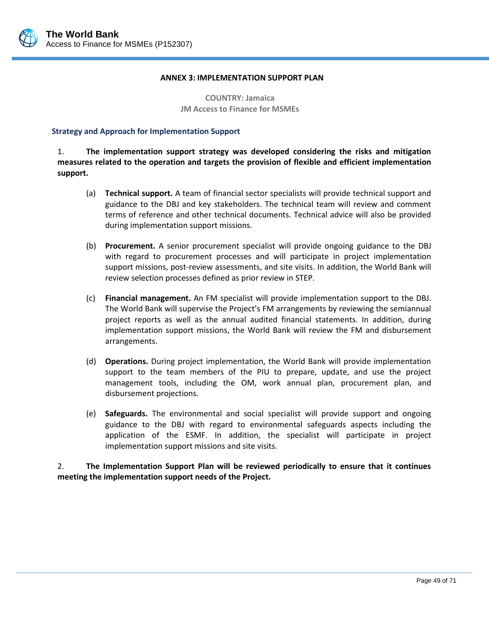

#### **ANNEX 3: IMPLEMENTATION SUPPORT PLAN**

**COUNTRY: Jamaica JM Access to Finance for MSMEs**

#### **Strategy and Approach for Implementation Support**

1. **The implementation support strategy was developed considering the risks and mitigation measures related to the operation and targets the provision of flexible and efficient implementation support.**

- (a) **Technical support.** A team of financial sector specialists will provide technical support and guidance to the DBJ and key stakeholders. The technical team will review and comment terms of reference and other technical documents. Technical advice will also be provided during implementation support missions.
- (b) **Procurement.** A senior procurement specialist will provide ongoing guidance to the DBJ with regard to procurement processes and will participate in project implementation support missions, post-review assessments, and site visits. In addition, the World Bank will review selection processes defined as prior review in STEP.
- (c) **Financial management.** An FM specialist will provide implementation support to the DBJ. The World Bank will supervise the Project's FM arrangements by reviewing the semiannual project reports as well as the annual audited financial statements. In addition, during implementation support missions, the World Bank will review the FM and disbursement arrangements.
- (d) **Operations.** During project implementation, the World Bank will provide implementation support to the team members of the PIU to prepare, update, and use the project management tools, including the OM, work annual plan, procurement plan, and disbursement projections.
- (e) **Safeguards.** The environmental and social specialist will provide support and ongoing guidance to the DBJ with regard to environmental safeguards aspects including the application of the ESMF. In addition, the specialist will participate in project implementation support missions and site visits.

2. **The Implementation Support Plan will be reviewed periodically to ensure that it continues meeting the implementation support needs of the Project.**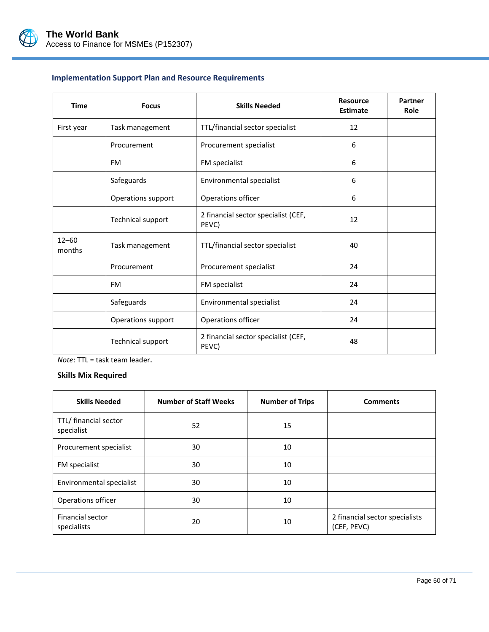

# **Implementation Support Plan and Resource Requirements**

| <b>Time</b>         | <b>Focus</b>             | <b>Skills Needed</b>                         | <b>Resource</b><br><b>Estimate</b> | Partner<br>Role |
|---------------------|--------------------------|----------------------------------------------|------------------------------------|-----------------|
| First year          | Task management          | TTL/financial sector specialist              | 12                                 |                 |
|                     | Procurement              | Procurement specialist                       | 6                                  |                 |
|                     | <b>FM</b>                | FM specialist                                | 6                                  |                 |
|                     | Safeguards               | Environmental specialist                     | 6                                  |                 |
|                     | Operations support       | Operations officer                           | 6                                  |                 |
|                     | Technical support        | 2 financial sector specialist (CEF,<br>PEVC) | 12                                 |                 |
| $12 - 60$<br>months | Task management          | TTL/financial sector specialist              | 40                                 |                 |
|                     | Procurement              | Procurement specialist                       | 24                                 |                 |
|                     | <b>FM</b>                | FM specialist                                | 24                                 |                 |
|                     | Safeguards               | Environmental specialist                     | 24                                 |                 |
|                     | Operations support       | Operations officer                           | 24                                 |                 |
|                     | <b>Technical support</b> | 2 financial sector specialist (CEF,<br>PEVC) | 48                                 |                 |

*Note*: TTL = task team leader**.**

#### **Skills Mix Required**

| <b>Skills Needed</b>                | <b>Number of Staff Weeks</b> | <b>Number of Trips</b> | <b>Comments</b>                               |
|-------------------------------------|------------------------------|------------------------|-----------------------------------------------|
| TTL/ financial sector<br>specialist | 52                           | 15                     |                                               |
| Procurement specialist              | 30                           | 10                     |                                               |
| FM specialist                       | 30                           | 10                     |                                               |
| Environmental specialist            | 30                           | 10                     |                                               |
| Operations officer                  | 30                           | 10                     |                                               |
| Financial sector<br>specialists     | 20                           | 10                     | 2 financial sector specialists<br>(CEF, PEVC) |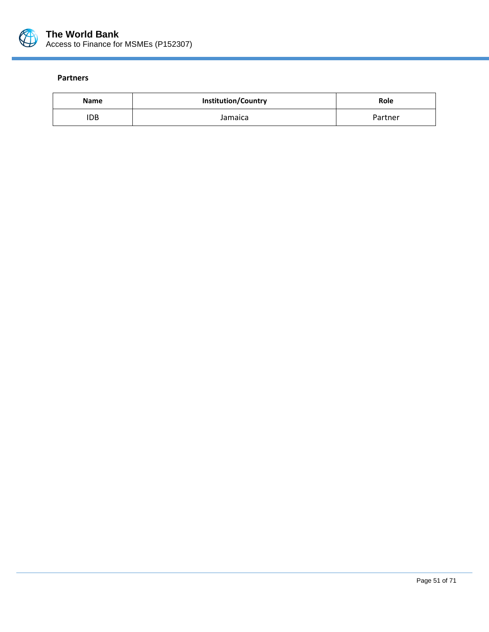

#### **Partners**

| <b>Name</b> | <b>Institution/Country</b> | Role    |
|-------------|----------------------------|---------|
| IDB         | Jamaica                    | Partner |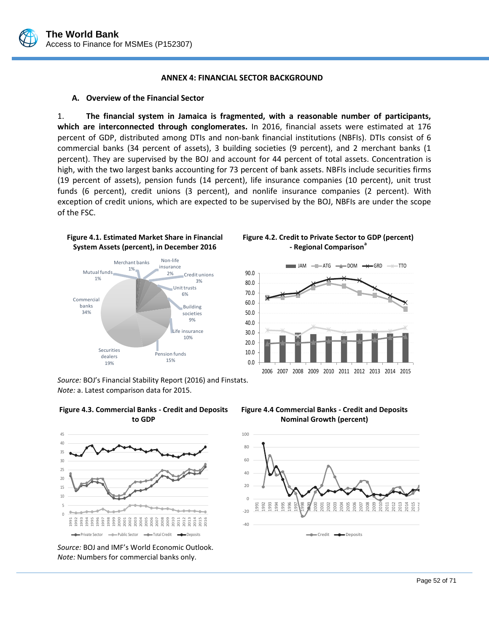

#### **ANNEX 4: FINANCIAL SECTOR BACKGROUND**

#### **A. Overview of the Financial Sector**

1. **The financial system in Jamaica is fragmented, with a reasonable number of participants, which are interconnected through conglomerates.** In 2016, financial assets were estimated at 176 percent of GDP, distributed among DTIs and non-bank financial institutions (NBFIs). DTIs consist of 6 commercial banks (34 percent of assets), 3 building societies (9 percent), and 2 merchant banks (1 percent). They are supervised by the BOJ and account for 44 percent of total assets. Concentration is high, with the two largest banks accounting for 73 percent of bank assets. NBFIs include securities firms (19 percent of assets), pension funds (14 percent), life insurance companies (10 percent), unit trust funds (6 percent), credit unions (3 percent), and nonlife insurance companies (2 percent). With exception of credit unions, which are expected to be supervised by the BOJ, NBFIs are under the scope of the FSC.



*Source:* BOJ's Financial Stability Report (2016) and Finstats. *Note:* a. Latest comparison data for 2015.



**Figure 4.3. Commercial Banks - Credit and Deposits to GDP** 

*Source:* BOJ and IMF's World Economic Outlook. *Note:* Numbers for commercial banks only.

**Figure 4.2. Credit to Private Sector to GDP (percent) - Regional Comparison<sup>a</sup>**





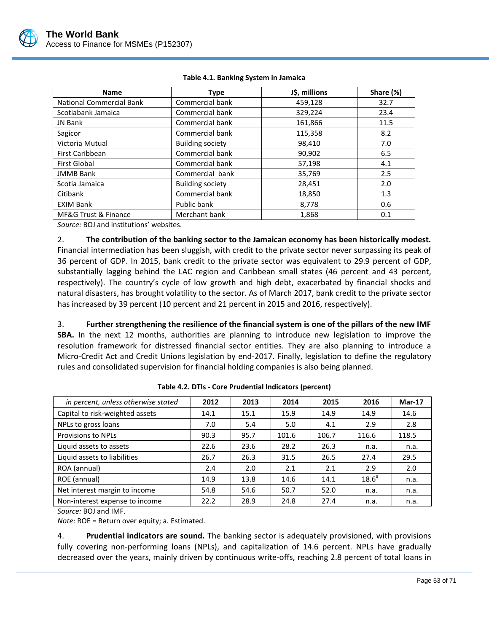

| <b>Name</b>                     | <b>Type</b>             | J\$, millions | Share (%) |
|---------------------------------|-------------------------|---------------|-----------|
| <b>National Commercial Bank</b> | Commercial bank         | 459,128       | 32.7      |
| Scotiabank Jamaica              | Commercial bank         | 329,224       | 23.4      |
| JN Bank                         | Commercial bank         | 161,866       | 11.5      |
| Sagicor                         | Commercial bank         | 115,358       | 8.2       |
| Victoria Mutual                 | <b>Building society</b> | 98,410        | 7.0       |
| First Caribbean                 | Commercial bank         | 90,902        | 6.5       |
| <b>First Global</b>             | Commercial bank         | 57,198        | 4.1       |
| <b>JMMB Bank</b>                | Commercial bank         | 35,769        | 2.5       |
| Scotia Jamaica                  | <b>Building society</b> | 28,451        | 2.0       |
| Citibank                        | Commercial bank         | 18,850        | 1.3       |
| <b>EXIM Bank</b>                | Public bank             | 8,778         | 0.6       |
| MF&G Trust & Finance            | Merchant bank           | 1,868         | 0.1       |

### **Table 4.1. Banking System in Jamaica**

*Source:* BOJ and institutions' websites.

2. **The contribution of the banking sector to the Jamaican economy has been historically modest.**  Financial intermediation has been sluggish, with credit to the private sector never surpassing its peak of 36 percent of GDP. In 2015, bank credit to the private sector was equivalent to 29.9 percent of GDP, substantially lagging behind the LAC region and Caribbean small states (46 percent and 43 percent, respectively). The country's cycle of low growth and high debt, exacerbated by financial shocks and natural disasters, has brought volatility to the sector. As of March 2017, bank credit to the private sector has increased by 39 percent (10 percent and 21 percent in 2015 and 2016, respectively).

3. **Further strengthening the resilience of the financial system is one of the pillars of the new IMF SBA.** In the next 12 months, authorities are planning to introduce new legislation to improve the resolution framework for distressed financial sector entities. They are also planning to introduce a Micro-Credit Act and Credit Unions legislation by end-2017. Finally, legislation to define the regulatory rules and consolidated supervision for financial holding companies is also being planned.

| in percent, unless otherwise stated | 2012 | 2013 | 2014  | 2015  | 2016              | $Mar-17$ |
|-------------------------------------|------|------|-------|-------|-------------------|----------|
| Capital to risk-weighted assets     | 14.1 | 15.1 | 15.9  | 14.9  | 14.9              | 14.6     |
| NPLs to gross loans                 | 7.0  | 5.4  | 5.0   | 4.1   | 2.9               | 2.8      |
| <b>Provisions to NPLs</b>           | 90.3 | 95.7 | 101.6 | 106.7 | 116.6             | 118.5    |
| Liquid assets to assets             | 22.6 | 23.6 | 28.2  | 26.3  | n.a.              | n.a.     |
| Liquid assets to liabilities        | 26.7 | 26.3 | 31.5  | 26.5  | 27.4              | 29.5     |
| ROA (annual)                        | 2.4  | 2.0  | 2.1   | 2.1   | 2.9               | 2.0      |
| ROE (annual)                        | 14.9 | 13.8 | 14.6  | 14.1  | 18.6 <sup>a</sup> | n.a.     |
| Net interest margin to income       | 54.8 | 54.6 | 50.7  | 52.0  | n.a.              | n.a.     |
| Non-interest expense to income      | 22.2 | 28.9 | 24.8  | 27.4  | n.a.              | n.a.     |

**Table 4.2. DTIs - Core Prudential Indicators (percent)**

*Source:* BOJ and IMF.

*Note:* ROE = Return over equity; a. Estimated.

4. **Prudential indicators are sound.** The banking sector is adequately provisioned, with provisions fully covering non-performing loans (NPLs), and capitalization of 14.6 percent. NPLs have gradually decreased over the years, mainly driven by continuous write-offs, reaching 2.8 percent of total loans in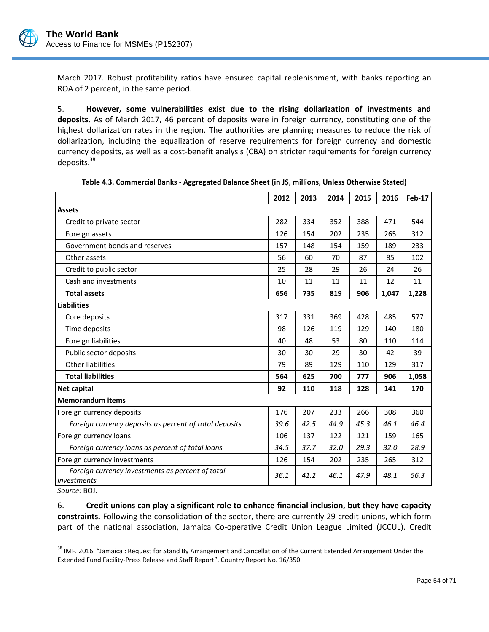March 2017. Robust profitability ratios have ensured capital replenishment, with banks reporting an ROA of 2 percent, in the same period.

5. **However, some vulnerabilities exist due to the rising dollarization of investments and deposits.** As of March 2017, 46 percent of deposits were in foreign currency, constituting one of the highest dollarization rates in the region. The authorities are planning measures to reduce the risk of dollarization, including the equalization of reserve requirements for foreign currency and domestic currency deposits, as well as a cost-benefit analysis (CBA) on stricter requirements for foreign currency deposits.<sup>38</sup>

|                                                                                         | 2012 | 2013 | 2014 | 2015 | 2016  | <b>Feb-17</b> |
|-----------------------------------------------------------------------------------------|------|------|------|------|-------|---------------|
| <b>Assets</b>                                                                           |      |      |      |      |       |               |
| Credit to private sector                                                                | 282  | 334  | 352  | 388  | 471   | 544           |
| Foreign assets                                                                          | 126  | 154  | 202  | 235  | 265   | 312           |
| Government bonds and reserves                                                           | 157  | 148  | 154  | 159  | 189   | 233           |
| Other assets                                                                            | 56   | 60   | 70   | 87   | 85    | 102           |
| Credit to public sector                                                                 | 25   | 28   | 29   | 26   | 24    | 26            |
| Cash and investments                                                                    | 10   | 11   | 11   | 11   | 12    | 11            |
| <b>Total assets</b>                                                                     | 656  | 735  | 819  | 906  | 1,047 | 1,228         |
| <b>Liabilities</b>                                                                      |      |      |      |      |       |               |
| Core deposits                                                                           | 317  | 331  | 369  | 428  | 485   | 577           |
| Time deposits                                                                           | 98   | 126  | 119  | 129  | 140   | 180           |
| Foreign liabilities                                                                     | 40   | 48   | 53   | 80   | 110   | 114           |
| Public sector deposits                                                                  | 30   | 30   | 29   | 30   | 42    | 39            |
| <b>Other liabilities</b>                                                                | 79   | 89   | 129  | 110  | 129   | 317           |
| <b>Total liabilities</b>                                                                | 564  | 625  | 700  | 777  | 906   | 1,058         |
| <b>Net capital</b>                                                                      | 92   | 110  | 118  | 128  | 141   | 170           |
| <b>Memorandum items</b>                                                                 |      |      |      |      |       |               |
| Foreign currency deposits                                                               | 176  | 207  | 233  | 266  | 308   | 360           |
| Foreign currency deposits as percent of total deposits                                  | 39.6 | 42.5 | 44.9 | 45.3 | 46.1  | 46.4          |
| Foreign currency loans                                                                  | 106  | 137  | 122  | 121  | 159   | 165           |
| Foreign currency loans as percent of total loans                                        | 34.5 | 37.7 | 32.0 | 29.3 | 32.0  | 28.9          |
| Foreign currency investments                                                            | 126  | 154  | 202  | 235  | 265   | 312           |
| Foreign currency investments as percent of total<br>investments<br>$\sim$ $\sim$ $\sim$ | 36.1 | 41.2 | 46.1 | 47.9 | 48.1  | 56.3          |

**Table 4.3. Commercial Banks - Aggregated Balance Sheet (in J\$, millions, Unless Otherwise Stated)**

*Source:* BOJ.

 $\overline{a}$ 

6. **Credit unions can play a significant role to enhance financial inclusion, but they have capacity constraints.** Following the consolidation of the sector, there are currently 29 credit unions, which form part of the national association, Jamaica Co-operative Credit Union League Limited (JCCUL). Credit

<sup>&</sup>lt;sup>38</sup> IMF. 2016. "Jamaica: Request for Stand By Arrangement and Cancellation of the Current Extended Arrangement Under the Extended Fund Facility-Press Release and Staff Report". Country Report No. 16/350.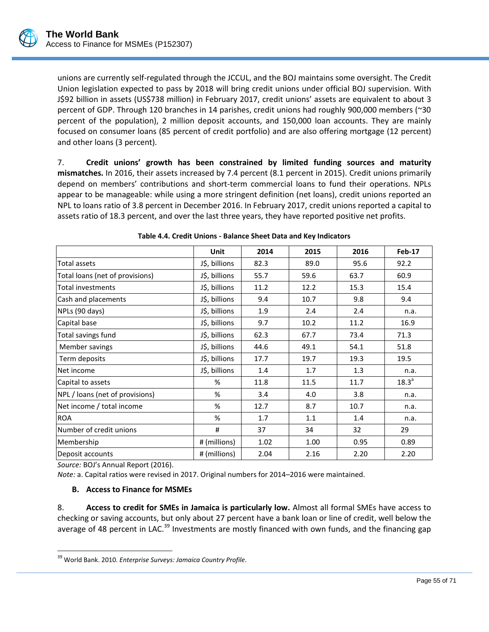

unions are currently self-regulated through the JCCUL, and the BOJ maintains some oversight. The Credit Union legislation expected to pass by 2018 will bring credit unions under official BOJ supervision. With J\$92 billion in assets (US\$738 million) in February 2017, credit unions' assets are equivalent to about 3 percent of GDP. Through 120 branches in 14 parishes, credit unions had roughly 900,000 members (~30 percent of the population), 2 million deposit accounts, and 150,000 loan accounts. They are mainly focused on consumer loans (85 percent of credit portfolio) and are also offering mortgage (12 percent) and other loans (3 percent).

7. **Credit unions' growth has been constrained by limited funding sources and maturity mismatches.** In 2016, their assets increased by 7.4 percent (8.1 percent in 2015). Credit unions primarily depend on members' contributions and short-term commercial loans to fund their operations. NPLs appear to be manageable: while using a more stringent definition (net loans), credit unions reported an NPL to loans ratio of 3.8 percent in December 2016. In February 2017, credit unions reported a capital to assets ratio of 18.3 percent, and over the last three years, they have reported positive net profits.

|               |      | 2015 | 2016 | Feb-17            |
|---------------|------|------|------|-------------------|
| J\$, billions | 82.3 | 89.0 | 95.6 | 92.2              |
| J\$, billions | 55.7 | 59.6 | 63.7 | 60.9              |
| J\$, billions | 11.2 | 12.2 | 15.3 | 15.4              |
| J\$, billions | 9.4  | 10.7 | 9.8  | 9.4               |
| J\$, billions | 1.9  | 2.4  | 2.4  | n.a.              |
| J\$, billions | 9.7  | 10.2 | 11.2 | 16.9              |
| J\$, billions | 62.3 | 67.7 | 73.4 | 71.3              |
| J\$, billions | 44.6 | 49.1 | 54.1 | 51.8              |
| J\$, billions | 17.7 | 19.7 | 19.3 | 19.5              |
| J\$, billions | 1.4  | 1.7  | 1.3  | n.a.              |
| %             | 11.8 | 11.5 | 11.7 | 18.3 <sup>a</sup> |
| %             | 3.4  | 4.0  | 3.8  | n.a.              |
| %             | 12.7 | 8.7  | 10.7 | n.a.              |
| %             | 1.7  | 1.1  | 1.4  | n.a.              |
| #             | 37   | 34   | 32   | 29                |
| # (millions)  | 1.02 | 1.00 | 0.95 | 0.89              |
| # (millions)  | 2.04 | 2.16 | 2.20 | 2.20              |
|               | Unit | 2014 |      |                   |

*Source:* BOJ's Annual Report (2016).

 $\overline{a}$ 

*Note:* a. Capital ratios were revised in 2017. Original numbers for 2014–2016 were maintained.

## **B. Access to Finance for MSMEs**

8. **Access to credit for SMEs in Jamaica is particularly low.** Almost all formal SMEs have access to checking or saving accounts, but only about 27 percent have a bank loan or line of credit, well below the average of 48 percent in LAC.<sup>39</sup> Investments are mostly financed with own funds, and the financing gap

<sup>39</sup> World Bank. 2010. *Enterprise Surveys: Jamaica Country Profile*.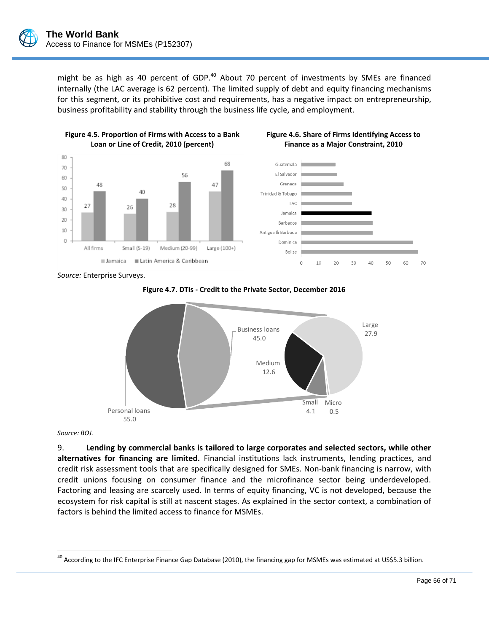might be as high as 40 percent of GDP. $40$  About 70 percent of investments by SMEs are financed internally (the LAC average is 62 percent). The limited supply of debt and equity financing mechanisms for this segment, or its prohibitive cost and requirements, has a negative impact on entrepreneurship, business profitability and stability through the business life cycle, and employment.







*Source:* Enterprise Surveys.





*Source: BOJ.*

 $\overline{a}$ 

9. **Lending by commercial banks is tailored to large corporates and selected sectors, while other alternatives for financing are limited.** Financial institutions lack instruments, lending practices, and credit risk assessment tools that are specifically designed for SMEs. Non-bank financing is narrow, with credit unions focusing on consumer finance and the microfinance sector being underdeveloped. Factoring and leasing are scarcely used. In terms of equity financing, VC is not developed, because the ecosystem for risk capital is still at nascent stages. As explained in the sector context, a combination of factors is behind the limited access to finance for MSMEs.

<sup>&</sup>lt;sup>40</sup> According to the IFC Enterprise Finance Gap Database (2010), the financing gap for MSMEs was estimated at US\$5.3 billion.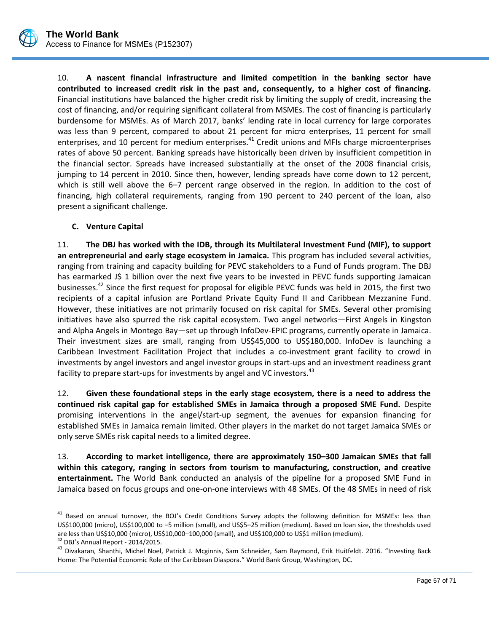

10. **A nascent financial infrastructure and limited competition in the banking sector have contributed to increased credit risk in the past and, consequently, to a higher cost of financing.**  Financial institutions have balanced the higher credit risk by limiting the supply of credit, increasing the cost of financing, and/or requiring significant collateral from MSMEs. The cost of financing is particularly burdensome for MSMEs. As of March 2017, banks' lending rate in local currency for large corporates was less than 9 percent, compared to about 21 percent for micro enterprises, 11 percent for small enterprises, and 10 percent for medium enterprises.<sup>41</sup> Credit unions and MFIs charge microenterprises rates of above 50 percent. Banking spreads have historically been driven by insufficient competition in the financial sector. Spreads have increased substantially at the onset of the 2008 financial crisis, jumping to 14 percent in 2010. Since then, however, lending spreads have come down to 12 percent, which is still well above the 6–7 percent range observed in the region. In addition to the cost of financing, high collateral requirements, ranging from 190 percent to 240 percent of the loan, also present a significant challenge.

## **C. Venture Capital**

11. **The DBJ has worked with the IDB, through its Multilateral Investment Fund (MIF), to support an entrepreneurial and early stage ecosystem in Jamaica.** This program has included several activities, ranging from training and capacity building for PEVC stakeholders to a Fund of Funds program. The DBJ has earmarked J\$ 1 billion over the next five years to be invested in PEVC funds supporting Jamaican businesses.<sup>42</sup> Since the first request for proposal for eligible PEVC funds was held in 2015, the first two recipients of a capital infusion are Portland Private Equity Fund II and Caribbean Mezzanine Fund. However, these initiatives are not primarily focused on risk capital for SMEs. Several other promising initiatives have also spurred the risk capital ecosystem. Two angel networks—First Angels in Kingston and Alpha Angels in Montego Bay—set up through InfoDev-EPIC programs, currently operate in Jamaica. Their investment sizes are small, ranging from US\$45,000 to US\$180,000. InfoDev is launching a Caribbean Investment Facilitation Project that includes a co-investment grant facility to crowd in investments by angel investors and angel investor groups in start-ups and an investment readiness grant facility to prepare start-ups for investments by angel and VC investors.<sup>43</sup>

12. **Given these foundational steps in the early stage ecosystem, there is a need to address the continued risk capital gap for established SMEs in Jamaica through a proposed SME Fund.** Despite promising interventions in the angel/start-up segment, the avenues for expansion financing for established SMEs in Jamaica remain limited. Other players in the market do not target Jamaica SMEs or only serve SMEs risk capital needs to a limited degree.

13. **According to market intelligence, there are approximately 150–300 Jamaican SMEs that fall within this category, ranging in sectors from tourism to manufacturing, construction, and creative entertainment.** The World Bank conducted an analysis of the pipeline for a proposed SME Fund in Jamaica based on focus groups and one-on-one interviews with 48 SMEs. Of the 48 SMEs in need of risk

 $\overline{a}$ 

<sup>&</sup>lt;sup>41</sup> Based on annual turnover, the BOJ's Credit Conditions Survey adopts the following definition for MSMEs: less than US\$100,000 (micro), US\$100,000 to –5 million (small), and US\$5–25 million (medium). Based on loan size, the thresholds used are less than US\$10,000 (micro), US\$10,000–100,000 (small), and US\$100,000 to US\$1 million (medium).

<sup>42</sup> DBJ's Annual Report - 2014/2015.

<sup>&</sup>lt;sup>43</sup> Divakaran, Shanthi, Michel Noel, Patrick J. Mcginnis, Sam Schneider, Sam Raymond, Erik Huitfeldt. 2016. "Investing Back Home: The Potential Economic Role of the Caribbean Diaspora." World Bank Group, Washington, DC.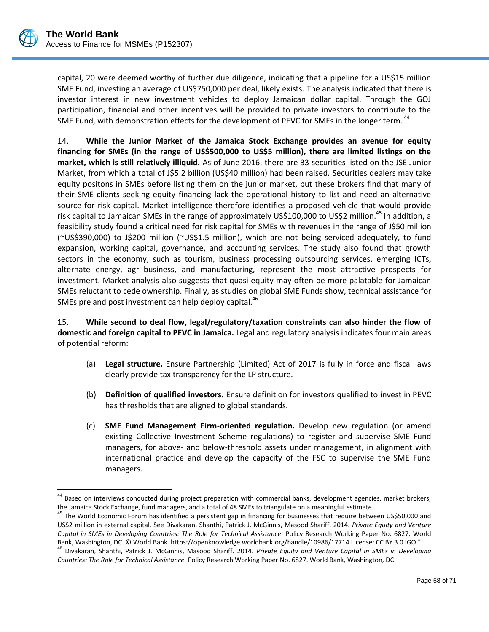$\overline{a}$ 

capital, 20 were deemed worthy of further due diligence, indicating that a pipeline for a US\$15 million SME Fund, investing an average of US\$750,000 per deal, likely exists. The analysis indicated that there is investor interest in new investment vehicles to deploy Jamaican dollar capital. Through the GOJ participation, financial and other incentives will be provided to private investors to contribute to the SME Fund, with demonstration effects for the development of PEVC for SMEs in the longer term.<sup>44</sup>

14. **While the Junior Market of the Jamaica Stock Exchange provides an avenue for equity financing for SMEs (in the range of US\$500,000 to US\$5 million), there are limited listings on the market, which is still relatively illiquid.** As of June 2016, there are 33 securities listed on the JSE Junior Market, from which a total of J\$5.2 billion (US\$40 million) had been raised. Securities dealers may take equity positons in SMEs before listing them on the junior market, but these brokers find that many of their SME clients seeking equity financing lack the operational history to list and need an alternative source for risk capital. Market intelligence therefore identifies a proposed vehicle that would provide risk capital to Jamaican SMEs in the range of approximately US\$100,000 to US\$2 million.<sup>45</sup> In addition, a feasibility study found a critical need for risk capital for SMEs with revenues in the range of J\$50 million (~US\$390,000) to J\$200 million (~US\$1.5 million), which are not being serviced adequately, to fund expansion, working capital, governance, and accounting services. The study also found that growth sectors in the economy, such as tourism, business processing outsourcing services, emerging ICTs, alternate energy, agri-business, and manufacturing, represent the most attractive prospects for investment. Market analysis also suggests that quasi equity may often be more palatable for Jamaican SMEs reluctant to cede ownership. Finally, as studies on global SME Funds show, technical assistance for SMEs pre and post investment can help deploy capital.<sup>46</sup>

15. **While second to deal flow, legal/regulatory/taxation constraints can also hinder the flow of domestic and foreign capital to PEVC in Jamaica.** Legal and regulatory analysis indicates four main areas of potential reform:

- (a) **Legal structure.** Ensure Partnership (Limited) Act of 2017 is fully in force and fiscal laws clearly provide tax transparency for the LP structure.
- (b) **Definition of qualified investors.** Ensure definition for investors qualified to invest in PEVC has thresholds that are aligned to global standards.
- (c) **SME Fund Management Firm-oriented regulation.** Develop new regulation (or amend existing Collective Investment Scheme regulations) to register and supervise SME Fund managers, for above- and below-threshold assets under management, in alignment with international practice and develop the capacity of the FSC to supervise the SME Fund managers.

<sup>&</sup>lt;sup>44</sup> Based on interviews conducted during project preparation with commercial banks, development agencies, market brokers, the Jamaica Stock Exchange, fund managers, and a total of 48 SMEs to triangulate on a meaningful estimate.

<sup>&</sup>lt;sup>45</sup> The World Economic Forum has identified a persistent gap in financing for businesses that require between US\$50,000 and US\$2 million in external capital. See Divakaran, Shanthi, Patrick J. McGinnis, Masood Shariff. 2014. *Private Equity and Venture Capital in SMEs in Developing Countries: The Role for Technical Assistance.* Policy Research Working Paper No. 6827. World Bank, Washington, DC. © World Bank. https://openknowledge.worldbank.org/handle/10986/17714 License: CC BY 3.0 IGO." <sup>46</sup> Divakaran, Shanthi, Patrick J. McGinnis, Masood Shariff. 2014. *Private Equity and Venture Capital in SMEs in Developing Countries: The Role for Technical Assistance.* Policy Research Working Paper No. 6827. World Bank, Washington, DC.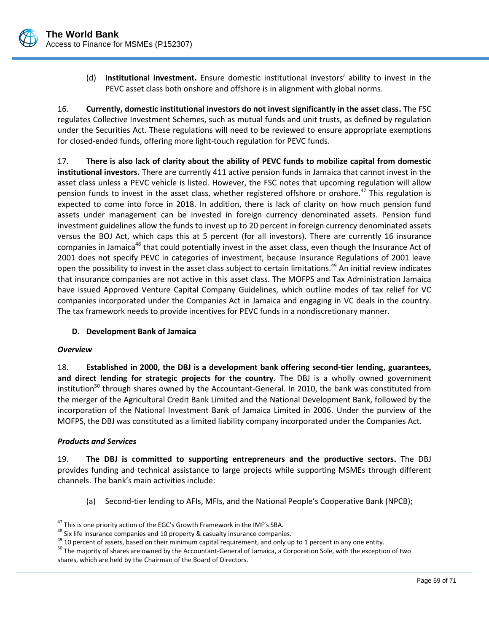

(d) **Institutional investment.** Ensure domestic institutional investors' ability to invest in the PEVC asset class both onshore and offshore is in alignment with global norms.

16. **Currently, domestic institutional investors do not invest significantly in the asset class.** The FSC regulates Collective Investment Schemes, such as mutual funds and unit trusts, as defined by regulation under the Securities Act. These regulations will need to be reviewed to ensure appropriate exemptions for closed-ended funds, offering more light-touch regulation for PEVC funds.

17. **There is also lack of clarity about the ability of PEVC funds to mobilize capital from domestic institutional investors.** There are currently 411 active pension funds in Jamaica that cannot invest in the asset class unless a PEVC vehicle is listed. However, the FSC notes that upcoming regulation will allow pension funds to invest in the asset class, whether registered offshore or onshore.<sup>47</sup> This regulation is expected to come into force in 2018. In addition, there is lack of clarity on how much pension fund assets under management can be invested in foreign currency denominated assets. Pension fund investment guidelines allow the funds to invest up to 20 percent in foreign currency denominated assets versus the BOJ Act, which caps this at 5 percent (for all investors). There are currently 16 insurance companies in Jamaica<sup>48</sup> that could potentially invest in the asset class, even though the Insurance Act of 2001 does not specify PEVC in categories of investment, because Insurance Regulations of 2001 leave open the possibility to invest in the asset class subject to certain limitations.<sup>49</sup> An initial review indicates that insurance companies are not active in this asset class. The MOFPS and Tax Administration Jamaica have issued Approved Venture Capital Company Guidelines, which outline modes of tax relief for VC companies incorporated under the Companies Act in Jamaica and engaging in VC deals in the country. The tax framework needs to provide incentives for PEVC funds in a nondiscretionary manner.

# **D. Development Bank of Jamaica**

## *Overview*

 $\overline{a}$ 

18. **Established in 2000, the DBJ is a development bank offering second-tier lending, guarantees, and direct lending for strategic projects for the country.** The DBJ is a wholly owned government institution<sup>50</sup> through shares owned by the Accountant-General. In 2010, the bank was constituted from the merger of the Agricultural Credit Bank Limited and the National Development Bank, followed by the incorporation of the National Investment Bank of Jamaica Limited in 2006. Under the purview of the MOFPS, the DBJ was constituted as a limited liability company incorporated under the Companies Act.

## *Products and Services*

19. **The DBJ is committed to supporting entrepreneurs and the productive sectors.** The DBJ provides funding and technical assistance to large projects while supporting MSMEs through different channels. The bank's main activities include:

(a) Second-tier lending to AFIs, MFIs, and the National People's Cooperative Bank (NPCB);

<sup>&</sup>lt;sup>47</sup> This is one priority action of the EGC's Growth Framework in the IMF's SBA.

 $48$  Six life insurance companies and 10 property & casualty insurance companies.

 $49$  10 percent of assets, based on their minimum capital requirement, and only up to 1 percent in any one entity.

<sup>&</sup>lt;sup>50</sup> The majority of shares are owned by the Accountant-General of Jamaica, a Corporation Sole, with the exception of two shares, which are held by the Chairman of the Board of Directors.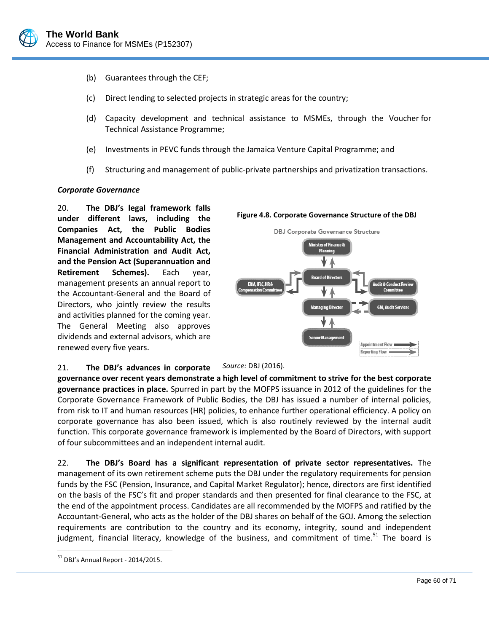

- (b) Guarantees through the CEF;
- (c) Direct lending to selected projects in strategic areas for the country;
- (d) Capacity development and technical assistance to MSMEs, through the Voucher for Technical Assistance Programme;
- (e) Investments in PEVC funds through the Jamaica Venture Capital Programme; and
- (f) Structuring and management of public-private partnerships and privatization transactions.

#### *Corporate Governance*

20. **The DBJ's legal framework falls under different laws, including the Companies Act, the Public Bodies Management and Accountability Act, the Financial Administration and Audit Act, and the Pension Act (Superannuation and Retirement Schemes).** Each year, management presents an annual report to the Accountant-General and the Board of Directors, who jointly review the results and activities planned for the coming year. The General Meeting also approves dividends and external advisors, which are renewed every five years.



#### 21. **The DBJ's advances in corporate**  *Source:* DBJ (2016).

**governance over recent years demonstrate a high level of commitment to strive for the best corporate governance practices in place.** Spurred in part by the MOFPS issuance in 2012 of the guidelines for the Corporate Governance Framework of Public Bodies, the DBJ has issued a number of internal policies, from risk to IT and human resources (HR) policies, to enhance further operational efficiency. A policy on corporate governance has also been issued, which is also routinely reviewed by the internal audit function. This corporate governance framework is implemented by the Board of Directors, with support of four subcommittees and an independent internal audit.

22. **The DBJ's Board has a significant representation of private sector representatives.** The management of its own retirement scheme puts the DBJ under the regulatory requirements for pension funds by the FSC (Pension, Insurance, and Capital Market Regulator); hence, directors are first identified on the basis of the FSC's fit and proper standards and then presented for final clearance to the FSC, at the end of the appointment process. Candidates are all recommended by the MOFPS and ratified by the Accountant-General, who acts as the holder of the DBJ shares on behalf of the GOJ. Among the selection requirements are contribution to the country and its economy, integrity, sound and independent judgment, financial literacy, knowledge of the business, and commitment of time.<sup>51</sup> The board is

 $\overline{a}$ 

 $51$  DBJ's Annual Report - 2014/2015.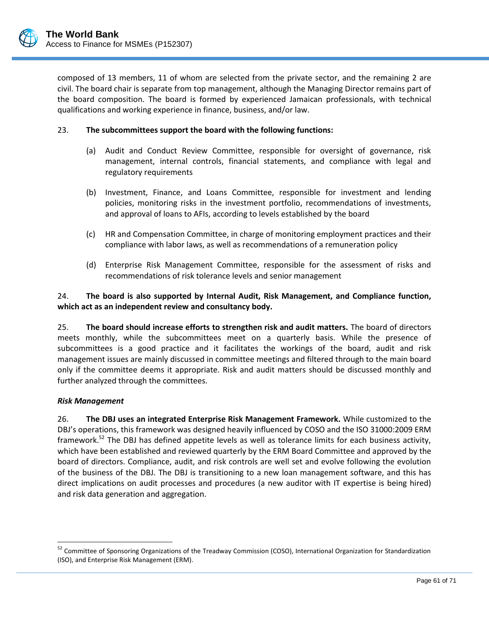composed of 13 members, 11 of whom are selected from the private sector, and the remaining 2 are civil. The board chair is separate from top management, although the Managing Director remains part of the board composition. The board is formed by experienced Jamaican professionals, with technical qualifications and working experience in finance, business, and/or law.

## 23. **The subcommittees support the board with the following functions:**

- (a) Audit and Conduct Review Committee, responsible for oversight of governance, risk management, internal controls, financial statements, and compliance with legal and regulatory requirements
- (b) Investment, Finance, and Loans Committee, responsible for investment and lending policies, monitoring risks in the investment portfolio, recommendations of investments, and approval of loans to AFIs, according to levels established by the board
- (c) HR and Compensation Committee, in charge of monitoring employment practices and their compliance with labor laws, as well as recommendations of a remuneration policy
- (d) Enterprise Risk Management Committee, responsible for the assessment of risks and recommendations of risk tolerance levels and senior management

# 24. **The board is also supported by Internal Audit, Risk Management, and Compliance function, which act as an independent review and consultancy body.**

25. **The board should increase efforts to strengthen risk and audit matters.** The board of directors meets monthly, while the subcommittees meet on a quarterly basis. While the presence of subcommittees is a good practice and it facilitates the workings of the board, audit and risk management issues are mainly discussed in committee meetings and filtered through to the main board only if the committee deems it appropriate. Risk and audit matters should be discussed monthly and further analyzed through the committees.

## *Risk Management*

 $\overline{a}$ 

26. **The DBJ uses an integrated Enterprise Risk Management Framework.** While customized to the DBJ's operations, this framework was designed heavily influenced by COSO and the ISO 31000:2009 ERM framework.<sup>52</sup> The DBJ has defined appetite levels as well as tolerance limits for each business activity, which have been established and reviewed quarterly by the ERM Board Committee and approved by the board of directors. Compliance, audit, and risk controls are well set and evolve following the evolution of the business of the DBJ. The DBJ is transitioning to a new loan management software, and this has direct implications on audit processes and procedures (a new auditor with IT expertise is being hired) and risk data generation and aggregation.

<sup>&</sup>lt;sup>52</sup> Committee of Sponsoring Organizations of the Treadway Commission (COSO), International Organization for Standardization (ISO), and Enterprise Risk Management (ERM).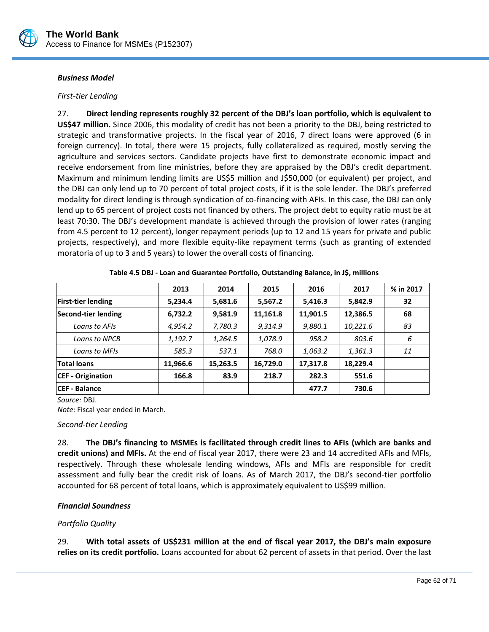

#### *Business Model*

#### *First-tier Lending*

27. **Direct lending represents roughly 32 percent of the DBJ's loan portfolio, which is equivalent to US\$47 million.** Since 2006, this modality of credit has not been a priority to the DBJ, being restricted to strategic and transformative projects. In the fiscal year of 2016, 7 direct loans were approved (6 in foreign currency). In total, there were 15 projects, fully collateralized as required, mostly serving the agriculture and services sectors. Candidate projects have first to demonstrate economic impact and receive endorsement from line ministries, before they are appraised by the DBJ's credit department. Maximum and minimum lending limits are US\$5 million and J\$50,000 (or equivalent) per project, and the DBJ can only lend up to 70 percent of total project costs, if it is the sole lender. The DBJ's preferred modality for direct lending is through syndication of co-financing with AFIs. In this case, the DBJ can only lend up to 65 percent of project costs not financed by others. The project debt to equity ratio must be at least 70:30. The DBJ's development mandate is achieved through the provision of lower rates (ranging from 4.5 percent to 12 percent), longer repayment periods (up to 12 and 15 years for private and public projects, respectively), and more flexible equity-like repayment terms (such as granting of extended moratoria of up to 3 and 5 years) to lower the overall costs of financing.

|                           | 2013     | 2014     | 2015     | 2016     | 2017     | % in 2017 |
|---------------------------|----------|----------|----------|----------|----------|-----------|
| <b>First-tier lending</b> | 5,234.4  | 5,681.6  | 5,567.2  | 5,416.3  | 5,842.9  | 32        |
| Second-tier lending       | 6,732.2  | 9,581.9  | 11,161.8 | 11,901.5 | 12,386.5 | 68        |
| Loans to AFIs             | 4,954.2  | 7,780.3  | 9,314.9  | 9,880.1  | 10,221.6 | 83        |
| Loans to NPCB             | 1,192.7  | 1,264.5  | 1,078.9  | 958.2    | 803.6    | 6         |
| Loans to MFIs             | 585.3    | 537.1    | 768.0    | 1,063.2  | 1,361.3  | 11        |
| <b>Total loans</b>        | 11,966.6 | 15,263.5 | 16,729.0 | 17,317.8 | 18,229.4 |           |
| <b>CEF</b> - Origination  | 166.8    | 83.9     | 218.7    | 282.3    | 551.6    |           |
| <b>CEF - Balance</b>      |          |          |          | 477.7    | 730.6    |           |

**Table 4.5 DBJ - Loan and Guarantee Portfolio, Outstanding Balance, in J\$, millions**

*Source:* DBJ.

*Note:* Fiscal year ended in March.

#### *Second-tier Lending*

28. **The DBJ's financing to MSMEs is facilitated through credit lines to AFIs (which are banks and credit unions) and MFIs.** At the end of fiscal year 2017, there were 23 and 14 accredited AFIs and MFIs, respectively. Through these wholesale lending windows, AFIs and MFIs are responsible for credit assessment and fully bear the credit risk of loans. As of March 2017, the DBJ's second-tier portfolio accounted for 68 percent of total loans, which is approximately equivalent to US\$99 million.

## *Financial Soundness*

## *Portfolio Quality*

29. **With total assets of US\$231 million at the end of fiscal year 2017, the DBJ's main exposure relies on its credit portfolio.** Loans accounted for about 62 percent of assets in that period. Over the last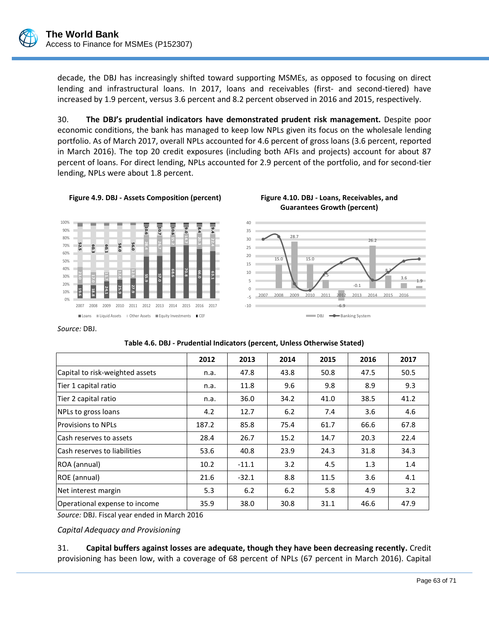

decade, the DBJ has increasingly shifted toward supporting MSMEs, as opposed to focusing on direct lending and infrastructural loans. In 2017, loans and receivables (first- and second-tiered) have increased by 1.9 percent, versus 3.6 percent and 8.2 percent observed in 2016 and 2015, respectively.

30. **The DBJ's prudential indicators have demonstrated prudent risk management.** Despite poor economic conditions, the bank has managed to keep low NPLs given its focus on the wholesale lending portfolio. As of March 2017, overall NPLs accounted for 4.6 percent of gross loans (3.6 percent, reported in March 2016). The top 20 credit exposures (including both AFIs and projects) account for about 87 percent of loans. For direct lending, NPLs accounted for 2.9 percent of the portfolio, and for second-tier lending, NPLs were about 1.8 percent.





**Guarantees Growth (percent)**

**55.9 57.0**

**28.4 26.7**

**10.6 10.7**

*Source:* DBJ.

**19.6 18.8 24.1 25.9 27.9**

0% 10% 20% 30% 40% 50% 60% 70% 80% 90% 100%

**52.5 60.3 60.1 58.0 56.0**

> **11.7 12.6 12.9**

|                                 | 2012  | 2013    | 2014 | 2015 | 2016 | 2017 |
|---------------------------------|-------|---------|------|------|------|------|
| Capital to risk-weighted assets | n.a.  | 47.8    | 43.8 | 50.8 | 47.5 | 50.5 |
| Tier 1 capital ratio            | n.a.  | 11.8    | 9.6  | 9.8  | 8.9  | 9.3  |
| Tier 2 capital ratio            | n.a.  | 36.0    | 34.2 | 41.0 | 38.5 | 41.2 |
| NPLs to gross loans             | 4.2   | 12.7    | 6.2  | 7.4  | 3.6  | 4.6  |
| <b>Provisions to NPLs</b>       | 187.2 | 85.8    | 75.4 | 61.7 | 66.6 | 67.8 |
| lCash reserves to assets        | 28.4  | 26.7    | 15.2 | 14.7 | 20.3 | 22.4 |
| lCash reserves to liabilities   | 53.6  | 40.8    | 23.9 | 24.3 | 31.8 | 34.3 |
| ROA (annual)                    | 10.2  | $-11.1$ | 3.2  | 4.5  | 1.3  | 1.4  |
| ROE (annual)                    | 21.6  | $-32.1$ | 8.8  | 11.5 | 3.6  | 4.1  |
| Net interest margin             | 5.3   | 6.2     | 6.2  | 5.8  | 4.9  | 3.2  |
| Operational expense to income   | 35.9  | 38.0    | 30.8 | 31.1 | 46.6 | 47.9 |

**Table 4.6. DBJ - Prudential Indicators (percent, Unless Otherwise Stated)**

*Source:* DBJ. Fiscal year ended in March 2016

*Capital Adequacy and Provisioning*

31. **Capital buffers against losses are adequate, though they have been decreasing recently.** Credit provisioning has been low, with a coverage of 68 percent of NPLs (67 percent in March 2016). Capital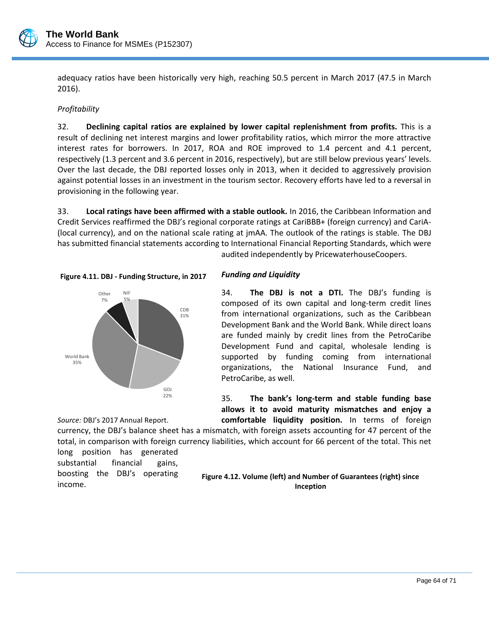

adequacy ratios have been historically very high, reaching 50.5 percent in March 2017 (47.5 in March 2016).

## *Profitability*

32. **Declining capital ratios are explained by lower capital replenishment from profits.** This is a result of declining net interest margins and lower profitability ratios, which mirror the more attractive interest rates for borrowers. In 2017, ROA and ROE improved to 1.4 percent and 4.1 percent, respectively (1.3 percent and 3.6 percent in 2016, respectively), but are still below previous years' levels. Over the last decade, the DBJ reported losses only in 2013, when it decided to aggressively provision against potential losses in an investment in the tourism sector. Recovery efforts have led to a reversal in provisioning in the following year.

33. **Local ratings have been affirmed with a stable outlook.** In 2016, the Caribbean Information and Credit Services reaffirmed the DBJ's regional corporate ratings at CariBBB+ (foreign currency) and CariA- (local currency), and on the national scale rating at jmAA. The outlook of the ratings is stable. The DBJ has submitted financial statements according to International Financial Reporting Standards, which were audited independently by PricewaterhouseCoopers.





## *Funding and Liquidity*

34. **The DBJ is not a DTI.** The DBJ's funding is composed of its own capital and long-term credit lines from international organizations, such as the Caribbean Development Bank and the World Bank. While direct loans are funded mainly by credit lines from the PetroCaribe Development Fund and capital, wholesale lending is supported by funding coming from international organizations, the National Insurance Fund, and PetroCaribe, as well.

35. **The bank's long-term and stable funding base allows it to avoid maturity mismatches and enjoy a comfortable liquidity position.** In terms of foreign

currency, the DBJ's balance sheet has a mismatch, with foreign assets accounting for 47 percent of the total, in comparison with foreign currency liabilities, which account for 66 percent of the total. This net

long position has generated substantial financial gains, boosting the DBJ's operating income.

*Source:* DBJ's 2017 Annual Report.

**Figure 4.12. Volume (left) and Number of Guarantees (right) since Inception**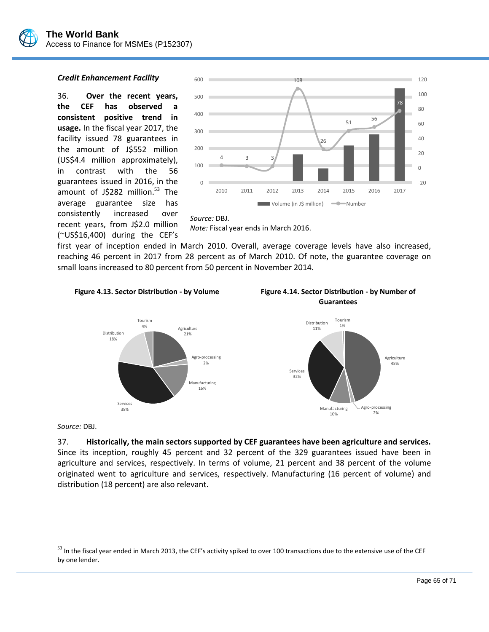

#### *Credit Enhancement Facility*

36. **Over the recent years, the CEF has observed a consistent positive trend in usage.** In the fiscal year 2017, the facility issued 78 guarantees in the amount of J\$552 million (US\$4.4 million approximately), in contrast with the 56 guarantees issued in 2016, in the amount of J\$282 million.<sup>53</sup> The average guarantee size has consistently increased over recent years, from J\$2.0 million (~US\$16,400) during the CEF's



### *Source:* DBJ.

*Note:* Fiscal year ends in March 2016.

first year of inception ended in March 2010. Overall, average coverage levels have also increased, reaching 46 percent in 2017 from 28 percent as of March 2010. Of note, the guarantee coverage on small loans increased to 80 percent from 50 percent in November 2014.









*Source:* DBJ.

 $\overline{a}$ 

#### 37. **Historically, the main sectors supported by CEF guarantees have been agriculture and services.**

Since its inception, roughly 45 percent and 32 percent of the 329 guarantees issued have been in agriculture and services, respectively. In terms of volume, 21 percent and 38 percent of the volume originated went to agriculture and services, respectively. Manufacturing (16 percent of volume) and distribution (18 percent) are also relevant.

<sup>&</sup>lt;sup>53</sup> In the fiscal year ended in March 2013, the CEF's activity spiked to over 100 transactions due to the extensive use of the CEF by one lender.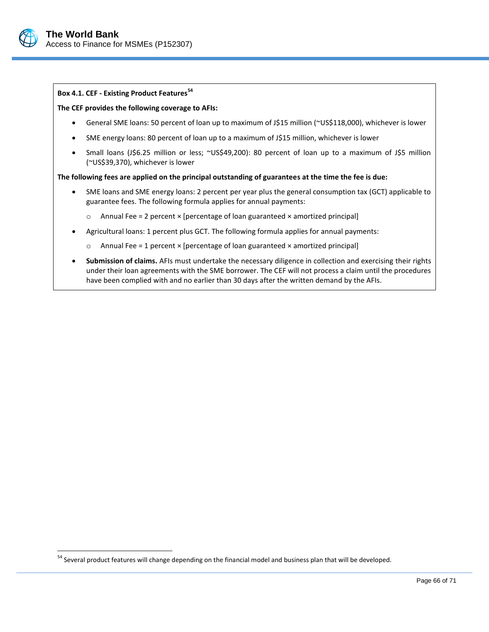

 $\overline{a}$ 

## **Box 4.1. CEF - Existing Product Features<sup>54</sup>**

#### **The CEF provides the following coverage to AFIs:**

- General SME loans: 50 percent of loan up to maximum of J\$15 million (~US\$118,000), whichever is lower
- SME energy loans: 80 percent of loan up to a maximum of J\$15 million, whichever is lower
- Small loans (J\$6.25 million or less; ~US\$49,200): 80 percent of loan up to a maximum of J\$5 million (~US\$39,370), whichever is lower

#### **The following fees are applied on the principal outstanding of guarantees at the time the fee is due:**

- SME loans and SME energy loans: 2 percent per year plus the general consumption tax (GCT) applicable to guarantee fees. The following formula applies for annual payments:
	- $\circ$  Annual Fee = 2 percent  $\times$  [percentage of loan guaranteed  $\times$  amortized principal]
- Agricultural loans: 1 percent plus GCT. The following formula applies for annual payments:
	- $\circ$  Annual Fee = 1 percent  $\times$  [percentage of loan guaranteed  $\times$  amortized principal]
- **Submission of claims.** AFIs must undertake the necessary diligence in collection and exercising their rights under their loan agreements with the SME borrower. The CEF will not process a claim until the procedures have been complied with and no earlier than 30 days after the written demand by the AFIs.

<sup>&</sup>lt;sup>54</sup> Several product features will change depending on the financial model and business plan that will be developed.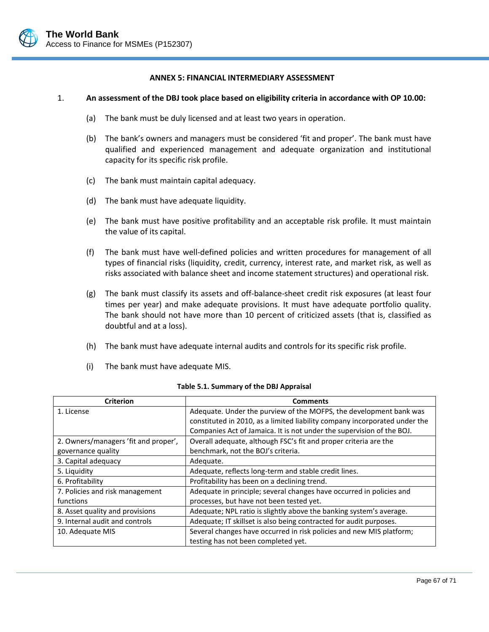

#### **ANNEX 5: FINANCIAL INTERMEDIARY ASSESSMENT**

#### 1. **An assessment of the DBJ took place based on eligibility criteria in accordance with OP 10.00:**

- (a) The bank must be duly licensed and at least two years in operation.
- (b) The bank's owners and managers must be considered 'fit and proper'. The bank must have qualified and experienced management and adequate organization and institutional capacity for its specific risk profile.
- (c) The bank must maintain capital adequacy.
- (d) The bank must have adequate liquidity.
- (e) The bank must have positive profitability and an acceptable risk profile. It must maintain the value of its capital.
- (f) The bank must have well-defined policies and written procedures for management of all types of financial risks (liquidity, credit, currency, interest rate, and market risk, as well as risks associated with balance sheet and income statement structures) and operational risk.
- (g) The bank must classify its assets and off-balance-sheet credit risk exposures (at least four times per year) and make adequate provisions. It must have adequate portfolio quality. The bank should not have more than 10 percent of criticized assets (that is, classified as doubtful and at a loss).
- (h) The bank must have adequate internal audits and controls for its specific risk profile.
- (i) The bank must have adequate MIS.

| <b>Criterion</b>                     | <b>Comments</b>                                                            |
|--------------------------------------|----------------------------------------------------------------------------|
| 1. License                           | Adequate. Under the purview of the MOFPS, the development bank was         |
|                                      | constituted in 2010, as a limited liability company incorporated under the |
|                                      | Companies Act of Jamaica. It is not under the supervision of the BOJ.      |
| 2. Owners/managers 'fit and proper', | Overall adequate, although FSC's fit and proper criteria are the           |
| governance quality                   | benchmark, not the BOJ's criteria.                                         |
| 3. Capital adequacy                  | Adequate.                                                                  |
| 5. Liquidity                         | Adequate, reflects long-term and stable credit lines.                      |
| 6. Profitability                     | Profitability has been on a declining trend.                               |
| 7. Policies and risk management      | Adequate in principle; several changes have occurred in policies and       |
| functions                            | processes, but have not been tested yet.                                   |
| 8. Asset quality and provisions      | Adequate; NPL ratio is slightly above the banking system's average.        |
| 9. Internal audit and controls       | Adequate; IT skillset is also being contracted for audit purposes.         |
| 10. Adequate MIS                     | Several changes have occurred in risk policies and new MIS platform;       |
|                                      | testing has not been completed yet.                                        |

| Table 5.1. Summary of the DBJ Appraisal |  |  |
|-----------------------------------------|--|--|
|-----------------------------------------|--|--|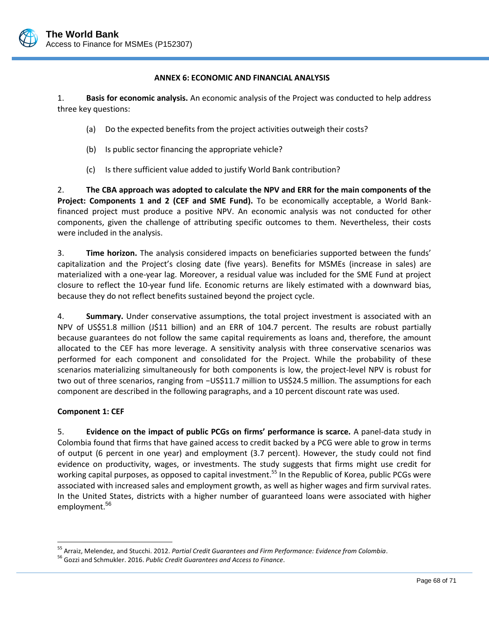

### **ANNEX 6: ECONOMIC AND FINANCIAL ANALYSIS**

1. **Basis for economic analysis.** An economic analysis of the Project was conducted to help address three key questions:

- (a) Do the expected benefits from the project activities outweigh their costs?
- (b) Is public sector financing the appropriate vehicle?
- (c) Is there sufficient value added to justify World Bank contribution?

2. **The CBA approach was adopted to calculate the NPV and ERR for the main components of the Project: Components 1 and 2 (CEF and SME Fund).** To be economically acceptable, a World Bankfinanced project must produce a positive NPV. An economic analysis was not conducted for other components, given the challenge of attributing specific outcomes to them. Nevertheless, their costs were included in the analysis.

3. **Time horizon.** The analysis considered impacts on beneficiaries supported between the funds' capitalization and the Project's closing date (five years). Benefits for MSMEs (increase in sales) are materialized with a one-year lag. Moreover, a residual value was included for the SME Fund at project closure to reflect the 10-year fund life. Economic returns are likely estimated with a downward bias, because they do not reflect benefits sustained beyond the project cycle.

4. **Summary.** Under conservative assumptions, the total project investment is associated with an NPV of US\$51.8 million (J\$11 billion) and an ERR of 104.7 percent. The results are robust partially because guarantees do not follow the same capital requirements as loans and, therefore, the amount allocated to the CEF has more leverage. A sensitivity analysis with three conservative scenarios was performed for each component and consolidated for the Project. While the probability of these scenarios materializing simultaneously for both components is low, the project-level NPV is robust for two out of three scenarios, ranging from −US\$11.7 million to US\$24.5 million. The assumptions for each component are described in the following paragraphs, and a 10 percent discount rate was used.

## **Component 1: CEF**

 $\overline{a}$ 

5. **Evidence on the impact of public PCGs on firms' performance is scarce.** A panel-data study in Colombia found that firms that have gained access to credit backed by a PCG were able to grow in terms of output (6 percent in one year) and employment (3.7 percent). However, the study could not find evidence on productivity, wages, or investments. The study suggests that firms might use credit for working capital purposes, as opposed to capital investment.<sup>55</sup> In the Republic of Korea, public PCGs were associated with increased sales and employment growth, as well as higher wages and firm survival rates. In the United States, districts with a higher number of guaranteed loans were associated with higher employment.<sup>56</sup>

<sup>55</sup> Arraiz, Melendez, and Stucchi. 2012. *Partial Credit Guarantees and Firm Performance: Evidence from Colombia*.

<sup>56</sup> Gozzi and Schmukler. 2016. *Public Credit Guarantees and Access to Finance*.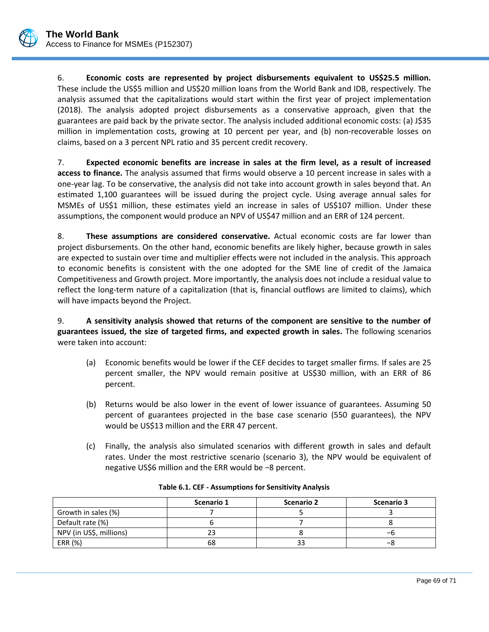6. **Economic costs are represented by project disbursements equivalent to US\$25.5 million.** These include the US\$5 million and US\$20 million loans from the World Bank and IDB, respectively. The analysis assumed that the capitalizations would start within the first year of project implementation (2018). The analysis adopted project disbursements as a conservative approach, given that the guarantees are paid back by the private sector. The analysis included additional economic costs: (a) J\$35 million in implementation costs, growing at 10 percent per year, and (b) non-recoverable losses on claims, based on a 3 percent NPL ratio and 35 percent credit recovery.

7. **Expected economic benefits are increase in sales at the firm level, as a result of increased access to finance.** The analysis assumed that firms would observe a 10 percent increase in sales with a one-year lag. To be conservative, the analysis did not take into account growth in sales beyond that. An estimated 1,100 guarantees will be issued during the project cycle. Using average annual sales for MSMEs of US\$1 million, these estimates yield an increase in sales of US\$107 million. Under these assumptions, the component would produce an NPV of US\$47 million and an ERR of 124 percent.

8. **These assumptions are considered conservative.** Actual economic costs are far lower than project disbursements. On the other hand, economic benefits are likely higher, because growth in sales are expected to sustain over time and multiplier effects were not included in the analysis. This approach to economic benefits is consistent with the one adopted for the SME line of credit of the Jamaica Competitiveness and Growth project. More importantly, the analysis does not include a residual value to reflect the long-term nature of a capitalization (that is, financial outflows are limited to claims), which will have impacts beyond the Project.

9. **A sensitivity analysis showed that returns of the component are sensitive to the number of guarantees issued, the size of targeted firms, and expected growth in sales.** The following scenarios were taken into account:

- (a) Economic benefits would be lower if the CEF decides to target smaller firms. If sales are 25 percent smaller, the NPV would remain positive at US\$30 million, with an ERR of 86 percent.
- (b) Returns would be also lower in the event of lower issuance of guarantees. Assuming 50 percent of guarantees projected in the base case scenario (550 guarantees), the NPV would be US\$13 million and the ERR 47 percent.
- (c) Finally, the analysis also simulated scenarios with different growth in sales and default rates. Under the most restrictive scenario (scenario 3), the NPV would be equivalent of negative US\$6 million and the ERR would be −8 percent.

|                         | Scenario 1 | Scenario 2 | <b>Scenario 3</b> |
|-------------------------|------------|------------|-------------------|
| Growth in sales (%)     |            |            |                   |
| Default rate (%)        |            |            |                   |
| NPV (in US\$, millions) |            |            | -n                |
| ERR (%)                 | 68         |            | –8                |

| Table 6.1. CEF - Assumptions for Sensitivity Analysis |  |
|-------------------------------------------------------|--|
|-------------------------------------------------------|--|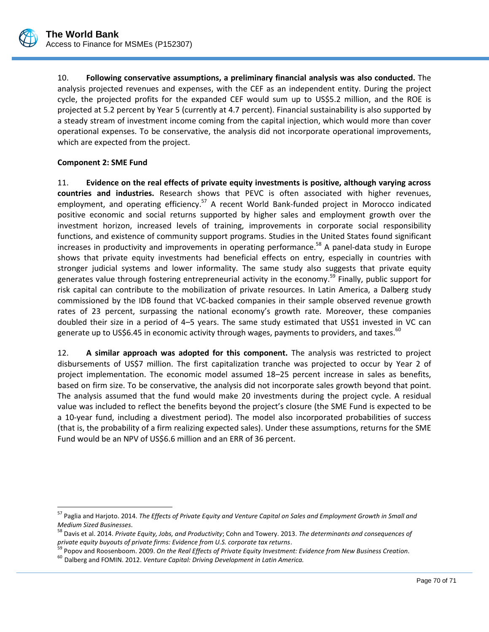

10. **Following conservative assumptions, a preliminary financial analysis was also conducted.** The analysis projected revenues and expenses, with the CEF as an independent entity. During the project cycle, the projected profits for the expanded CEF would sum up to US\$5.2 million, and the ROE is projected at 5.2 percent by Year 5 (currently at 4.7 percent). Financial sustainability is also supported by a steady stream of investment income coming from the capital injection, which would more than cover operational expenses. To be conservative, the analysis did not incorporate operational improvements, which are expected from the project.

## **Component 2: SME Fund**

 $\overline{a}$ 

11. **Evidence on the real effects of private equity investments is positive, although varying across countries and industries.** Research shows that PEVC is often associated with higher revenues, employment, and operating efficiency.<sup>57</sup> A recent World Bank-funded project in Morocco indicated positive economic and social returns supported by higher sales and employment growth over the investment horizon, increased levels of training, improvements in corporate social responsibility functions, and existence of community support programs. Studies in the United States found significant increases in productivity and improvements in operating performance. <sup>58</sup> A panel-data study in Europe shows that private equity investments had beneficial effects on entry, especially in countries with stronger judicial systems and lower informality. The same study also suggests that private equity generates value through fostering entrepreneurial activity in the economy.<sup>59</sup> Finally, public support for risk capital can contribute to the mobilization of private resources. In Latin America, a Dalberg study commissioned by the IDB found that VC-backed companies in their sample observed revenue growth rates of 23 percent, surpassing the national economy's growth rate. Moreover, these companies doubled their size in a period of 4–5 years. The same study estimated that US\$1 invested in VC can generate up to US\$6.45 in economic activity through wages, payments to providers, and taxes.<sup>60</sup>

12. **A similar approach was adopted for this component.** The analysis was restricted to project disbursements of US\$7 million. The first capitalization tranche was projected to occur by Year 2 of project implementation. The economic model assumed 18–25 percent increase in sales as benefits, based on firm size. To be conservative, the analysis did not incorporate sales growth beyond that point. The analysis assumed that the fund would make 20 investments during the project cycle. A residual value was included to reflect the benefits beyond the project's closure (the SME Fund is expected to be a 10-year fund, including a divestment period). The model also incorporated probabilities of success (that is, the probability of a firm realizing expected sales). Under these assumptions, returns for the SME Fund would be an NPV of US\$6.6 million and an ERR of 36 percent.

<sup>57</sup> Paglia and Harjoto. 2014. *The Effects of Private Equity and Venture Capital on Sales and Employment Growth in Small and Medium Sized Businesses*.

<sup>58</sup> Davis et al. 2014. *Private Equity, Jobs, and Productivity*; Cohn and Towery. 2013. *The determinants and consequences of private equity buyouts of private firms: Evidence from U.S. corporate tax returns*.

<sup>&</sup>lt;sup>59</sup> Popov and Roosenboom. 2009. *On the Real Effects of Private Equity Investment: Evidence from New Business Creation*.

<sup>60</sup> Dalberg and FOMIN. 2012. *Venture Capital: Driving Development in Latin America.*